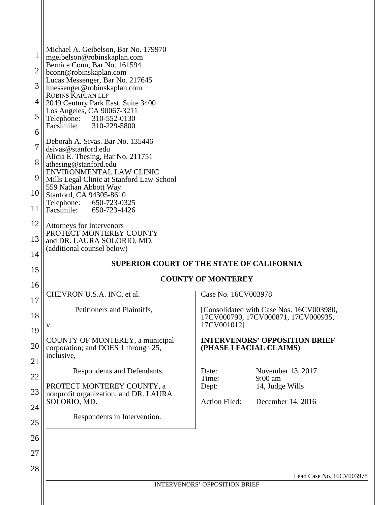| 1<br>2<br>3<br>4<br>5<br>6<br>7<br>8<br>9<br>10<br>11 | Michael A. Geibelson, Bar No. 179970<br>mgeibelson@robinskaplan.com<br>Bernice Conn, Bar No. 161594<br>bconn@robinskaplan.com<br>Lucas Messenger, Bar No. 217645<br>lmessenger@robinskaplan.com<br><b>ROBINS KAPLAN LLP</b><br>2049 Century Park East, Suite 3400<br>Los Angeles, CA 90067-3211<br>Telephone:<br>310-552-0130<br>Facsimile:<br>310-229-5800<br>Deborah A. Sivas. Bar No. 135446<br>dsivas@stanford.edu<br>Alicia E. Thesing, Bar No. 211751<br>athesing@stanford.edu<br>ENVIRONMENTAL LAW CLINIC<br>Mills Legal Clinic at Stanford Law School<br>559 Nathan Abbott Way<br>Stanford, CA 94305-8610<br>Telephone:<br>650-723-0325<br>Facsimile:<br>650-723-4426 |                                                                                 |
|-------------------------------------------------------|-------------------------------------------------------------------------------------------------------------------------------------------------------------------------------------------------------------------------------------------------------------------------------------------------------------------------------------------------------------------------------------------------------------------------------------------------------------------------------------------------------------------------------------------------------------------------------------------------------------------------------------------------------------------------------|---------------------------------------------------------------------------------|
| 12                                                    |                                                                                                                                                                                                                                                                                                                                                                                                                                                                                                                                                                                                                                                                               |                                                                                 |
| 13                                                    | Attorneys for Intervenors<br>PROTECT MONTEREY COUNTY<br>and DR. LAURA SOLORIO, MD.                                                                                                                                                                                                                                                                                                                                                                                                                                                                                                                                                                                            |                                                                                 |
| 14                                                    | (additional counsel below)                                                                                                                                                                                                                                                                                                                                                                                                                                                                                                                                                                                                                                                    |                                                                                 |
| 15                                                    |                                                                                                                                                                                                                                                                                                                                                                                                                                                                                                                                                                                                                                                                               | SUPERIOR COURT OF THE STATE OF CALIFORNIA                                       |
| 16                                                    |                                                                                                                                                                                                                                                                                                                                                                                                                                                                                                                                                                                                                                                                               | <b>COUNTY OF MONTEREY</b>                                                       |
| 17                                                    | CHEVRON U.S.A. INC, et al.                                                                                                                                                                                                                                                                                                                                                                                                                                                                                                                                                                                                                                                    | Case No. 16CV003978                                                             |
| 18                                                    | Petitioners and Plaintiffs,                                                                                                                                                                                                                                                                                                                                                                                                                                                                                                                                                                                                                                                   | [Consolidated with Case Nos. 16CV003980,<br>17CV000790, 17CV000871, 17CV000935. |
| 19                                                    | ${\bf V}$ .                                                                                                                                                                                                                                                                                                                                                                                                                                                                                                                                                                                                                                                                   | 17CV001012]                                                                     |
| 20                                                    | COUNTY OF MONTEREY, a municipal<br>corporation; and DOES 1 through 25,                                                                                                                                                                                                                                                                                                                                                                                                                                                                                                                                                                                                        | <b>INTERVENORS' OPPOSITION BRIEF</b><br>(PHASE I FACIAL CLAIMS)                 |
| 21                                                    | inclusive,                                                                                                                                                                                                                                                                                                                                                                                                                                                                                                                                                                                                                                                                    |                                                                                 |
| 22                                                    | Respondents and Defendants,                                                                                                                                                                                                                                                                                                                                                                                                                                                                                                                                                                                                                                                   | Date:<br>November 13, 2017<br>$9:00$ am<br>Time:                                |
| 23                                                    | PROTECT MONTEREY COUNTY, a<br>nonprofit organization, and DR. LAURA                                                                                                                                                                                                                                                                                                                                                                                                                                                                                                                                                                                                           | Dept:<br>14, Judge Wills                                                        |
| 24                                                    | SOLORIO, MD.                                                                                                                                                                                                                                                                                                                                                                                                                                                                                                                                                                                                                                                                  | Action Filed:<br>December 14, 2016                                              |
| 25                                                    | Respondents in Intervention.                                                                                                                                                                                                                                                                                                                                                                                                                                                                                                                                                                                                                                                  |                                                                                 |
| 26                                                    |                                                                                                                                                                                                                                                                                                                                                                                                                                                                                                                                                                                                                                                                               |                                                                                 |
| 27                                                    |                                                                                                                                                                                                                                                                                                                                                                                                                                                                                                                                                                                                                                                                               |                                                                                 |
| 28                                                    |                                                                                                                                                                                                                                                                                                                                                                                                                                                                                                                                                                                                                                                                               |                                                                                 |
|                                                       |                                                                                                                                                                                                                                                                                                                                                                                                                                                                                                                                                                                                                                                                               | Lead Case No. 16CV003978<br><b>INTERVENORS' OPPOSITION BRIEF</b>                |
|                                                       |                                                                                                                                                                                                                                                                                                                                                                                                                                                                                                                                                                                                                                                                               |                                                                                 |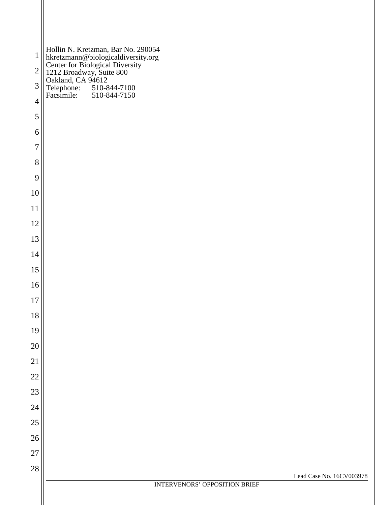| $\mathbf{1}$   | Hollin N. Kretzman, Bar No. 290054<br>hkretzmann@biologicaldiversity.org<br>Center for Biological Diversity<br>1212 Broadway, Suite 800<br>Oakland, CA 94612<br>Telephone: 510-844-7100<br>Facsimile: 510-844-7150 |  |                               |  |                          |  |
|----------------|--------------------------------------------------------------------------------------------------------------------------------------------------------------------------------------------------------------------|--|-------------------------------|--|--------------------------|--|
| $\overline{2}$ |                                                                                                                                                                                                                    |  |                               |  |                          |  |
| $\overline{3}$ |                                                                                                                                                                                                                    |  |                               |  |                          |  |
| $\overline{4}$ |                                                                                                                                                                                                                    |  |                               |  |                          |  |
| 5              |                                                                                                                                                                                                                    |  |                               |  |                          |  |
| $6\,$          |                                                                                                                                                                                                                    |  |                               |  |                          |  |
| $\overline{7}$ |                                                                                                                                                                                                                    |  |                               |  |                          |  |
| $8\,$          |                                                                                                                                                                                                                    |  |                               |  |                          |  |
| 9              |                                                                                                                                                                                                                    |  |                               |  |                          |  |
| $10\,$         |                                                                                                                                                                                                                    |  |                               |  |                          |  |
| $11\,$         |                                                                                                                                                                                                                    |  |                               |  |                          |  |
| 12             |                                                                                                                                                                                                                    |  |                               |  |                          |  |
| 13             |                                                                                                                                                                                                                    |  |                               |  |                          |  |
| 14             |                                                                                                                                                                                                                    |  |                               |  |                          |  |
| 15             |                                                                                                                                                                                                                    |  |                               |  |                          |  |
| 16             |                                                                                                                                                                                                                    |  |                               |  |                          |  |
| 17             |                                                                                                                                                                                                                    |  |                               |  |                          |  |
| 18             |                                                                                                                                                                                                                    |  |                               |  |                          |  |
| 19             |                                                                                                                                                                                                                    |  |                               |  |                          |  |
| 20             |                                                                                                                                                                                                                    |  |                               |  |                          |  |
| 21             |                                                                                                                                                                                                                    |  |                               |  |                          |  |
| $22\,$         |                                                                                                                                                                                                                    |  |                               |  |                          |  |
| $23\,$         |                                                                                                                                                                                                                    |  |                               |  |                          |  |
| 24             |                                                                                                                                                                                                                    |  |                               |  |                          |  |
| $25\,$         |                                                                                                                                                                                                                    |  |                               |  |                          |  |
| $26\,$         |                                                                                                                                                                                                                    |  |                               |  |                          |  |
| 27             |                                                                                                                                                                                                                    |  |                               |  |                          |  |
| 28             |                                                                                                                                                                                                                    |  |                               |  | Lead Case No. 16CV003978 |  |
|                |                                                                                                                                                                                                                    |  | INTERVENORS' OPPOSITION BRIEF |  |                          |  |
|                |                                                                                                                                                                                                                    |  |                               |  |                          |  |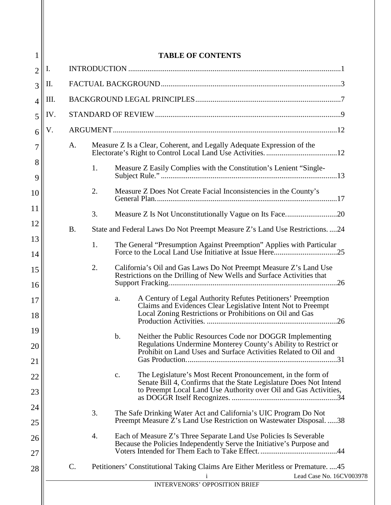|     |           |                | <b>TABLE OF CONTENTS</b>                                                                                                                                                                              |  |
|-----|-----------|----------------|-------------------------------------------------------------------------------------------------------------------------------------------------------------------------------------------------------|--|
| Ι.  |           |                |                                                                                                                                                                                                       |  |
| П.  |           |                |                                                                                                                                                                                                       |  |
| Ш.  |           |                |                                                                                                                                                                                                       |  |
| IV. |           |                |                                                                                                                                                                                                       |  |
| V.  |           |                |                                                                                                                                                                                                       |  |
|     | A.        |                | Measure Z Is a Clear, Coherent, and Legally Adequate Expression of the                                                                                                                                |  |
|     |           | 1.             | Measure Z Easily Complies with the Constitution's Lenient "Single-                                                                                                                                    |  |
|     |           | 2.             | Measure Z Does Not Create Facial Inconsistencies in the County's                                                                                                                                      |  |
|     |           | 3.             |                                                                                                                                                                                                       |  |
|     | <b>B.</b> |                | State and Federal Laws Do Not Preempt Measure Z's Land Use Restrictions24                                                                                                                             |  |
|     |           |                |                                                                                                                                                                                                       |  |
|     |           | 1.             | The General "Presumption Against Preemption" Applies with Particular                                                                                                                                  |  |
|     |           | 2.             | California's Oil and Gas Laws Do Not Preempt Measure Z's Land Use<br>Restrictions on the Drilling of New Wells and Surface Activities that                                                            |  |
|     |           | a.             | A Century of Legal Authority Refutes Petitioners' Preemption<br>Claims and Evidences Clear Legislative Intent Not to Preempt<br>Local Zoning Restrictions or Prohibitions on Oil and Gas              |  |
|     |           | $\mathbf b$ .  | Neither the Public Resources Code nor DOGGR Implementing<br>Regulations Undermine Monterey County's Ability to Restrict or<br>Prohibit on Land Uses and Surface Activities Related to Oil and         |  |
|     |           | $\mathbf{C}$ . | The Legislature's Most Recent Pronouncement, in the form of<br>Senate Bill 4, Confirms that the State Legislature Does Not Intend<br>to Preempt Local Land Use Authority over Oil and Gas Activities, |  |
|     |           | 3.             | The Safe Drinking Water Act and California's UIC Program Do Not<br>Preempt Measure Z's Land Use Restriction on Wastewater Disposal. 38                                                                |  |
|     |           | 4.             | Each of Measure Z's Three Separate Land Use Policies Is Severable<br>Because the Policies Independently Serve the Initiative's Purpose and                                                            |  |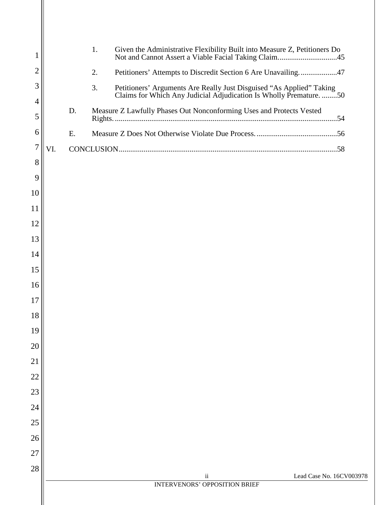| 1              |     |    | 1. | Given the Administrative Flexibility Built into Measure Z, Petitioners Do<br>Not and Cannot Assert a Viable Facial Taking Claim45          |                          |
|----------------|-----|----|----|--------------------------------------------------------------------------------------------------------------------------------------------|--------------------------|
| $\overline{2}$ |     |    | 2. | Petitioners' Attempts to Discredit Section 6 Are Unavailing47                                                                              |                          |
| 3              |     |    | 3. | Petitioners' Arguments Are Really Just Disguised "As Applied" Taking<br>Claims for Which Any Judicial Adjudication Is Wholly Premature. 50 |                          |
| 4              |     |    |    |                                                                                                                                            |                          |
| 5              |     | D. |    | Measure Z Lawfully Phases Out Nonconforming Uses and Protects Vested                                                                       |                          |
| 6              |     | E. |    |                                                                                                                                            |                          |
| $\overline{7}$ | VI. |    |    |                                                                                                                                            |                          |
| 8              |     |    |    |                                                                                                                                            |                          |
| 9              |     |    |    |                                                                                                                                            |                          |
| 10             |     |    |    |                                                                                                                                            |                          |
| 11             |     |    |    |                                                                                                                                            |                          |
| 12             |     |    |    |                                                                                                                                            |                          |
| 13             |     |    |    |                                                                                                                                            |                          |
| 14             |     |    |    |                                                                                                                                            |                          |
| 15             |     |    |    |                                                                                                                                            |                          |
| 16             |     |    |    |                                                                                                                                            |                          |
| 17             |     |    |    |                                                                                                                                            |                          |
| 18             |     |    |    |                                                                                                                                            |                          |
| 19             |     |    |    |                                                                                                                                            |                          |
| 20             |     |    |    |                                                                                                                                            |                          |
| 21             |     |    |    |                                                                                                                                            |                          |
| 22             |     |    |    |                                                                                                                                            |                          |
| 23             |     |    |    |                                                                                                                                            |                          |
| 24             |     |    |    |                                                                                                                                            |                          |
| 25             |     |    |    |                                                                                                                                            |                          |
| 26             |     |    |    |                                                                                                                                            |                          |
| 27             |     |    |    |                                                                                                                                            |                          |
| 28             |     |    |    | $\mathbf{ii}$                                                                                                                              | Lead Case No. 16CV003978 |
|                |     |    |    | <b>INTERVENORS' OPPOSITION BRIEF</b>                                                                                                       |                          |
|                |     |    |    |                                                                                                                                            |                          |

ll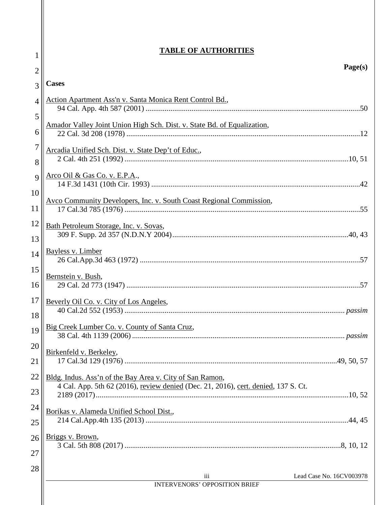| 1  | <b>TABLE OF AUTHORITIES</b>                                                        |
|----|------------------------------------------------------------------------------------|
| 2  | Page(s)                                                                            |
| 3  | <b>Cases</b>                                                                       |
| 4  | <u> Action Apartment Ass'n v. Santa Monica Rent Control Bd.,</u>                   |
| 5  | Amador Valley Joint Union High Sch. Dist. v. State Bd. of Equalization,            |
| 6  |                                                                                    |
| 7  | Arcadia Unified Sch. Dist. v. State Dep't of Educ.,                                |
| 8  |                                                                                    |
| 9  | Arco Oil & Gas Co. v. E.P.A.,                                                      |
| 10 |                                                                                    |
| 11 | Avco Community Developers, Inc. v. South Coast Regional Commission,                |
| 12 | Bath Petroleum Storage, Inc. v. Sovas,                                             |
| 13 |                                                                                    |
| 14 | Bayless v. Limber                                                                  |
| 15 |                                                                                    |
| 16 | Bernstein v. Bush,                                                                 |
| 17 | Beverly Oil Co. v. City of Los Angeles,                                            |
| 18 |                                                                                    |
| 19 | Big Creek Lumber Co. v. County of Santa Cruz,                                      |
| 20 | Birkenfeld v. Berkeley,                                                            |
| 21 |                                                                                    |
| 22 | Bldg. Indus. Ass'n of the Bay Area v. City of San Ramon,                           |
| 23 | 4 Cal. App. 5th 62 (2016), review denied (Dec. 21, 2016), cert. denied, 137 S. Ct. |
| 24 | Borikas v. Alameda Unified School Dist.,                                           |
| 25 |                                                                                    |
| 26 | Briggs v. Brown,                                                                   |
| 27 |                                                                                    |
| 28 | Lead Case No. 16CV003978<br>iii                                                    |
|    | <b>INTERVENORS' OPPOSITION BRIEF</b>                                               |
|    |                                                                                    |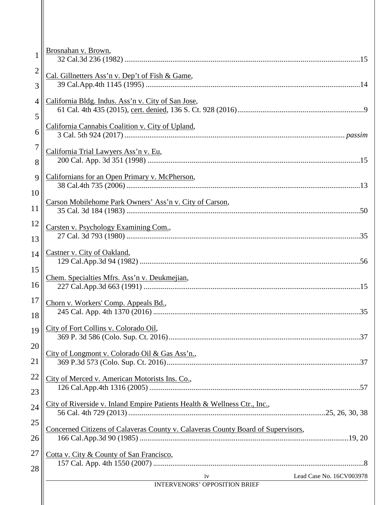| $\mathbf{1}$        | Brosnahan v. Brown,                                                              |
|---------------------|----------------------------------------------------------------------------------|
| 2                   |                                                                                  |
| 3                   | Cal. Gillnetters Ass'n v. Dep't of Fish & Game,                                  |
| $\overline{4}$<br>5 | California Bldg. Indus. Ass'n v. City of San Jose,                               |
| 6                   | California Cannabis Coalition v. City of Upland,                                 |
| 7                   |                                                                                  |
| 8                   | California Trial Lawyers Ass'n v. Eu,                                            |
| 9<br>10             | Californians for an Open Primary v. McPherson,                                   |
| 11                  | Carson Mobilehome Park Owners' Ass'n v. City of Carson,                          |
| 12<br>13            | Carsten v. Psychology Examining Com.,                                            |
| 14                  | Castner v. City of Oakland,                                                      |
| 15<br>16            | Chem. Specialties Mfrs. Ass'n v. Deukmejian,                                     |
| 17<br>18            | Chorn v. Workers' Comp. Appeals Bd.,                                             |
| 19                  | City of Fort Collins v. Colorado Oil,                                            |
| 20<br>21            | City of Longmont v. Colorado Oil & Gas Ass'n.,                                   |
| 22<br>23            | City of Merced v. American Motorists Ins. Co.,                                   |
| 24                  |                                                                                  |
| 25<br>26            | Concerned Citizens of Calaveras County v. Calaveras County Board of Supervisors, |
| 27                  | Cotta v. City & County of San Francisco,                                         |
| 28                  | Lead Case No. 16CV003978<br>iv                                                   |
|                     | <b>INTERVENORS' OPPOSITION BRIEF</b>                                             |
|                     |                                                                                  |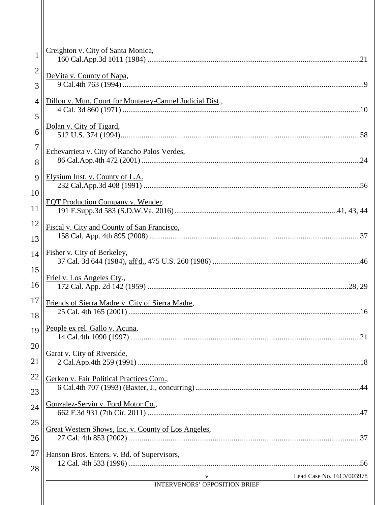| 1              | Creighton v. City of Santa Monica,                       |
|----------------|----------------------------------------------------------|
| $\overline{2}$ |                                                          |
| 3              | DeVita v. County of Napa,                                |
| $\overline{4}$ | Dillon v. Mun. Court for Monterey-Carmel Judicial Dist., |
| 5              |                                                          |
| 6              | Dolan v. City of Tigard,                                 |
| $\tau$         |                                                          |
| 8              | Echevarrieta v. City of Rancho Palos Verdes,             |
| 9              | Elysium Inst. v. County of L.A.                          |
| 10             | <b>EQT Production Company v. Wender,</b>                 |
| 11             |                                                          |
| 12<br>13       | Fiscal v. City and County of San Francisco,              |
| 14             | Fisher v. City of Berkeley,                              |
| 15             | Friel v. Los Angeles Cty.,                               |
| 16             |                                                          |
| 17             | Friends of Sierra Madre v. City of Sierra Madre,         |
| 18             | People ex rel. Gallo v. Acuna,                           |
| 19             |                                                          |
| 20<br>21       | Garat v. City of Riverside,                              |
| 22             | Gerken v. Fair Political Practices Com.,                 |
| 23             |                                                          |
| 24             | Gonzalez-Servin v. Ford Motor Co.,                       |
| 25             | Great Western Shows, Inc. v. County of Los Angeles,      |
| 26             |                                                          |
| 27             | Hanson Bros. Enters. v. Bd. of Supervisors,              |
| 28             | Lead Case No. 16CV003978<br>V                            |
|                | INTERVENORS' OPPOSITION BRIEF                            |
|                |                                                          |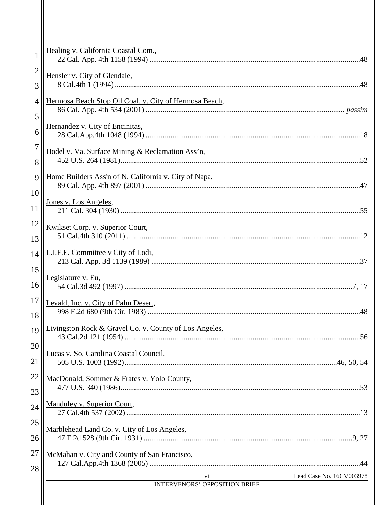| $\mathbf{1}$   | Healing v. California Coastal Com.,                    |
|----------------|--------------------------------------------------------|
| $\overline{2}$ | Hensler v. City of Glendale,                           |
| 3              |                                                        |
| $\overline{4}$ | Hermosa Beach Stop Oil Coal. v. City of Hermosa Beach, |
| 5              | Hernandez v. City of Encinitas,                        |
| 6              |                                                        |
| $\tau$         | Hodel v. Va. Surface Mining & Reclamation Ass'n,       |
| 8              |                                                        |
| 9              | Home Builders Ass'n of N. California v. City of Napa,  |
| 10             | Jones v. Los Angeles,                                  |
| 11             |                                                        |
| 12             | Kwikset Corp. v. Superior Court,                       |
| 13             |                                                        |
| 14             | L.I.F.E. Committee v City of Lodi,                     |
| 15             | Legislature v. Eu,                                     |
| 16             |                                                        |
| 17             | Levald, Inc. v. City of Palm Desert,                   |
| 18             |                                                        |
| 19             | Livingston Rock & Gravel Co. v. County of Los Angeles, |
| 20             |                                                        |
| 21             | Lucas v. So. Carolina Coastal Council,                 |
| 22             |                                                        |
|                | MacDonald, Sommer & Frates v. Yolo County,             |
| 23             | Manduley v. Superior Court,                            |
| 24             |                                                        |
| 25             | Marblehead Land Co. v. City of Los Angeles,            |
| 26             |                                                        |
| 27             | McMahan v. City and County of San Francisco,           |
| 28             | Lead Case No. 16CV003978<br>V <sub>1</sub>             |
|                | <b>INTERVENORS' OPPOSITION BRIEF</b>                   |
|                |                                                        |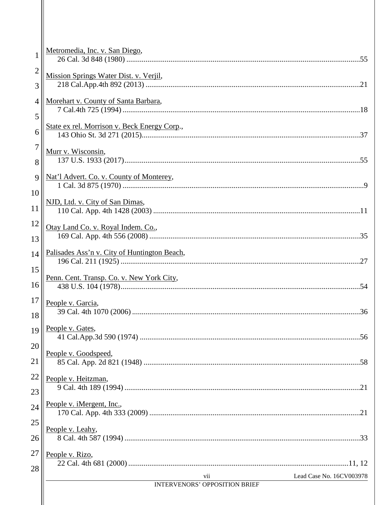| $\mathbf{1}$        | Metromedia, Inc. v. San Diego,                                          |
|---------------------|-------------------------------------------------------------------------|
| $\overline{2}$<br>3 | Mission Springs Water Dist. v. Verjil,                                  |
| $\overline{4}$<br>5 | Morehart v. County of Santa Barbara,                                    |
| 6                   | State ex rel. Morrison v. Beck Energy Corp.,                            |
| $\overline{7}$<br>8 | Murr v. Wisconsin,                                                      |
| 9                   | Nat'l Advert. Co. v. County of Monterey,                                |
| 10<br>11            | NJD, Ltd. v. City of San Dimas,                                         |
| 12                  | Otay Land Co. v. Royal Indem. Co.,                                      |
| 13<br>14            | Palisades Ass'n v. City of Huntington Beach,                            |
| 15<br>16            | Penn. Cent. Transp. Co. v. New York City,                               |
| 17                  | People v. Garcia,                                                       |
| 18<br>19            | People v. Gates,                                                        |
| 20                  | People v. Goodspeed,                                                    |
| 21<br>22            | People v. Heitzman,                                                     |
| 23                  |                                                                         |
| 24<br>25            | People v. iMergent, Inc.,                                               |
| 26                  | People v. Leahy,                                                        |
| 27<br>28            | People v. Rizo,                                                         |
|                     | Lead Case No. 16CV003978<br>vii<br><b>INTERVENORS' OPPOSITION BRIEF</b> |
|                     |                                                                         |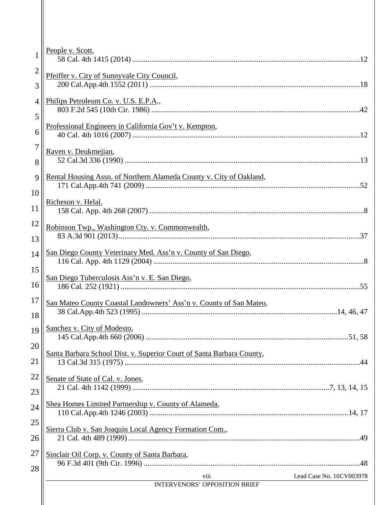| $\mathbf{1}$   | People v. Scott,                                                         |
|----------------|--------------------------------------------------------------------------|
| $\overline{c}$ | Pfeiffer v. City of Sunnyvale City Council,                              |
| 3              |                                                                          |
| 4              | Philips Petroleum Co. v. U.S. E.P.A.,                                    |
| 5              | Professional Engineers in California Gov't v. Kempton,                   |
| 6              |                                                                          |
| 7              | Raven v. Deukmejian,                                                     |
| 8              |                                                                          |
| 9              | Rental Housing Assn. of Northern Alameda County v. City of Oakland,      |
| 10             | Richeson v. Helal,                                                       |
| 11             |                                                                          |
| 12             | Robinson Twp., Washington Cty. v. Commonwealth,                          |
| 13             |                                                                          |
| 14             | San Diego County Veterinary Med. Ass'n v. County of San Diego,           |
| 15             | San Diego Tuberculosis Ass'n v. E. San Diego,                            |
| 16             |                                                                          |
| 17             | San Mateo County Coastal Landowners' Ass'n v. County of San Mateo,       |
| 18             |                                                                          |
| 19             | Sanchez v. City of Modesto,                                              |
| 20             | Santa Barbara School Dist. v. Superior Court of Santa Barbara County,    |
| 21             |                                                                          |
| 22             | Senate of State of Cal. v. Jones,                                        |
| 23             | Shea Homes Limited Partnership v. County of Alameda,                     |
| 24             |                                                                          |
| 25             | Sierra Club v. San Joaquin Local Agency Formation Com.,                  |
| 26             |                                                                          |
| 27             | Sinclair Oil Corp. v. County of Santa Barbara,                           |
| 28             | viii<br>Lead Case No. 16CV003978<br><b>INTERVENORS' OPPOSITION BRIEF</b> |
|                |                                                                          |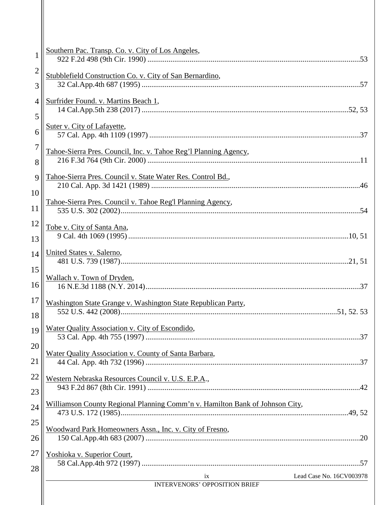| $\mathbf{1}$        | Southern Pac. Transp. Co. v. City of Los Angeles,                            |
|---------------------|------------------------------------------------------------------------------|
| $\overline{2}$<br>3 | Stubblefield Construction Co. v. City of San Bernardino,                     |
| $\overline{4}$      | Surfrider Found. v. Martins Beach 1,                                         |
| 5                   |                                                                              |
| 6                   | Suter v. City of Lafayette,                                                  |
| 7<br>8              | Tahoe-Sierra Pres. Council, Inc. v. Tahoe Reg'l Planning Agency,             |
| 9                   | Tahoe-Sierra Pres. Council v. State Water Res. Control Bd.,                  |
| 10<br>11            | Tahoe-Sierra Pres. Council v. Tahoe Reg'l Planning Agency,                   |
| 12<br>13            | Tobe v. City of Santa Ana,                                                   |
| 14                  | United States v. Salerno,                                                    |
| 15<br>16            | Wallach v. Town of Dryden,                                                   |
| 17<br>18            | Washington State Grange v. Washington State Republican Party,                |
| 19                  | Water Quality Association v. City of Escondido,                              |
| 20<br>21            | Water Quality Association v. County of Santa Barbara,                        |
| 22                  | Western Nebraska Resources Council v. U.S. E.P.A.,                           |
| 23                  |                                                                              |
| 24                  | Williamson County Regional Planning Comm'n v. Hamilton Bank of Johnson City, |
| 25                  |                                                                              |
| 26                  | Woodward Park Homeowners Assn., Inc. v. City of Fresno,                      |
| 27                  | Yoshioka v. Superior Court,                                                  |
| 28                  |                                                                              |
|                     | Lead Case No. 16CV003978<br>ix<br><b>INTERVENORS' OPPOSITION BRIEF</b>       |
|                     |                                                                              |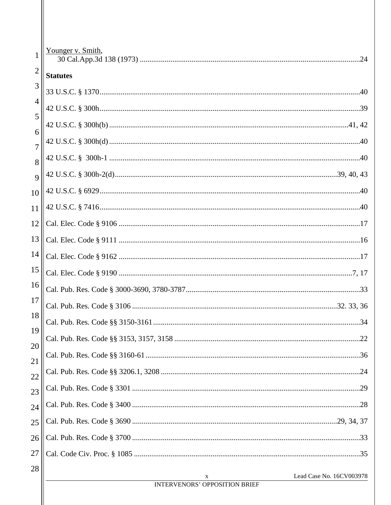| $\mathbf{1}$        | Younger v. Smith,                    |                          |
|---------------------|--------------------------------------|--------------------------|
| $\overline{2}$      | <b>Statutes</b>                      |                          |
| 3                   |                                      |                          |
| $\overline{4}$      |                                      |                          |
| 5                   |                                      |                          |
| 6<br>$\overline{7}$ |                                      |                          |
| 8                   |                                      |                          |
| $\overline{Q}$      |                                      |                          |
| 10                  |                                      |                          |
| 11                  |                                      |                          |
| 12                  |                                      |                          |
| 13                  |                                      |                          |
| 14                  |                                      |                          |
| 15                  |                                      |                          |
| 16                  |                                      |                          |
| 17                  |                                      |                          |
| 18                  |                                      |                          |
| 19                  |                                      |                          |
| 20<br>21            |                                      |                          |
| 22                  |                                      |                          |
| 23                  |                                      |                          |
| 24                  |                                      |                          |
| 25                  |                                      |                          |
| 26                  |                                      |                          |
| 27                  |                                      |                          |
| 28                  | X                                    | Lead Case No. 16CV003978 |
|                     | <b>INTERVENORS' OPPOSITION BRIEF</b> |                          |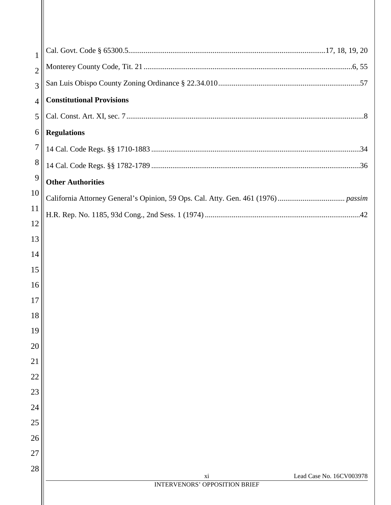| $\mathbf{1}$   |                                      |
|----------------|--------------------------------------|
| $\overline{2}$ |                                      |
| 3              |                                      |
| $\overline{4}$ | <b>Constitutional Provisions</b>     |
| 5              |                                      |
| 6              | <b>Regulations</b>                   |
| $\overline{7}$ |                                      |
| 8              |                                      |
| 9              | <b>Other Authorities</b>             |
| 10             |                                      |
| 11             |                                      |
| 12             |                                      |
| 13<br>14       |                                      |
| 15             |                                      |
| 16             |                                      |
| 17             |                                      |
| 18             |                                      |
| 19             |                                      |
| 20             |                                      |
| 21             |                                      |
| 22             |                                      |
| 23             |                                      |
| 24             |                                      |
| 25             |                                      |
| 26             |                                      |
| 27             |                                      |
| 28             | Lead Case No. 16CV003978<br>xi       |
|                | <b>INTERVENORS' OPPOSITION BRIEF</b> |
|                |                                      |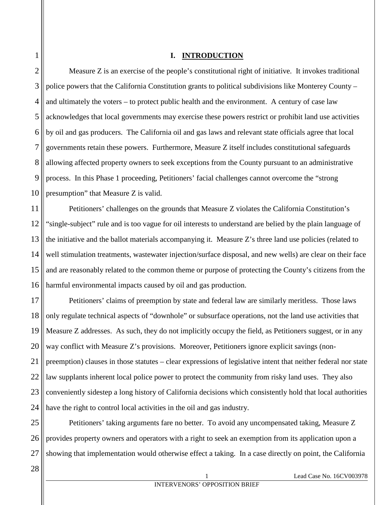## **I. INTRODUCTION**

<span id="page-13-0"></span>7 8 9 10 Measure Z is an exercise of the people's constitutional right of initiative. It invokes traditional police powers that the California Constitution grants to political subdivisions like Monterey County – and ultimately the voters – to protect public health and the environment. A century of case law acknowledges that local governments may exercise these powers restrict or prohibit land use activities by oil and gas producers. The California oil and gas laws and relevant state officials agree that local governments retain these powers. Furthermore, Measure Z itself includes constitutional safeguards allowing affected property owners to seek exceptions from the County pursuant to an administrative process. In this Phase 1 proceeding, Petitioners' facial challenges cannot overcome the "strong presumption" that Measure Z is valid.

11 12 13 14 15 16 Petitioners' challenges on the grounds that Measure Z violates the California Constitution's "single-subject" rule and is too vague for oil interests to understand are belied by the plain language of the initiative and the ballot materials accompanying it. Measure Z's three land use policies (related to well stimulation treatments, wastewater injection/surface disposal, and new wells) are clear on their face and are reasonably related to the common theme or purpose of protecting the County's citizens from the harmful environmental impacts caused by oil and gas production.

17 18 19 20 21 22 23 24 Petitioners' claims of preemption by state and federal law are similarly meritless. Those laws only regulate technical aspects of "downhole" or subsurface operations, not the land use activities that Measure Z addresses. As such, they do not implicitly occupy the field, as Petitioners suggest, or in any way conflict with Measure Z's provisions. Moreover, Petitioners ignore explicit savings (nonpreemption) clauses in those statutes – clear expressions of legislative intent that neither federal nor state law supplants inherent local police power to protect the community from risky land uses. They also conveniently sidestep a long history of California decisions which consistently hold that local authorities have the right to control local activities in the oil and gas industry.

25 26 27 Petitioners' taking arguments fare no better. To avoid any uncompensated taking, Measure Z provides property owners and operators with a right to seek an exemption from its application upon a showing that implementation would otherwise effect a taking. In a case directly on point, the California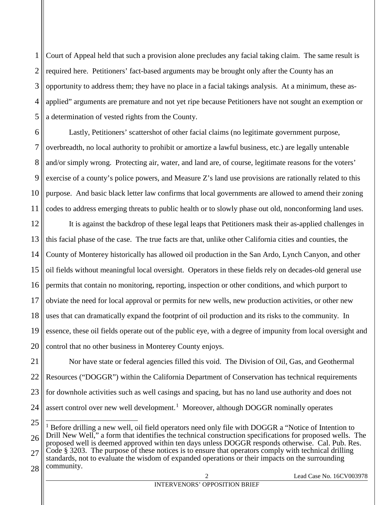1 2 3 4 5 Court of Appeal held that such a provision alone precludes any facial taking claim. The same result is required here. Petitioners' fact-based arguments may be brought only after the County has an opportunity to address them; they have no place in a facial takings analysis. At a minimum, these asapplied" arguments are premature and not yet ripe because Petitioners have not sought an exemption or a determination of vested rights from the County.

6 7 8 9 10 11 Lastly, Petitioners' scattershot of other facial claims (no legitimate government purpose, overbreadth, no local authority to prohibit or amortize a lawful business, etc.) are legally untenable and/or simply wrong. Protecting air, water, and land are, of course, legitimate reasons for the voters' exercise of a county's police powers, and Measure Z's land use provisions are rationally related to this purpose. And basic black letter law confirms that local governments are allowed to amend their zoning codes to address emerging threats to public health or to slowly phase out old, nonconforming land uses.

12 13 14 15 16 17 18 19 20 It is against the backdrop of these legal leaps that Petitioners mask their as-applied challenges in this facial phase of the case. The true facts are that, unlike other California cities and counties, the County of Monterey historically has allowed oil production in the San Ardo, Lynch Canyon, and other oil fields without meaningful local oversight. Operators in these fields rely on decades-old general use permits that contain no monitoring, reporting, inspection or other conditions, and which purport to obviate the need for local approval or permits for new wells, new production activities, or other new uses that can dramatically expand the footprint of oil production and its risks to the community. In essence, these oil fields operate out of the public eye, with a degree of impunity from local oversight and control that no other business in Monterey County enjoys.

21 22 23 24 Nor have state or federal agencies filled this void. The Division of Oil, Gas, and Geothermal Resources ("DOGGR") within the California Department of Conservation has technical requirements for downhole activities such as well casings and spacing, but has no land use authority and does not assert control over new well development.<sup>[1](#page-14-0)</sup> Moreover, although DOGGR nominally operates

<span id="page-14-0"></span>25 26 27 28  $<sup>1</sup>$  Before drilling a new well, oil field operators need only file with DOGGR a "Notice of Intention to</sup> Drill New Well," a form that identifies the technical construction specifications for proposed wells. The proposed well is deemed approved within ten days unless DOGGR responds otherwise. Cal. Pub. Res. Code § 3203. The purpose of these notices is to ensure that operators comply with technical drilling standards, not to evaluate the wisdom of expanded operations or their impacts on the surrounding community.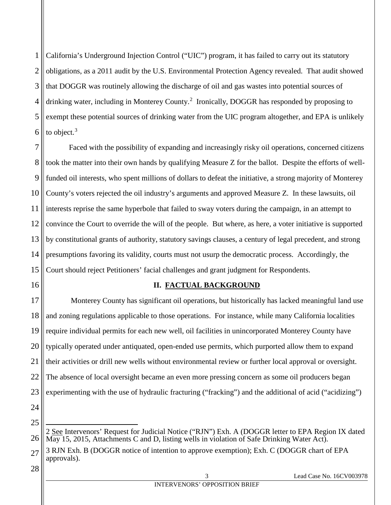1 2 3 4 5 6 California's Underground Injection Control ("UIC") program, it has failed to carry out its statutory obligations, as a 2011 audit by the U.S. Environmental Protection Agency revealed. That audit showed that DOGGR was routinely allowing the discharge of oil and gas wastes into potential sources of drinking water, including in Monterey County.<sup>[2](#page-15-1)</sup> Ironically, DOGGR has responded by proposing to exempt these potential sources of drinking water from the UIC program altogether, and EPA is unlikely to object.<sup>[3](#page-15-2)</sup>

7 8 9 10 11 12 13 14 15 Faced with the possibility of expanding and increasingly risky oil operations, concerned citizens took the matter into their own hands by qualifying Measure Z for the ballot. Despite the efforts of wellfunded oil interests, who spent millions of dollars to defeat the initiative, a strong majority of Monterey County's voters rejected the oil industry's arguments and approved Measure Z. In these lawsuits, oil interests reprise the same hyperbole that failed to sway voters during the campaign, in an attempt to convince the Court to override the will of the people. But where, as here, a voter initiative is supported by constitutional grants of authority, statutory savings clauses, a century of legal precedent, and strong presumptions favoring its validity, courts must not usurp the democratic process. Accordingly, the Court should reject Petitioners' facial challenges and grant judgment for Respondents.

<span id="page-15-0"></span>16

## **II. FACTUAL BACKGROUND**

17 18 19 20 21 22 23 24 25 Monterey County has significant oil operations, but historically has lacked meaningful land use and zoning regulations applicable to those operations. For instance, while many California localities require individual permits for each new well, oil facilities in unincorporated Monterey County have typically operated under antiquated, open-ended use permits, which purported allow them to expand their activities or drill new wells without environmental review or further local approval or oversight. The absence of local oversight became an even more pressing concern as some oil producers began experimenting with the use of hydraulic fracturing ("fracking") and the additional of acid ("acidizing")  $\overline{a}$ 

<span id="page-15-1"></span>26 2 See Intervenors' Request for Judicial Notice ("RJN") Exh. A (DOGGR letter to EPA Region IX dated May 15, 2015, Attachments C and D, listing wells in violation of Safe Drinking Water Act).

<span id="page-15-2"></span>27 3 RJN Exh. B (DOGGR notice of intention to approve exemption); Exh. C (DOGGR chart of EPA approvals).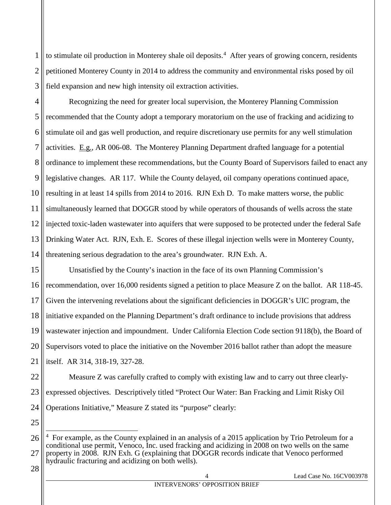1 2 3 to stimulate oil production in Monterey shale oil deposits.<sup>[4](#page-16-0)</sup> After years of growing concern, residents petitioned Monterey County in 2014 to address the community and environmental risks posed by oil field expansion and new high intensity oil extraction activities.

4 5 6 7 8 9 10 11 12 13 14 Recognizing the need for greater local supervision, the Monterey Planning Commission recommended that the County adopt a temporary moratorium on the use of fracking and acidizing to stimulate oil and gas well production, and require discretionary use permits for any well stimulation activities. E.g., AR 006-08. The Monterey Planning Department drafted language for a potential ordinance to implement these recommendations, but the County Board of Supervisors failed to enact any legislative changes. AR 117. While the County delayed, oil company operations continued apace, resulting in at least 14 spills from 2014 to 2016. RJN Exh D. To make matters worse, the public simultaneously learned that DOGGR stood by while operators of thousands of wells across the state injected toxic-laden wastewater into aquifers that were supposed to be protected under the federal Safe Drinking Water Act. RJN, Exh. E. Scores of these illegal injection wells were in Monterey County, threatening serious degradation to the area's groundwater. RJN Exh. A.

15 16 17 18 19 20 21 Unsatisfied by the County's inaction in the face of its own Planning Commission's recommendation, over 16,000 residents signed a petition to place Measure Z on the ballot. AR 118-45. Given the intervening revelations about the significant deficiencies in DOGGR's UIC program, the initiative expanded on the Planning Department's draft ordinance to include provisions that address wastewater injection and impoundment. Under California Election Code section 9118(b), the Board of Supervisors voted to place the initiative on the November 2016 ballot rather than adopt the measure itself. AR 314, 318-19, 327-28.

22 Measure Z was carefully crafted to comply with existing law and to carry out three clearly-

23 24 expressed objectives. Descriptively titled "Protect Our Water: Ban Fracking and Limit Risky Oil Operations Initiative," Measure Z stated its "purpose" clearly:

25

<span id="page-16-0"></span><sup>26</sup> 27 4 For example, as the County explained in an analysis of a 2015 application by Trio Petroleum for a conditional use permit, Venoco, Inc. used fracking and acidizing in 2008 on two wells on the same property in 2008. RJN Exh. G (explaining that DOGGR records indicate that Venoco performed hydraulic fracturing and acidizing on both wells).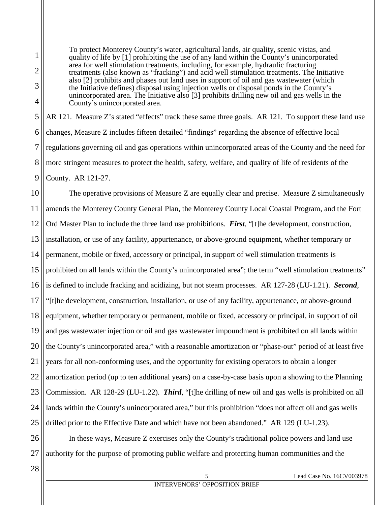To protect Monterey County's water, agricultural lands, air quality, scenic vistas, and quality of life by [1] prohibiting the use of any land within the County's unincorporated area for well stimulation treatments, including, for example, hydraulic fracturing treatments (also known as "fracking") and acid well stimulation treatments. The Initiative also [2] prohibits and phases out land uses in support of oil and gas wastewater (which the Initiative defines) disposal using injection wells or disposal ponds in the County's unincorporated area. The Initiative also [3] prohibits drilling new oil and gas wells in the County's unincorporated area.

AR 121. Measure Z's stated "effects" track these same three goals. AR 121. To support these land use changes, Measure Z includes fifteen detailed "findings" regarding the absence of effective local regulations governing oil and gas operations within unincorporated areas of the County and the need for more stringent measures to protect the health, safety, welfare, and quality of life of residents of the County. AR 121-27.

The operative provisions of Measure Z are equally clear and precise. Measure Z simultaneously amends the Monterey County General Plan, the Monterey County Local Coastal Program, and the Fort Ord Master Plan to include the three land use prohibitions. *First*, "[t]he development, construction, installation, or use of any facility, appurtenance, or above-ground equipment, whether temporary or permanent, mobile or fixed, accessory or principal, in support of well stimulation treatments is prohibited on all lands within the County's unincorporated area"; the term "well stimulation treatments" is defined to include fracking and acidizing, but not steam processes. AR 127-28 (LU-1.21). *Second*, "[t]he development, construction, installation, or use of any facility, appurtenance, or above-ground equipment, whether temporary or permanent, mobile or fixed, accessory or principal, in support of oil and gas wastewater injection or oil and gas wastewater impoundment is prohibited on all lands within the County's unincorporated area," with a reasonable amortization or "phase-out" period of at least five years for all non-conforming uses, and the opportunity for existing operators to obtain a longer amortization period (up to ten additional years) on a case-by-case basis upon a showing to the Planning Commission. AR 128-29 (LU-1.22). *Third*, "[t]he drilling of new oil and gas wells is prohibited on all lands within the County's unincorporated area," but this prohibition "does not affect oil and gas wells drilled prior to the Effective Date and which have not been abandoned." AR 129 (LU-1.23).

In these ways, Measure Z exercises only the County's traditional police powers and land use authority for the purpose of promoting public welfare and protecting human communities and the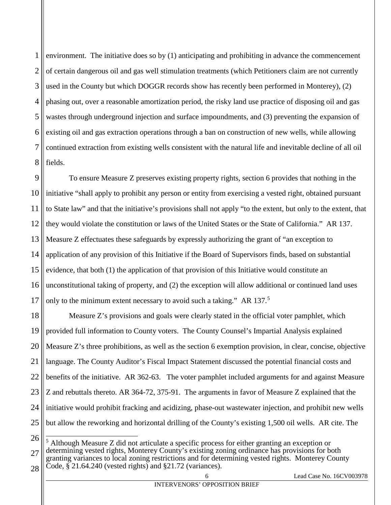1 2 3 4 5 6 7 8 environment. The initiative does so by (1) anticipating and prohibiting in advance the commencement of certain dangerous oil and gas well stimulation treatments (which Petitioners claim are not currently used in the County but which DOGGR records show has recently been performed in Monterey), (2) phasing out, over a reasonable amortization period, the risky land use practice of disposing oil and gas wastes through underground injection and surface impoundments, and (3) preventing the expansion of existing oil and gas extraction operations through a ban on construction of new wells, while allowing continued extraction from existing wells consistent with the natural life and inevitable decline of all oil fields.

9 10 11 12 13 14 15 16 17 To ensure Measure Z preserves existing property rights, section 6 provides that nothing in the initiative "shall apply to prohibit any person or entity from exercising a vested right, obtained pursuant to State law" and that the initiative's provisions shall not apply "to the extent, but only to the extent, that they would violate the constitution or laws of the United States or the State of California." AR 137. Measure Z effectuates these safeguards by expressly authorizing the grant of "an exception to application of any provision of this Initiative if the Board of Supervisors finds, based on substantial evidence, that both (1) the application of that provision of this Initiative would constitute an unconstitutional taking of property, and (2) the exception will allow additional or continued land uses only to the minimum extent necessary to avoid such a taking." AR 137.<sup>[5](#page-18-1)</sup>

18 19 20 21 22 23 24 25 Measure Z's provisions and goals were clearly stated in the official voter pamphlet, which provided full information to County voters. The County Counsel's Impartial Analysis explained Measure Z's three prohibitions, as well as the section 6 exemption provision, in clear, concise, objective language. The County Auditor's Fiscal Impact Statement discussed the potential financial costs and benefits of the initiative. AR 362-63. The voter pamphlet included arguments for and against Measure Z and rebuttals thereto. AR 364-72, 375-91. The arguments in favor of Measure Z explained that the initiative would prohibit fracking and acidizing, phase-out wastewater injection, and prohibit new wells but allow the reworking and horizontal drilling of the County's existing 1,500 oil wells. AR cite. The

<span id="page-18-1"></span><span id="page-18-0"></span><sup>27</sup> 28 5 Although Measure Z did not articulate a specific process for either granting an exception or determining vested rights, Monterey County's existing zoning ordinance has provisions for both granting variances to local zoning restrictions and for determining vested rights. Monterey County Code, § 21.64.240 (vested rights) and §21.72 (variances).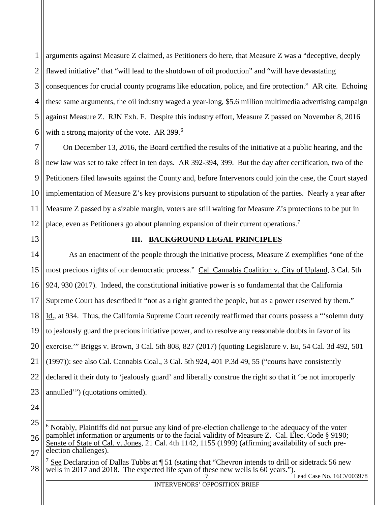1 2 3 4 5 6 arguments against Measure Z claimed, as Petitioners do here, that Measure Z was a "deceptive, deeply flawed initiative" that "will lead to the shutdown of oil production" and "will have devastating consequences for crucial county programs like education, police, and fire protection." AR cite. Echoing these same arguments, the oil industry waged a year-long, \$5.6 million multimedia advertising campaign against Measure Z. RJN Exh. F. Despite this industry effort, Measure Z passed on November 8, 2016 with a strong majority of the vote. AR 399.<sup>[6](#page-19-3)</sup>

7 8 9 10 11 12 On December 13, 2016, the Board certified the results of the initiative at a public hearing, and the new law was set to take effect in ten days. AR 392-394, 399. But the day after certification, two of the Petitioners filed lawsuits against the County and, before Intervenors could join the case, the Court stayed implementation of Measure Z's key provisions pursuant to stipulation of the parties. Nearly a year after Measure Z passed by a sizable margin, voters are still waiting for Measure Z's protections to be put in place, even as Petitioners go about planning expansion of their current operations.<sup>[7](#page-19-4)</sup>

<span id="page-19-0"></span>13

## **III. BACKGROUND LEGAL PRINCIPLES**

14 15 16 17 18 19 20 21 22 23 As an enactment of the people through the initiative process, Measure Z exemplifies "one of the most precious rights of our democratic process." Cal. Cannabis Coalition v. City of Upland, 3 Cal. 5th 924, 930 (2017). Indeed, the constitutional initiative power is so fundamental that the California Supreme Court has described it "not as a right granted the people, but as a power reserved by them." Id., at 934. Thus, the California Supreme Court recently reaffirmed that courts possess a "'solemn duty to jealously guard the precious initiative power, and to resolve any reasonable doubts in favor of its exercise." Briggs v. Brown, 3 Cal. 5th 808, 827 (2017) (quoting Legislature v. Eu, 54 Cal. 3d 492, 501 (1997)): see also Cal. Cannabis Coal., 3 Cal. 5th 924, 401 P.3d 49, 55 ("courts have consistently declared it their duty to 'jealously guard' and liberally construe the right so that it 'be not improperly annulled'") (quotations omitted).

24

<span id="page-19-2"></span>7 **Lead Case No. 16CV003978** 

<span id="page-19-3"></span><sup>25</sup> 26 27 <sup>6</sup> Notably, Plaintiffs did not pursue any kind of pre-election challenge to the adequacy of the voter pamphlet information or arguments or to the facial validity of Measure Z. Cal. Elec. Code § 9190; Senate of State of Cal. v. Jones, 21 Cal. 4th 1142, 1155 (1999) (affirming availability of such preelection challenges).

<span id="page-19-4"></span><span id="page-19-1"></span><sup>28</sup> <sup>7</sup> See Declaration of Dallas Tubbs at  $\P$  51 (stating that "Chevron intends to drill or sidetrack 56 new wells in 2017 and 2018. The expected life span of these new wells is 60 years.").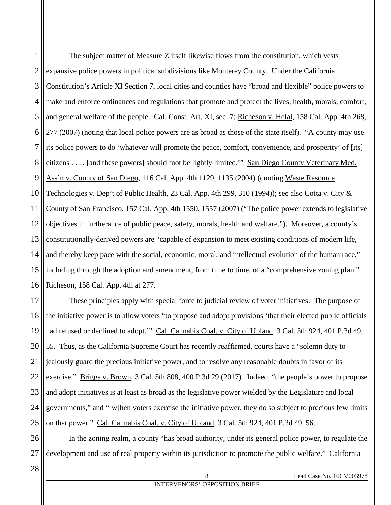<span id="page-20-5"></span><span id="page-20-4"></span><span id="page-20-3"></span>1 2 3 4 5 6 7 8 9 10 11 12 13 14 15 16 The subject matter of Measure Z itself likewise flows from the constitution, which vests expansive police powers in political subdivisions like Monterey County. Under the California Constitution's Article XI Section 7, local cities and counties have "broad and flexible" police powers to make and enforce ordinances and regulations that promote and protect the lives, health, morals, comfort, and general welfare of the people. Cal. Const. Art. XI, sec. 7; Richeson v. Helal, 158 Cal. App. 4th 268, 277 (2007) (noting that local police powers are as broad as those of the state itself). "A county may use its police powers to do 'whatever will promote the peace, comfort, convenience, and prosperity' of [its] citizens . . . , [and these powers] should 'not be lightly limited.'" San Diego County Veterinary Med. Ass'n v. County of San Diego, 116 Cal. App. 4th 1129, 1135 (2004) (quoting Waste Resource Technologies v. Dep't of Public Health, 23 Cal. App. 4th 299, 310 (1994)); see also Cotta v. City  $\&$ County of San Francisco, 157 Cal. App. 4th 1550, 1557 (2007) ("The police power extends to legislative objectives in furtherance of public peace, safety, morals, health and welfare."). Moreover, a county's constitutionally-derived powers are "capable of expansion to meet existing conditions of modern life, and thereby keep pace with the social, economic, moral, and intellectual evolution of the human race," including through the adoption and amendment, from time to time, of a "comprehensive zoning plan." Richeson, 158 Cal. App. 4th at 277.

<span id="page-20-2"></span>17 18 19 20 21 22 23 24 25 These principles apply with special force to judicial review of voter initiatives. The purpose of the initiative power is to allow voters "to propose and adopt provisions 'that their elected public officials had refused or declined to adopt." Cal. Cannabis Coal. v. City of Upland, 3 Cal. 5th 924, 401 P.3d 49, 55. Thus, as the California Supreme Court has recently reaffirmed, courts have a "solemn duty to jealously guard the precious initiative power, and to resolve any reasonable doubts in favor of its exercise." Briggs v. Brown, 3 Cal. 5th 808, 400 P.3d 29 (2017). Indeed, "the people's power to propose and adopt initiatives is at least as broad as the legislative power wielded by the Legislature and local governments," and "[w]hen voters exercise the initiative power, they do so subject to precious few limits on that power." Cal. Cannabis Coal. v. City of Upland, 3 Cal. 5th 924, 401 P.3d 49, 56.

<span id="page-20-1"></span><span id="page-20-0"></span>26 27 In the zoning realm, a county "has broad authority, under its general police power, to regulate the development and use of real property within its jurisdiction to promote the public welfare." California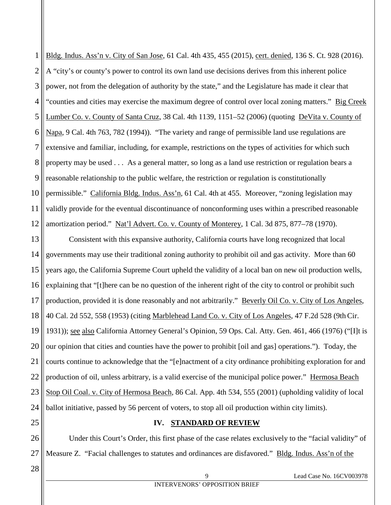<span id="page-21-2"></span>1 2 3 4 5 6 7 8 9 10 11 12 Bldg. Indus. Ass'n v. City of San Jose, 61 Cal. 4th 435, 455 (2015), cert. denied, 136 S. Ct. 928 (2016). A "city's or county's power to control its own land use decisions derives from this inherent police power, not from the delegation of authority by the state," and the Legislature has made it clear that "counties and cities may exercise the maximum degree of control over local zoning matters." Big Creek Lumber Co. v. County of Santa Cruz, 38 Cal. 4th 1139, 1151–52 (2006) (quoting DeVita v. County of Napa, 9 Cal. 4th 763, 782 (1994)). "The variety and range of permissible land use regulations are extensive and familiar, including, for example, restrictions on the types of activities for which such property may be used . . . As a general matter, so long as a land use restriction or regulation bears a reasonable relationship to the public welfare, the restriction or regulation is constitutionally permissible." California Bldg. Indus. Ass'n, 61 Cal. 4th at 455. Moreover, "zoning legislation may validly provide for the eventual discontinuance of nonconforming uses within a prescribed reasonable amortization period." Nat'l Advert. Co. v. County of Monterey, 1 Cal. 3d 875, 877–78 (1970).

<span id="page-21-5"></span>13 14 15 16 17 18 19 20 21 22 23 24 Consistent with this expansive authority, California courts have long recognized that local governments may use their traditional zoning authority to prohibit oil and gas activity. More than 60 years ago, the California Supreme Court upheld the validity of a local ban on new oil production wells, explaining that "[t]here can be no question of the inherent right of the city to control or prohibit such production, provided it is done reasonably and not arbitrarily." Beverly Oil Co. v. City of Los Angeles, 40 Cal. 2d 552, 558 (1953) (citing Marblehead Land Co. v. City of Los Angeles, 47 F.2d 528 (9th Cir. 1931)); see also California Attorney General's Opinion, 59 Ops. Cal. Atty. Gen. 461, 466 (1976) ("[I]t is our opinion that cities and counties have the power to prohibit [oil and gas] operations."). Today, the courts continue to acknowledge that the "[e]nactment of a city ordinance prohibiting exploration for and production of oil, unless arbitrary, is a valid exercise of the municipal police power." Hermosa Beach Stop Oil Coal. v. City of Hermosa Beach, 86 Cal. App. 4th 534, 555 (2001) (upholding validity of local ballot initiative, passed by 56 percent of voters, to stop all oil production within city limits).

<span id="page-21-0"></span>25

## <span id="page-21-4"></span><span id="page-21-3"></span><span id="page-21-1"></span>**IV. STANDARD OF REVIEW**

26 27 Under this Court's Order, this first phase of the case relates exclusively to the "facial validity" of Measure Z. "Facial challenges to statutes and ordinances are disfavored." Bldg. Indus. Ass'n of the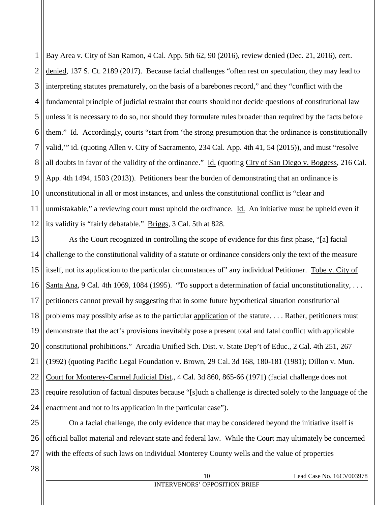1 2 3 4 5 6 7 8 9 10 11 12 Bay Area v. City of San Ramon, 4 Cal. App. 5th 62, 90 (2016), review denied (Dec. 21, 2016), cert. denied, 137 S. Ct. 2189 (2017). Because facial challenges "often rest on speculation, they may lead to interpreting statutes prematurely, on the basis of a barebones record," and they "conflict with the fundamental principle of judicial restraint that courts should not decide questions of constitutional law unless it is necessary to do so, nor should they formulate rules broader than required by the facts before them." Id. Accordingly, courts "start from 'the strong presumption that the ordinance is constitutionally valid,'" id. (quoting Allen v. City of Sacramento, 234 Cal. App. 4th 41, 54 (2015)), and must "resolve all doubts in favor of the validity of the ordinance." Id. (quoting City of San Diego v. Boggess, 216 Cal. App. 4th 1494, 1503 (2013)). Petitioners bear the burden of demonstrating that an ordinance is unconstitutional in all or most instances, and unless the constitutional conflict is "clear and unmistakable," a reviewing court must uphold the ordinance.  $Id$ . An initiative must be upheld even if its validity is "fairly debatable." Briggs, 3 Cal. 5th at 828.

<span id="page-22-3"></span><span id="page-22-1"></span>13 14 15 16 17 18 19 20 21 22 23 24 As the Court recognized in controlling the scope of evidence for this first phase, "[a] facial challenge to the constitutional validity of a statute or ordinance considers only the text of the measure itself, not its application to the particular circumstances of" any individual Petitioner. Tobe v. City of Santa Ana, 9 Cal. 4th 1069, 1084 (1995). "To support a determination of facial unconstitutionality, ... petitioners cannot prevail by suggesting that in some future hypothetical situation constitutional problems may possibly arise as to the particular application of the statute. . . . Rather, petitioners must demonstrate that the act's provisions inevitably pose a present total and fatal conflict with applicable constitutional prohibitions." Arcadia Unified Sch. Dist. v. State Dep't of Educ., 2 Cal. 4th 251, 267 (1992) (quoting Pacific Legal Foundation v. Brown, 29 Cal. 3d 168, 180-181 (1981); Dillon v. Mun. Court for Monterey-Carmel Judicial Dist., 4 Cal. 3d 860, 865-66 (1971) (facial challenge does not require resolution of factual disputes because "[s]uch a challenge is directed solely to the language of the enactment and not to its application in the particular case").

<span id="page-22-2"></span><span id="page-22-0"></span>25 26 27 On a facial challenge, the only evidence that may be considered beyond the initiative itself is official ballot material and relevant state and federal law. While the Court may ultimately be concerned with the effects of such laws on individual Monterey County wells and the value of properties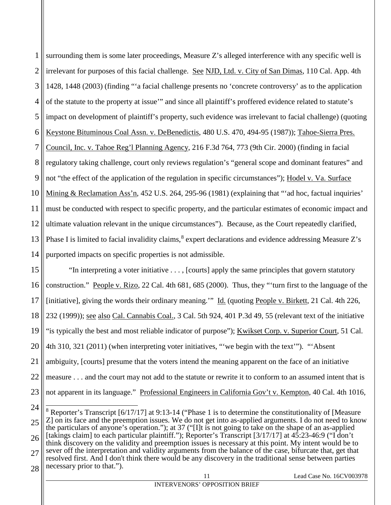<span id="page-23-4"></span><span id="page-23-1"></span>1 2 3 4 5 6 7 8 9 10 11 12 13 14 surrounding them is some later proceedings, Measure Z's alleged interference with any specific well is irrelevant for purposes of this facial challenge. See NJD, Ltd. v. City of San Dimas, 110 Cal. App. 4th 1428, 1448 (2003) (finding "'a facial challenge presents no 'concrete controversy' as to the application of the statute to the property at issue'" and since all plaintiff's proffered evidence related to statute's impact on development of plaintiff's property, such evidence was irrelevant to facial challenge) (quoting Keystone Bituminous Coal Assn. v. DeBenedictis, 480 U.S. 470, 494-95 (1987)); Tahoe-Sierra Pres. Council, Inc. v. Tahoe Reg'l Planning Agency, 216 F.3d 764, 773 (9th Cir. 2000) (finding in facial regulatory taking challenge, court only reviews regulation's "general scope and dominant features" and not "the effect of the application of the regulation in specific circumstances"); Hodel v. Va. Surface Mining & Reclamation Ass'n, 452 U.S. 264, 295-96 (1981) (explaining that "'ad hoc, factual inquiries' must be conducted with respect to specific property, and the particular estimates of economic impact and ultimate valuation relevant in the unique circumstances"). Because, as the Court repeatedly clarified, Phase I is limited to facial invalidity claims,  $\delta$  expert declarations and evidence addressing Measure Z's purported impacts on specific properties is not admissible.

<span id="page-23-2"></span><span id="page-23-0"></span>15 16 17 18 19 20 21 22 23 "In interpreting a voter initiative . . . , [courts] apply the same principles that govern statutory construction." People v. Rizo, 22 Cal. 4th 681, 685 (2000). Thus, they "'turn first to the language of the [initiative], giving the words their ordinary meaning.'" Id. (quoting People v. Birkett, 21 Cal. 4th 226, 232 (1999)); see also Cal. Cannabis Coal., 3 Cal. 5th 924, 401 P.3d 49, 55 (relevant text of the initiative "is typically the best and most reliable indicator of purpose"); Kwikset Corp. v. Superior Court, 51 Cal. 4th 310, 321 (2011) (when interpreting voter initiatives, "'we begin with the text'"). "'Absent ambiguity, [courts] presume that the voters intend the meaning apparent on the face of an initiative measure . . . and the court may not add to the statute or rewrite it to conform to an assumed intent that is not apparent in its language." Professional Engineers in California Gov't v. Kempton, 40 Cal. 4th 1016,

<span id="page-23-3"></span>24

<span id="page-23-5"></span>25 26 27 <sup>8</sup> Reporter's Transcript [6/17/17] at 9:13-14 ("Phase 1 is to determine the constitutionality of [Measure Z] on its face and the preemption issues. We do not get into as-applied arguments. I do not need to know the particulars of anyone's operation."); at 37 ("[I]t is not going to take on the shape of an as-applied [takings claim] to each particular plaintiff."); Reporter's Transcript [3/17/17] at 45:23-46:9 ("I don't think discovery on the validity and preemption issues is necessary at this point. My intent would be to sever off the interpretation and validity arguments from the balance of the case, bifurcate that, get that resolved first. And I don't think there would be any discovery in the traditional sense between parties necessary prior to that.").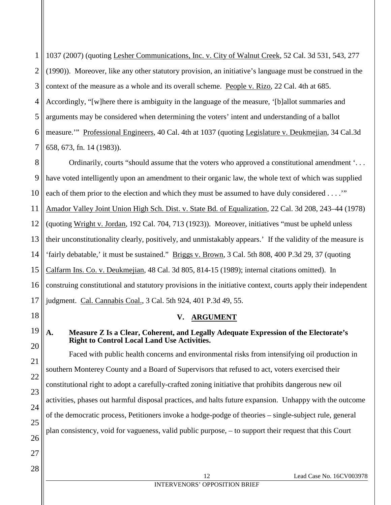1 2 3 4 5 6 7 1037 (2007) (quoting Lesher Communications, Inc. v. City of Walnut Creek, 52 Cal. 3d 531, 543, 277 (1990)). Moreover, like any other statutory provision, an initiative's language must be construed in the context of the measure as a whole and its overall scheme. People v. Rizo, 22 Cal. 4th at 685. Accordingly, "[w]here there is ambiguity in the language of the measure, '[b]allot summaries and arguments may be considered when determining the voters' intent and understanding of a ballot measure."" Professional Engineers, 40 Cal. 4th at 1037 (quoting Legislature v. Deukmejian, 34 Cal.3d 658, 673, fn. 14 (1983)).

<span id="page-24-2"></span>8 9 10 11 12 13 14 15 16 17 Ordinarily, courts "should assume that the voters who approved a constitutional amendment '. . . have voted intelligently upon an amendment to their organic law, the whole text of which was supplied each of them prior to the election and which they must be assumed to have duly considered . . . ." Amador Valley Joint Union High Sch. Dist. v. State Bd. of Equalization, 22 Cal. 3d 208, 243–44 (1978) (quoting Wright v. Jordan, 192 Cal. 704, 713 (1923)). Moreover, initiatives "must be upheld unless their unconstitutionality clearly, positively, and unmistakably appears.' If the validity of the measure is 'fairly debatable,' it must be sustained." Briggs v. Brown, 3 Cal. 5th 808, 400 P.3d 29, 37 (quoting Calfarm Ins. Co. v. Deukmejian, 48 Cal. 3d 805, 814-15 (1989); internal citations omitted). In construing constitutional and statutory provisions in the initiative context, courts apply their independent judgment. Cal. Cannabis Coal., 3 Cal. 5th 924, 401 P.3d 49, 55.

18 19

20

21

22

23

24

25

<span id="page-24-1"></span><span id="page-24-0"></span>**A. Measure Z Is a Clear, Coherent, and Legally Adequate Expression of the Electorate's** 

**Right to Control Local Land Use Activities.**

<span id="page-24-3"></span>**V. ARGUMENT**

26 Faced with public health concerns and environmental risks from intensifying oil production in southern Monterey County and a Board of Supervisors that refused to act, voters exercised their constitutional right to adopt a carefully-crafted zoning initiative that prohibits dangerous new oil activities, phases out harmful disposal practices, and halts future expansion. Unhappy with the outcome of the democratic process, Petitioners invoke a hodge-podge of theories – single-subject rule, general plan consistency, void for vagueness, valid public purpose, – to support their request that this Court

28

27

12 Lead Case No. 16CV003978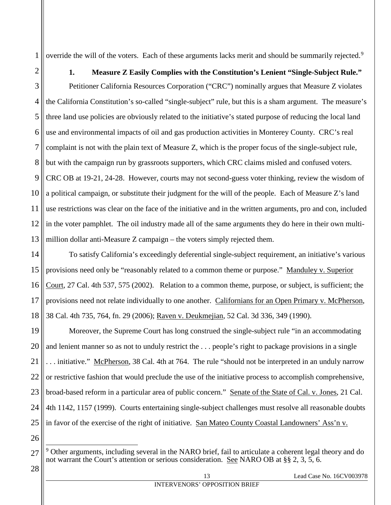override the will of the voters. Each of these arguments lacks merit and should be summarily rejected.<sup>[9](#page-25-5)</sup>

<span id="page-25-0"></span>

1

2

## **1. Measure Z Easily Complies with the Constitution's Lenient "Single-Subject Rule."**

3 4 5 6 7 8 9 10 11 12 13 Petitioner California Resources Corporation ("CRC") nominally argues that Measure Z violates the California Constitution's so-called "single-subject" rule, but this is a sham argument. The measure's three land use policies are obviously related to the initiative's stated purpose of reducing the local land use and environmental impacts of oil and gas production activities in Monterey County. CRC's real complaint is not with the plain text of Measure Z, which is the proper focus of the single-subject rule, but with the campaign run by grassroots supporters, which CRC claims misled and confused voters. CRC OB at 19-21, 24-28. However, courts may not second-guess voter thinking, review the wisdom of a political campaign, or substitute their judgment for the will of the people. Each of Measure Z's land use restrictions was clear on the face of the initiative and in the written arguments, pro and con, included in the voter pamphlet. The oil industry made all of the same arguments they do here in their own multimillion dollar anti-Measure Z campaign – the voters simply rejected them.

<span id="page-25-1"></span>14 15 16 17 18 To satisfy California's exceedingly deferential single-subject requirement, an initiative's various provisions need only be "reasonably related to a common theme or purpose." Manduley v. Superior Court, 27 Cal. 4th 537, 575 (2002). Relation to a common theme, purpose, or subject, is sufficient; the provisions need not relate individually to one another. Californians for an Open Primary v. McPherson, 38 Cal. 4th 735, 764, fn. 29 (2006); Raven v. Deukmejian, 52 Cal. 3d 336, 349 (1990).

<span id="page-25-4"></span><span id="page-25-2"></span>19 20 21 22 23 24 25 Moreover, the Supreme Court has long construed the single-subject rule "in an accommodating and lenient manner so as not to unduly restrict the . . . people's right to package provisions in a single . . . initiative." McPherson, 38 Cal. 4th at 764. The rule "should not be interpreted in an unduly narrow or restrictive fashion that would preclude the use of the initiative process to accomplish comprehensive, broad-based reform in a particular area of public concern." Senate of the State of Cal. v. Jones, 21 Cal. 4th 1142, 1157 (1999). Courts entertaining single-subject challenges must resolve all reasonable doubts in favor of the exercise of the right of initiative. San Mateo County Coastal Landowners' Ass'n v.

<span id="page-25-5"></span><span id="page-25-3"></span><sup>27</sup>  $9$  Other arguments, including several in the NARO brief, fail to articulate a coherent legal theory and do not warrant the Court's attention or serious consideration. See NARO OB at §§ 2, 3, 5, 6.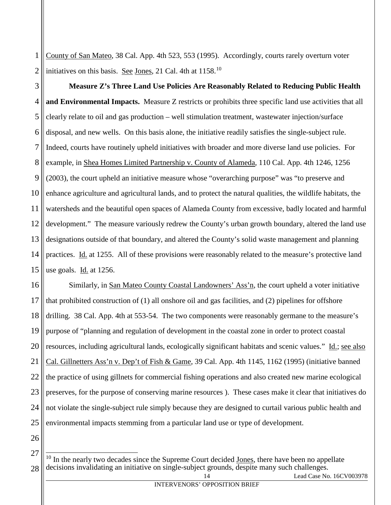<span id="page-26-1"></span>1 2 County of San Mateo, 38 Cal. App. 4th 523, 553 (1995). Accordingly, courts rarely overturn voter initiatives on this basis. See Jones, 21 Cal. 4th at 1158.<sup>[10](#page-26-3)</sup>

<span id="page-26-2"></span>3 4 5 6 7 8 9 10 11 12 13 14 15 **Measure Z's Three Land Use Policies Are Reasonably Related to Reducing Public Health and Environmental Impacts.** Measure Z restricts or prohibits three specific land use activities that all clearly relate to oil and gas production – well stimulation treatment, wastewater injection/surface disposal, and new wells. On this basis alone, the initiative readily satisfies the single-subject rule. Indeed, courts have routinely upheld initiatives with broader and more diverse land use policies. For example, in Shea Homes Limited Partnership v. County of Alameda, 110 Cal. App. 4th 1246, 1256 (2003), the court upheld an initiative measure whose "overarching purpose" was "to preserve and enhance agriculture and agricultural lands, and to protect the natural qualities, the wildlife habitats, the watersheds and the beautiful open spaces of Alameda County from excessive, badly located and harmful development." The measure variously redrew the County's urban growth boundary, altered the land use designations outside of that boundary, and altered the County's solid waste management and planning practices. Id. at 1255. All of these provisions were reasonably related to the measure's protective land use goals.  $\underline{Id}$  at 1256.

<span id="page-26-0"></span>16 17 18 19 20 21 22 23 24 25 Similarly, in San Mateo County Coastal Landowners' Ass'n, the court upheld a voter initiative that prohibited construction of (1) all onshore oil and gas facilities, and (2) pipelines for offshore drilling. 38 Cal. App. 4th at 553-54. The two components were reasonably germane to the measure's purpose of "planning and regulation of development in the coastal zone in order to protect coastal resources, including agricultural lands, ecologically significant habitats and scenic values." Id.; see also Cal. Gillnetters Ass'n v. Dep't of Fish & Game, 39 Cal. App. 4th 1145, 1162 (1995) (initiative banned the practice of using gillnets for commercial fishing operations and also created new marine ecological preserves, for the purpose of conserving marine resources ). These cases make it clear that initiatives do not violate the single-subject rule simply because they are designed to curtail various public health and environmental impacts stemming from a particular land use or type of development.

<span id="page-26-3"></span><sup>27</sup> 28  $10$  In the nearly two decades since the Supreme Court decided Jones, there have been no appellate decisions invalidating an initiative on single-subject grounds, despite many such challenges.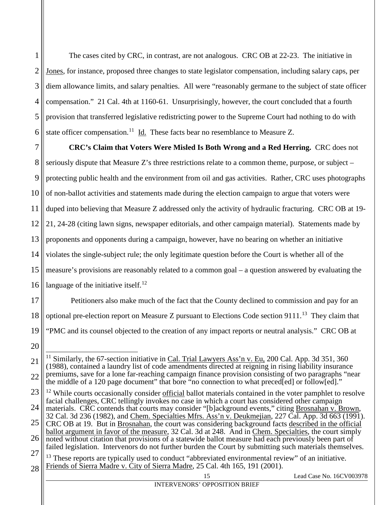1 2 3 4 5 6 The cases cited by CRC, in contrast, are not analogous. CRC OB at 22-23. The initiative in Jones, for instance, proposed three changes to state legislator compensation, including salary caps, per diem allowance limits, and salary penalties. All were "reasonably germane to the subject of state officer compensation." 21 Cal. 4th at 1160-61. Unsurprisingly, however, the court concluded that a fourth provision that transferred legislative redistricting power to the Supreme Court had nothing to do with state officer compensation.<sup>[11](#page-27-3)</sup> Id. These facts bear no resemblance to Measure Z.

7 8 9 10 11 12 13 14 15 16 **CRC's Claim that Voters Were Misled Is Both Wrong and a Red Herring.** CRC does not seriously dispute that Measure Z's three restrictions relate to a common theme, purpose, or subject – protecting public health and the environment from oil and gas activities. Rather, CRC uses photographs of non-ballot activities and statements made during the election campaign to argue that voters were duped into believing that Measure Z addressed only the activity of hydraulic fracturing. CRC OB at 19- 21, 24-28 (citing lawn signs, newspaper editorials, and other campaign material). Statements made by proponents and opponents during a campaign, however, have no bearing on whether an initiative violates the single-subject rule; the only legitimate question before the Court is whether all of the measure's provisions are reasonably related to a common goal – a question answered by evaluating the language of the initiative itself.<sup>[12](#page-27-4)</sup>

17 18 19 Petitioners also make much of the fact that the County declined to commission and pay for an optional pre-election report on Measure Z pursuant to Elections Code section 9111.<sup>[13](#page-27-5)</sup> They claim that "PMC and its counsel objected to the creation of any impact reports or neutral analysis." CRC OB at

<span id="page-27-4"></span>23 24 <sup>12</sup> While courts occasionally consider official ballot materials contained in the voter pamphlet to resolve facial challenges, CRC tellingly invokes no case in which a court has considered other campaign materials. CRC contends that courts may consider "[b]ackground events," citing Brosnahan v. Brown,

- 27 failed legislation. Intervenors do not further burden the Court by submitting such materials themselves.
- <span id="page-27-5"></span><span id="page-27-2"></span>28 These reports are typically used to conduct "abbreviated environmental review" of an initiative. Friends of Sierra Madre v. City of Sierra Madre, 25 Cal. 4th 165, 191 (2001).

<sup>20</sup>

<span id="page-27-3"></span><sup>21</sup> 22 <sup>11</sup> Similarly, the 67-section initiative in Cal. Trial Lawyers Ass'n v. Eu, 200 Cal. App. 3d 351, 360 (1988), contained a laundry list of code amendments directed at reigning in rising liability insurance premiums, save for a lone far-reaching campaign finance provision consisting of two paragraphs "near the middle of a 120 page document" that bore "no connection to what preced[ed] or follow[ed]."

<span id="page-27-1"></span><span id="page-27-0"></span><sup>25</sup> 26 32 Cal. 3d 236 (1982), and Chem. Specialties Mfrs. Ass'n v. Deukmejian, 227 Cal. App. 3d 663 (1991). CRC OB at 19. But in Brosnahan, the court was considering background facts described in the official ballot argument in favor of the measure, 32 Cal. 3d at 248. And in Chem. Specialties, the court simply noted without citation that provisions of a statewide ballot measure had each previously been part of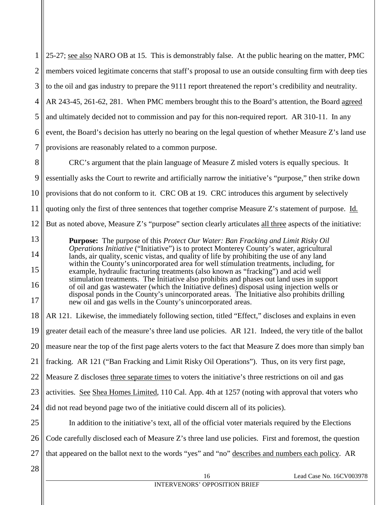1 2 3 4 5 6 7 8 9 10 11 12 13 14 15 16 17 18 19 20 21 22 23 24 25 26 27 28 16 Lead Case No. 16CV003978 25-27; see also NARO OB at 15. This is demonstrably false. At the public hearing on the matter, PMC members voiced legitimate concerns that staff's proposal to use an outside consulting firm with deep ties to the oil and gas industry to prepare the 9111 report threatened the report's credibility and neutrality. AR 243-45, 261-62, 281. When PMC members brought this to the Board's attention, the Board agreed and ultimately decided not to commission and pay for this non-required report. AR 310-11. In any event, the Board's decision has utterly no bearing on the legal question of whether Measure Z's land use provisions are reasonably related to a common purpose. CRC's argument that the plain language of Measure Z misled voters is equally specious. It essentially asks the Court to rewrite and artificially narrow the initiative's "purpose," then strike down provisions that do not conform to it. CRC OB at 19. CRC introduces this argument by selectively quoting only the first of three sentences that together comprise Measure Z's statement of purpose. Id. But as noted above, Measure Z's "purpose" section clearly articulates all three aspects of the initiative: **Purpose:** The purpose of this *Protect Our Water: Ban Fracking and Limit Risky Oil Operations Initiative* ("Initiative") is to protect Monterey County's water, agricultural lands, air quality, scenic vistas, and quality of life by prohibiting the use of any land within the County's unincorporated area for well stimulation treatments, including, for example, hydraulic fracturing treatments (also known as "fracking") and acid well stimulation treatments. The Initiative also prohibits and phases out land uses in support of oil and gas wastewater (which the Initiative defines) disposal using injection wells or disposal ponds in the County's unincorporated areas. The Initiative also prohibits drilling new oil and gas wells in the County's unincorporated areas. AR 121. Likewise, the immediately following section, titled "Effect," discloses and explains in even greater detail each of the measure's three land use policies. AR 121. Indeed, the very title of the ballot measure near the top of the first page alerts voters to the fact that Measure Z does more than simply ban fracking. AR 121 ("Ban Fracking and Limit Risky Oil Operations"). Thus, on its very first page, Measure Z discloses three separate times to voters the initiative's three restrictions on oil and gas activities. See Shea Homes Limited, 110 Cal. App. 4th at 1257 (noting with approval that voters who did not read beyond page two of the initiative could discern all of its policies). In addition to the initiative's text, all of the official voter materials required by the Elections Code carefully disclosed each of Measure Z's three land use policies. First and foremost, the question that appeared on the ballot next to the words "yes" and "no" describes and numbers each policy. AR

<span id="page-28-0"></span>INTERVENORS' OPPOSITION BRIEF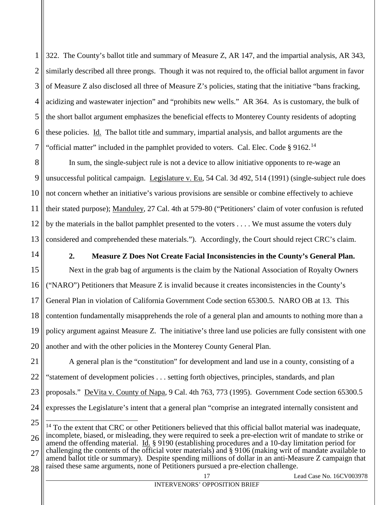1 2 3 4 5 6 7 322. The County's ballot title and summary of Measure Z, AR 147, and the impartial analysis, AR 343, similarly described all three prongs. Though it was not required to, the official ballot argument in favor of Measure Z also disclosed all three of Measure Z's policies, stating that the initiative "bans fracking, acidizing and wastewater injection" and "prohibits new wells." AR 364. As is customary, the bulk of the short ballot argument emphasizes the beneficial effects to Monterey County residents of adopting these policies. Id. The ballot title and summary, impartial analysis, and ballot arguments are the "official matter" included in the pamphlet provided to voters. Cal. Elec. Code  $\S 9162$ .<sup>[14](#page-29-5)</sup>

8 9 10 11 12 13 In sum, the single-subject rule is not a device to allow initiative opponents to re-wage an unsuccessful political campaign. Legislature v. Eu, 54 Cal. 3d 492, 514 (1991) (single-subject rule does not concern whether an initiative's various provisions are sensible or combine effectively to achieve their stated purpose); Manduley, 27 Cal. 4th at 579-80 ("Petitioners' claim of voter confusion is refuted by the materials in the ballot pamphlet presented to the voters . . . . We must assume the voters duly considered and comprehended these materials."). Accordingly, the Court should reject CRC's claim.

<span id="page-29-0"></span>14

## <span id="page-29-4"></span><span id="page-29-2"></span><span id="page-29-1"></span>**2. Measure Z Does Not Create Facial Inconsistencies in the County's General Plan.**

15 16 17 18 19 20 Next in the grab bag of arguments is the claim by the National Association of Royalty Owners ("NARO") Petitioners that Measure Z is invalid because it creates inconsistencies in the County's General Plan in violation of California Government Code section 65300.5. NARO OB at 13. This contention fundamentally misapprehends the role of a general plan and amounts to nothing more than a policy argument against Measure Z. The initiative's three land use policies are fully consistent with one another and with the other policies in the Monterey County General Plan.

21 22 23 24 A general plan is the "constitution" for development and land use in a county, consisting of a "statement of development policies . . . setting forth objectives, principles, standards, and plan proposals." DeVita v. County of Napa, 9 Cal. 4th 763, 773 (1995). Government Code section 65300.5 expresses the Legislature's intent that a general plan "comprise an integrated internally consistent and

<span id="page-29-5"></span><span id="page-29-3"></span>25 26 27 <sup>14</sup> To the extent that CRC or other Petitioners believed that this official ballot material was inadequate, incomplete, biased, or misleading, they were required to seek a pre-election writ of mandate to strike or amend the offending material. Id. § 9190 (establishing procedures and a 10-day limitation period for challenging the contents of the official voter materials) and § 9106 (making writ of mandate available to amend ballot title or summary). Despite spending millions of dollar in an anti-Measure Z campaign that

28 raised these same arguments, none of Petitioners pursued a pre-election challenge.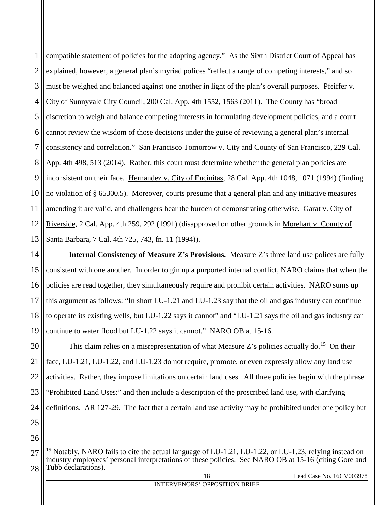<span id="page-30-3"></span>1 2 3 4 5 6 7 8 9 10 11 12 13 compatible statement of policies for the adopting agency." As the Sixth District Court of Appeal has explained, however, a general plan's myriad polices "reflect a range of competing interests," and so must be weighed and balanced against one another in light of the plan's overall purposes. Pfeiffer v. City of Sunnyvale City Council, 200 Cal. App. 4th 1552, 1563 (2011). The County has "broad discretion to weigh and balance competing interests in formulating development policies, and a court cannot review the wisdom of those decisions under the guise of reviewing a general plan's internal consistency and correlation." San Francisco Tomorrow v. City and County of San Francisco, 229 Cal. App. 4th 498, 513 (2014). Rather, this court must determine whether the general plan policies are inconsistent on their face. Hernandez v. City of Encinitas, 28 Cal. App. 4th 1048, 1071 (1994) (finding no violation of § 65300.5). Moreover, courts presume that a general plan and any initiative measures amending it are valid, and challengers bear the burden of demonstrating otherwise. Garat v. City of Riverside, 2 Cal. App. 4th 259, 292 (1991) (disapproved on other grounds in Morehart v. County of Santa Barbara, 7 Cal. 4th 725, 743, fn. 11 (1994)).

<span id="page-30-2"></span><span id="page-30-1"></span><span id="page-30-0"></span>14 15 16 17 18 19 **Internal Consistency of Measure Z's Provisions.** Measure Z's three land use polices are fully consistent with one another. In order to gin up a purported internal conflict, NARO claims that when the policies are read together, they simultaneously require and prohibit certain activities. NARO sums up this argument as follows: "In short LU-1.21 and LU-1.23 say that the oil and gas industry can continue to operate its existing wells, but LU-1.22 says it cannot" and "LU-1.21 says the oil and gas industry can continue to water flood but LU-1.22 says it cannot." NARO OB at 15-16.

20 21 22 23 24 25 This claim relies on a misrepresentation of what Measure  $Z$ 's policies actually do.<sup>[15](#page-30-4)</sup> On their face, LU-1.21, LU-1.22, and LU-1.23 do not require, promote, or even expressly allow any land use activities. Rather, they impose limitations on certain land uses. All three policies begin with the phrase "Prohibited Land Uses:" and then include a description of the proscribed land use, with clarifying definitions. AR 127-29. The fact that a certain land use activity may be prohibited under one policy but

26

<span id="page-30-4"></span><sup>27</sup> <sup>15</sup> Notably, NARO fails to cite the actual language of LU-1.21, LU-1.22, or LU-1.23, relying instead on industry employees' personal interpretations of these policies. See NARO OB at 15-16 (citing Gore and Tubb declarations).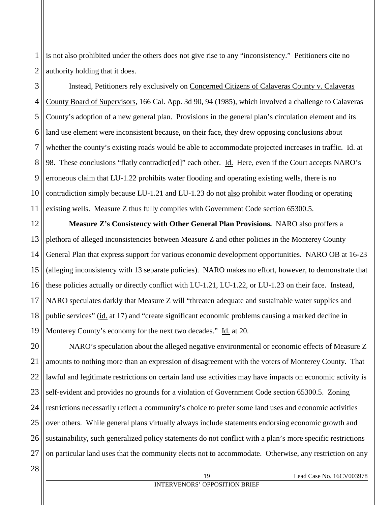<span id="page-31-0"></span>1 2 is not also prohibited under the others does not give rise to any "inconsistency." Petitioners cite no authority holding that it does.

3 4 5 6 7 8 9 10 11 Instead, Petitioners rely exclusively on Concerned Citizens of Calaveras County v. Calaveras County Board of Supervisors, 166 Cal. App. 3d 90, 94 (1985), which involved a challenge to Calaveras County's adoption of a new general plan. Provisions in the general plan's circulation element and its land use element were inconsistent because, on their face, they drew opposing conclusions about whether the county's existing roads would be able to accommodate projected increases in traffic. Id. at 98. These conclusions "flatly contradict[ed]" each other. Id. Here, even if the Court accepts NARO's erroneous claim that LU-1.22 prohibits water flooding and operating existing wells, there is no contradiction simply because LU-1.21 and LU-1.23 do not also prohibit water flooding or operating existing wells. Measure Z thus fully complies with Government Code section 65300.5.

<span id="page-31-1"></span>12 13 14 15 16 17 18 19 **Measure Z's Consistency with Other General Plan Provisions.** NARO also proffers a plethora of alleged inconsistencies between Measure Z and other policies in the Monterey County General Plan that express support for various economic development opportunities. NARO OB at 16-23 (alleging inconsistency with 13 separate policies). NARO makes no effort, however, to demonstrate that these policies actually or directly conflict with LU-1.21, LU-1.22, or LU-1.23 on their face. Instead, NARO speculates darkly that Measure Z will "threaten adequate and sustainable water supplies and public services" (id. at 17) and "create significant economic problems causing a marked decline in Monterey County's economy for the next two decades." Id. at 20.

20 21 22 23 24 25 26 27 NARO's speculation about the alleged negative environmental or economic effects of Measure Z amounts to nothing more than an expression of disagreement with the voters of Monterey County. That lawful and legitimate restrictions on certain land use activities may have impacts on economic activity is self-evident and provides no grounds for a violation of Government Code section 65300.5. Zoning restrictions necessarily reflect a community's choice to prefer some land uses and economic activities over others. While general plans virtually always include statements endorsing economic growth and sustainability, such generalized policy statements do not conflict with a plan's more specific restrictions on particular land uses that the community elects not to accommodate. Otherwise, any restriction on any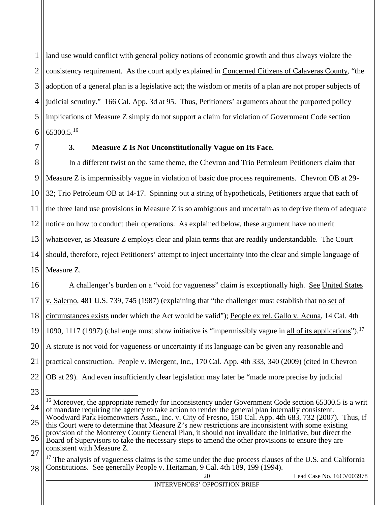1 2 3 4 5 6 land use would conflict with general policy notions of economic growth and thus always violate the consistency requirement. As the court aptly explained in Concerned Citizens of Calaveras County, "the adoption of a general plan is a legislative act; the wisdom or merits of a plan are not proper subjects of judicial scrutiny." 166 Cal. App. 3d at 95. Thus, Petitioners' arguments about the purported policy implications of Measure Z simply do not support a claim for violation of Government Code section 65300.5. [16](#page-32-6) 

<span id="page-32-0"></span>7

## <span id="page-32-4"></span>**3. Measure Z Is Not Unconstitutionally Vague on Its Face.**

8 9 10 11 12 13 14 15 In a different twist on the same theme, the Chevron and Trio Petroleum Petitioners claim that Measure Z is impermissibly vague in violation of basic due process requirements. Chevron OB at 29- 32; Trio Petroleum OB at 14-17. Spinning out a string of hypotheticals, Petitioners argue that each of the three land use provisions in Measure Z is so ambiguous and uncertain as to deprive them of adequate notice on how to conduct their operations. As explained below, these argument have no merit whatsoever, as Measure Z employs clear and plain terms that are readily understandable. The Court should, therefore, reject Petitioners' attempt to inject uncertainty into the clear and simple language of Measure Z.

<span id="page-32-1"></span>16 17 18 19 20 21 22 A challenger's burden on a "void for vagueness" claim is exceptionally high. See United States v. Salerno, 481 U.S. 739, 745 (1987) (explaining that "the challenger must establish that no set of circumstances exists under which the Act would be valid"); People ex rel. Gallo v. Acuna, 14 Cal. 4th 1090, 11[17](#page-32-7) (1997) (challenge must show initiative is "impermissibly vague in all of its applications").<sup>17</sup> A statute is not void for vagueness or uncertainty if its language can be given any reasonable and practical construction. People v. iMergent, Inc., 170 Cal. App. 4th 333, 340 (2009) (cited in Chevron OB at 29). And even insufficiently clear legislation may later be "made more precise by judicial

<span id="page-32-6"></span><span id="page-32-3"></span><sup>24</sup>  $16$  Moreover, the appropriate remedy for inconsistency under Government Code section 65300.5 is a writ of mandate requiring the agency to take action to render the general plan internally consistent. Woodward Park Homeowners Assn., Inc. v. City of Fresno, 150 Cal. App. 4th 683, 732 (2007). Thus, if

<span id="page-32-5"></span><sup>25</sup> 26 27 this Court were to determine that Measure Z's new restrictions are inconsistent with some existing provision of the Monterey County General Plan, it should not invalidate the initiative, but direct the Board of Supervisors to take the necessary steps to amend the other provisions to ensure they are consistent with Measure Z.

<span id="page-32-7"></span><span id="page-32-2"></span><sup>28</sup>  $17$  The analysis of vagueness claims is the same under the due process clauses of the U.S. and California Constitutions. See generally People v. Heitzman, 9 Cal. 4th 189, 199 (1994).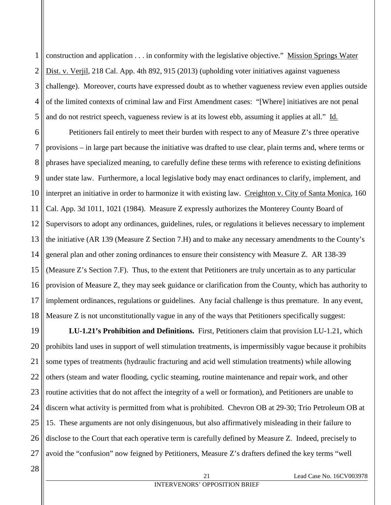<span id="page-33-1"></span>1 2 3 4 5 construction and application . . . in conformity with the legislative objective." Mission Springs Water Dist. v. Verjil, 218 Cal. App. 4th 892, 915 (2013) (upholding voter initiatives against vagueness challenge). Moreover, courts have expressed doubt as to whether vagueness review even applies outside of the limited contexts of criminal law and First Amendment cases: "[Where] initiatives are not penal and do not restrict speech, vagueness review is at its lowest ebb, assuming it applies at all." Id.

<span id="page-33-0"></span>6 7 8 9 10 11 12 13 14 15 16 17 18 Petitioners fail entirely to meet their burden with respect to any of Measure Z's three operative provisions – in large part because the initiative was drafted to use clear, plain terms and, where terms or phrases have specialized meaning, to carefully define these terms with reference to existing definitions under state law. Furthermore, a local legislative body may enact ordinances to clarify, implement, and interpret an initiative in order to harmonize it with existing law. Creighton v. City of Santa Monica, 160 Cal. App. 3d 1011, 1021 (1984). Measure Z expressly authorizes the Monterey County Board of Supervisors to adopt any ordinances, guidelines, rules, or regulations it believes necessary to implement the initiative (AR 139 (Measure Z Section 7.H) and to make any necessary amendments to the County's general plan and other zoning ordinances to ensure their consistency with Measure Z. AR 138-39 (Measure Z's Section 7.F). Thus, to the extent that Petitioners are truly uncertain as to any particular provision of Measure Z, they may seek guidance or clarification from the County, which has authority to implement ordinances, regulations or guidelines. Any facial challenge is thus premature. In any event, Measure Z is not unconstitutionally vague in any of the ways that Petitioners specifically suggest:

19 20 21 22 23 24 25 26 27 **LU-1.21's Prohibition and Definitions.** First, Petitioners claim that provision LU-1.21, which prohibits land uses in support of well stimulation treatments, is impermissibly vague because it prohibits some types of treatments (hydraulic fracturing and acid well stimulation treatments) while allowing others (steam and water flooding, cyclic steaming, routine maintenance and repair work, and other routine activities that do not affect the integrity of a well or formation), and Petitioners are unable to discern what activity is permitted from what is prohibited. Chevron OB at 29-30; Trio Petroleum OB at 15. These arguments are not only disingenuous, but also affirmatively misleading in their failure to disclose to the Court that each operative term is carefully defined by Measure Z. Indeed, precisely to avoid the "confusion" now feigned by Petitioners, Measure Z's drafters defined the key terms "well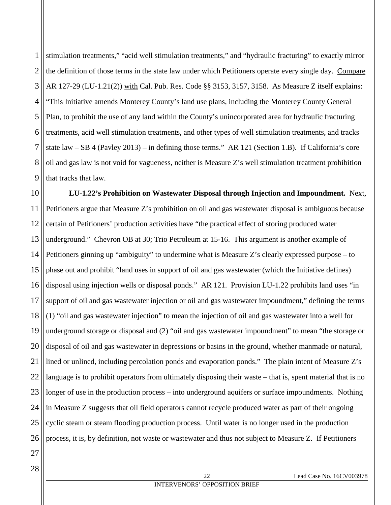<span id="page-34-0"></span>1 2 3 4 5 6 7 8 9 stimulation treatments," "acid well stimulation treatments," and "hydraulic fracturing" to exactly mirror the definition of those terms in the state law under which Petitioners operate every single day. Compare AR 127-29 (LU-1.21(2)) with Cal. Pub. Res. Code §§ 3153, 3157, 3158. As Measure Z itself explains: "This Initiative amends Monterey County's land use plans, including the Monterey County General Plan, to prohibit the use of any land within the County's unincorporated area for hydraulic fracturing treatments, acid well stimulation treatments, and other types of well stimulation treatments, and tracks state law – SB 4 (Pavley 2013) – in defining those terms." AR 121 (Section 1.B). If California's core oil and gas law is not void for vagueness, neither is Measure Z's well stimulation treatment prohibition that tracks that law.

10 11 12 13 14 15 16 17 18 19 20 21 22 23 24 25 26 **LU-1.22's Prohibition on Wastewater Disposal through Injection and Impoundment.** Next, Petitioners argue that Measure Z's prohibition on oil and gas wastewater disposal is ambiguous because certain of Petitioners' production activities have "the practical effect of storing produced water underground." Chevron OB at 30; Trio Petroleum at 15-16. This argument is another example of Petitioners ginning up "ambiguity" to undermine what is Measure Z's clearly expressed purpose – to phase out and prohibit "land uses in support of oil and gas wastewater (which the Initiative defines) disposal using injection wells or disposal ponds." AR 121. Provision LU-1.22 prohibits land uses "in support of oil and gas wastewater injection or oil and gas wastewater impoundment," defining the terms (1) "oil and gas wastewater injection" to mean the injection of oil and gas wastewater into a well for underground storage or disposal and (2) "oil and gas wastewater impoundment" to mean "the storage or disposal of oil and gas wastewater in depressions or basins in the ground, whether manmade or natural, lined or unlined, including percolation ponds and evaporation ponds." The plain intent of Measure Z's language is to prohibit operators from ultimately disposing their waste – that is, spent material that is no longer of use in the production process – into underground aquifers or surface impoundments. Nothing in Measure Z suggests that oil field operators cannot recycle produced water as part of their ongoing cyclic steam or steam flooding production process. Until water is no longer used in the production process, it is, by definition, not waste or wastewater and thus not subject to Measure Z. If Petitioners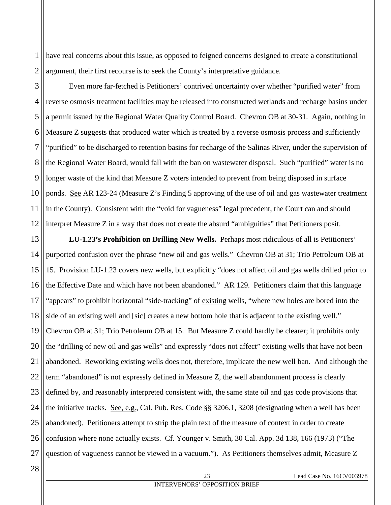1 2 have real concerns about this issue, as opposed to feigned concerns designed to create a constitutional argument, their first recourse is to seek the County's interpretative guidance.

3 4 5 6 7 8 9 10 11 12 Even more far-fetched is Petitioners' contrived uncertainty over whether "purified water" from reverse osmosis treatment facilities may be released into constructed wetlands and recharge basins under a permit issued by the Regional Water Quality Control Board. Chevron OB at 30-31. Again, nothing in Measure Z suggests that produced water which is treated by a reverse osmosis process and sufficiently "purified" to be discharged to retention basins for recharge of the Salinas River, under the supervision of the Regional Water Board, would fall with the ban on wastewater disposal. Such "purified" water is no longer waste of the kind that Measure Z voters intended to prevent from being disposed in surface ponds. See AR 123-24 (Measure Z's Finding 5 approving of the use of oil and gas wastewater treatment in the County). Consistent with the "void for vagueness" legal precedent, the Court can and should interpret Measure Z in a way that does not create the absurd "ambiguities" that Petitioners posit.

13 14 15 16 17 18 19 20 21 22 23 24 25 26 27 **LU-1.23's Prohibition on Drilling New Wells.** Perhaps most ridiculous of all is Petitioners' purported confusion over the phrase "new oil and gas wells." Chevron OB at 31; Trio Petroleum OB at 15. Provision LU-1.23 covers new wells, but explicitly "does not affect oil and gas wells drilled prior to the Effective Date and which have not been abandoned." AR 129. Petitioners claim that this language "appears" to prohibit horizontal "side-tracking" of existing wells, "where new holes are bored into the side of an existing well and [sic] creates a new bottom hole that is adjacent to the existing well." Chevron OB at 31; Trio Petroleum OB at 15. But Measure Z could hardly be clearer; it prohibits only the "drilling of new oil and gas wells" and expressly "does not affect" existing wells that have not been abandoned. Reworking existing wells does not, therefore, implicate the new well ban. And although the term "abandoned" is not expressly defined in Measure Z, the well abandonment process is clearly defined by, and reasonably interpreted consistent with, the same state oil and gas code provisions that the initiative tracks. See, e.g., Cal. Pub. Res. Code §§ 3206.1, 3208 (designating when a well has been abandoned). Petitioners attempt to strip the plain text of the measure of context in order to create confusion where none actually exists. Cf. Younger v. Smith, 30 Cal. App. 3d 138, 166 (1973) ("The question of vagueness cannot be viewed in a vacuum."). As Petitioners themselves admit, Measure Z

28

<span id="page-35-1"></span><span id="page-35-0"></span>23 Lead Case No. 16CV003978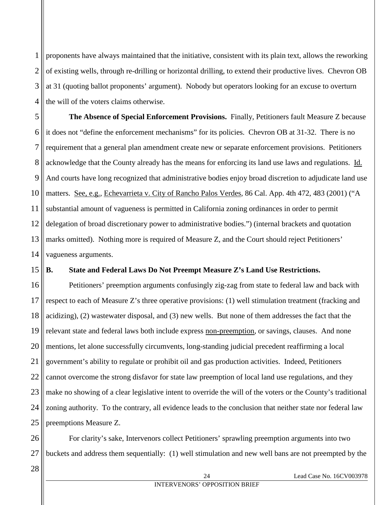1 2 3 4 proponents have always maintained that the initiative, consistent with its plain text, allows the reworking of existing wells, through re-drilling or horizontal drilling, to extend their productive lives. Chevron OB at 31 (quoting ballot proponents' argument). Nobody but operators looking for an excuse to overturn the will of the voters claims otherwise.

<span id="page-36-1"></span>5 6 7 8 9 10 11 12 13 14 **The Absence of Special Enforcement Provisions.** Finally, Petitioners fault Measure Z because it does not "define the enforcement mechanisms" for its policies. Chevron OB at 31-32. There is no requirement that a general plan amendment create new or separate enforcement provisions. Petitioners acknowledge that the County already has the means for enforcing its land use laws and regulations. Id. And courts have long recognized that administrative bodies enjoy broad discretion to adjudicate land use matters. See, e.g.*,* Echevarrieta v. City of Rancho Palos Verdes*,* 86 Cal. App. 4th 472, 483 (2001) ("A substantial amount of vagueness is permitted in California zoning ordinances in order to permit delegation of broad discretionary power to administrative bodies.") (internal brackets and quotation marks omitted). Nothing more is required of Measure Z, and the Court should reject Petitioners' vagueness arguments.

### <span id="page-36-0"></span>15 **B. State and Federal Laws Do Not Preempt Measure Z's Land Use Restrictions.**

16 17 18 19 20 21 22 23 24 25 Petitioners' preemption arguments confusingly zig-zag from state to federal law and back with respect to each of Measure Z's three operative provisions: (1) well stimulation treatment (fracking and acidizing), (2) wastewater disposal, and (3) new wells. But none of them addresses the fact that the relevant state and federal laws both include express non-preemption, or savings, clauses. And none mentions, let alone successfully circumvents, long-standing judicial precedent reaffirming a local government's ability to regulate or prohibit oil and gas production activities. Indeed, Petitioners cannot overcome the strong disfavor for state law preemption of local land use regulations, and they make no showing of a clear legislative intent to override the will of the voters or the County's traditional zoning authority. To the contrary, all evidence leads to the conclusion that neither state nor federal law preemptions Measure Z.

26 27 For clarity's sake, Intervenors collect Petitioners' sprawling preemption arguments into two buckets and address them sequentially: (1) well stimulation and new well bans are not preempted by the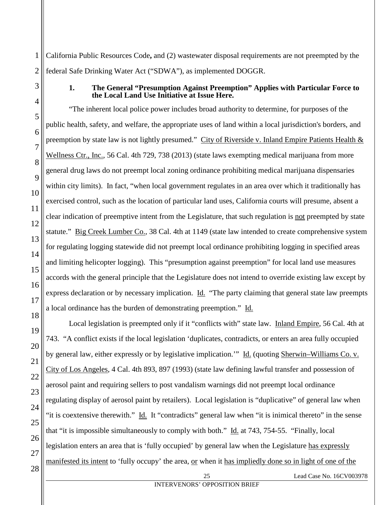1 2 California Public Resources Code**,** and (2) wastewater disposal requirements are not preempted by the federal Safe Drinking Water Act ("SDWA"), as implemented DOGGR.

<span id="page-37-0"></span>3

## <span id="page-37-1"></span>**1. The General "Presumption Against Preemption" Applies with Particular Force to the Local Land Use Initiative at Issue Here.**

"The inherent local police power includes broad authority to determine, for purposes of the public health, safety, and welfare, the appropriate uses of land within a local jurisdiction's borders, and preemption by state law is not lightly presumed." City of Riverside v. Inland Empire Patients Health & Wellness Ctr., Inc., 56 Cal. 4th 729, 738 (2013) (state laws exempting medical marijuana from more general drug laws do not preempt local zoning ordinance prohibiting medical marijuana dispensaries within city limits). In fact, "when local government regulates in an area over which it traditionally has exercised control, such as the location of particular land uses, California courts will presume, absent a clear indication of preemptive intent from the Legislature, that such regulation is not preempted by state statute." Big Creek Lumber Co., 38 Cal. 4th at 1149 (state law intended to create comprehensive system for regulating logging statewide did not preempt local ordinance prohibiting logging in specified areas and limiting helicopter logging). This "presumption against preemption" for local land use measures accords with the general principle that the Legislature does not intend to override existing law except by express declaration or by necessary implication. Id. "The party claiming that general state law preempts a local ordinance has the burden of demonstrating preemption." Id.

Local legislation is preempted only if it "conflicts with" state law. Inland Empire, 56 Cal. 4th at 743. "A conflict exists if the local legislation 'duplicates, contradicts, or enters an area fully occupied by general law, either expressly or by legislative implication." Id. (quoting Sherwin–Williams Co. v. City of Los Angeles, 4 Cal. 4th 893, 897 (1993) (state law defining lawful transfer and possession of aerosol paint and requiring sellers to post vandalism warnings did not preempt local ordinance regulating display of aerosol paint by retailers). Local legislation is "duplicative" of general law when "it is coextensive therewith." Id. It "contradicts" general law when "it is inimical thereto" in the sense that "it is impossible simultaneously to comply with both." Id. at 743, 754-55. "Finally, local legislation enters an area that is 'fully occupied' by general law when the Legislature has expressly manifested its intent to 'fully occupy' the area, or when it has impliedly done so in light of one of the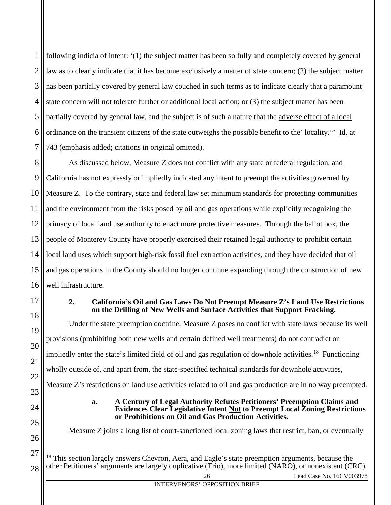1 2 3 4 5 6 7 following indicia of intent: '(1) the subject matter has been so fully and completely covered by general law as to clearly indicate that it has become exclusively a matter of state concern; (2) the subject matter has been partially covered by general law couched in such terms as to indicate clearly that a paramount state concern will not tolerate further or additional local action; or (3) the subject matter has been partially covered by general law, and the subject is of such a nature that the adverse effect of a local ordinance on the transient citizens of the state outweighs the possible benefit to the' locality.'" Id. at 743 (emphasis added; citations in original omitted).

8 9 10 11 12 13 14 15 16 As discussed below, Measure Z does not conflict with any state or federal regulation, and California has not expressly or impliedly indicated any intent to preempt the activities governed by Measure Z. To the contrary, state and federal law set minimum standards for protecting communities and the environment from the risks posed by oil and gas operations while explicitly recognizing the primacy of local land use authority to enact more protective measures. Through the ballot box, the people of Monterey County have properly exercised their retained legal authority to prohibit certain local land uses which support high-risk fossil fuel extraction activities, and they have decided that oil and gas operations in the County should no longer continue expanding through the construction of new well infrastructure.

<span id="page-38-0"></span>17

18

19

20

21

22

23

<span id="page-38-1"></span>24

25

26

## **2. California's Oil and Gas Laws Do Not Preempt Measure Z's Land Use Restrictions on the Drilling of New Wells and Surface Activities that Support Fracking.**

Under the state preemption doctrine, Measure Z poses no conflict with state laws because its well provisions (prohibiting both new wells and certain defined well treatments) do not contradict or impliedly enter the state's limited field of oil and gas regulation of downhole activities.<sup>[18](#page-38-2)</sup> Functioning wholly outside of, and apart from, the state-specified technical standards for downhole activities, Measure Z's restrictions on land use activities related to oil and gas production are in no way preempted.

## **a. A Century of Legal Authority Refutes Petitioners' Preemption Claims and Evidences Clear Legislative Intent Not to Preempt Local Zoning Restrictions or Prohibitions on Oil and Gas Production Activities.**

Measure Z joins a long list of court-sanctioned local zoning laws that restrict, ban, or eventually

<span id="page-38-2"></span>27 28 <sup>18</sup> This section largely answers Chevron, Aera, and Eagle's state preemption arguments, because the other Petitioners' arguments are largely duplicative (Trio), more limited (NARO), or nonexistent (CRC).

26 Lead Case No. 16CV003978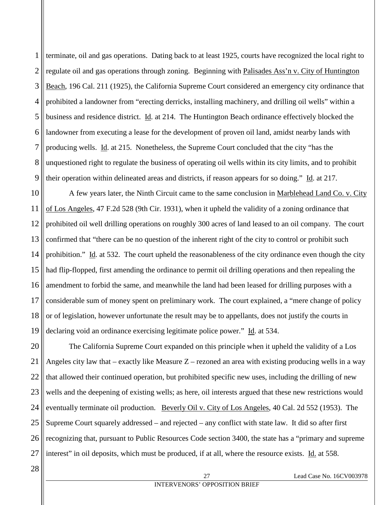<span id="page-39-1"></span>1 2 3 4 5 6 7 8 9 terminate, oil and gas operations. Dating back to at least 1925, courts have recognized the local right to regulate oil and gas operations through zoning. Beginning with Palisades Ass'n v. City of Huntington Beach, 196 Cal. 211 (1925), the California Supreme Court considered an emergency city ordinance that prohibited a landowner from "erecting derricks, installing machinery, and drilling oil wells" within a business and residence district. Id. at 214. The Huntington Beach ordinance effectively blocked the landowner from executing a lease for the development of proven oil land, amidst nearby lands with producing wells. Id. at 215. Nonetheless, the Supreme Court concluded that the city "has the unquestioned right to regulate the business of operating oil wells within its city limits, and to prohibit their operation within delineated areas and districts, if reason appears for so doing." Id. at 217.

<span id="page-39-0"></span>10 11 12 13 14 15 16 17 18 19 A few years later, the Ninth Circuit came to the same conclusion in Marblehead Land Co. v. City of Los Angeles, 47 F.2d 528 (9th Cir. 1931), when it upheld the validity of a zoning ordinance that prohibited oil well drilling operations on roughly 300 acres of land leased to an oil company. The court confirmed that "there can be no question of the inherent right of the city to control or prohibit such prohibition." Id. at 532. The court upheld the reasonableness of the city ordinance even though the city had flip-flopped, first amending the ordinance to permit oil drilling operations and then repealing the amendment to forbid the same, and meanwhile the land had been leased for drilling purposes with a considerable sum of money spent on preliminary work. The court explained, a "mere change of policy or of legislation, however unfortunate the result may be to appellants, does not justify the courts in declaring void an ordinance exercising legitimate police power." Id. at 534.

20 21 22 23 24 25 26 27 The California Supreme Court expanded on this principle when it upheld the validity of a Los Angeles city law that – exactly like Measure  $Z$  – rezoned an area with existing producing wells in a way that allowed their continued operation, but prohibited specific new uses, including the drilling of new wells and the deepening of existing wells; as here, oil interests argued that these new restrictions would eventually terminate oil production. Beverly Oil v. City of Los Angeles, 40 Cal. 2d 552 (1953). The Supreme Court squarely addressed – and rejected – any conflict with state law. It did so after first recognizing that, pursuant to Public Resources Code section 3400, the state has a "primary and supreme interest" in oil deposits, which must be produced, if at all, where the resource exists. Id. at 558.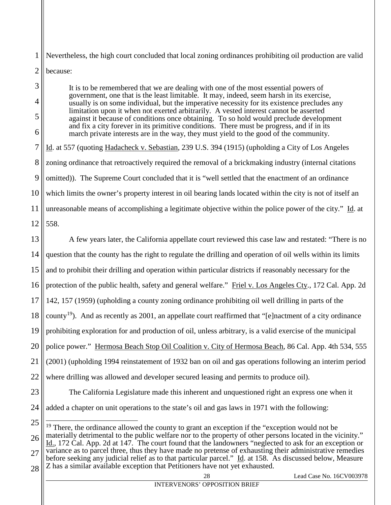1 2 Nevertheless, the high court concluded that local zoning ordinances prohibiting oil production are valid because:

3 4 5 6 7 8 9 10 11 It is to be remembered that we are dealing with one of the most essential powers of government, one that is the least limitable. It may, indeed, seem harsh in its exercise, usually is on some individual, but the imperative necessity for its existence precludes any limitation upon it when not exerted arbitrarily. A vested interest cannot be asserted against it because of conditions once obtaining. To so hold would preclude development and fix a city forever in its primitive conditions. There must be progress, and if in its march private interests are in the way, they must yield to the good of the community. Id. at 557 (quoting Hadacheck v. Sebastian, 239 U.S. 394 (1915) (upholding a City of Los Angeles zoning ordinance that retroactively required the removal of a brickmaking industry (internal citations omitted)). The Supreme Court concluded that it is "well settled that the enactment of an ordinance which limits the owner's property interest in oil bearing lands located within the city is not of itself an unreasonable means of accomplishing a legitimate objective within the police power of the city." Id. at

12 558.

<span id="page-40-0"></span>13 14 15 16 17 18 19 20 21 22 23 24 25 26 A few years later, the California appellate court reviewed this case law and restated: "There is no question that the county has the right to regulate the drilling and operation of oil wells within its limits and to prohibit their drilling and operation within particular districts if reasonably necessary for the protection of the public health, safety and general welfare." Friel v. Los Angeles Cty., 172 Cal. App. 2d 142, 157 (1959) (upholding a county zoning ordinance prohibiting oil well drilling in parts of the county<sup>[19](#page-40-1)</sup>). And as recently as 2001, an appellate court reaffirmed that "[e]nactment of a city ordinance prohibiting exploration for and production of oil, unless arbitrary, is a valid exercise of the municipal police power." Hermosa Beach Stop Oil Coalition v. City of Hermosa Beach, 86 Cal. App. 4th 534, 555 (2001) (upholding 1994 reinstatement of 1932 ban on oil and gas operations following an interim period where drilling was allowed and developer secured leasing and permits to produce oil). The California Legislature made this inherent and unquestioned right an express one when it added a chapter on unit operations to the state's oil and gas laws in 1971 with the following: <sup>19</sup> There, the ordinance allowed the county to grant an exception if the "exception would not be materially detrimental to the public welfare nor to the property of other persons located in the vicinity." Id., 172 Cal. App. 2d at 147. The court found that the landowners "neglected to ask for an exception or

<span id="page-40-1"></span>27 variance as to parcel three, thus they have made no pretense of exhausting their administrative remedies before seeking any judicial relief as to that particular parcel." Id. at 158. As discussed below, Measure Z has a similar available exception that Petitioners have not yet exhausted.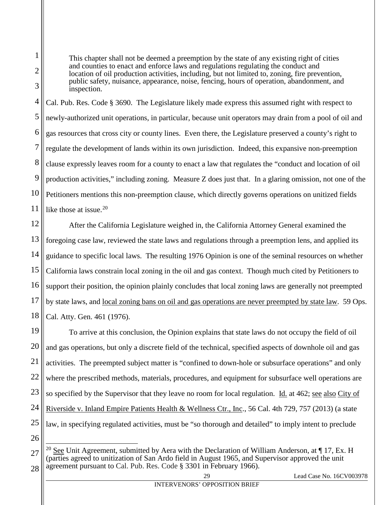This chapter shall not be deemed a preemption by the state of any existing right of cities and counties to enact and enforce laws and regulations regulating the conduct and location of oil production activities, including, but not limited to, zoning, fire prevention, public safety, nuisance, appearance, noise, fencing, hours of operation, abandonment, and inspection.

<span id="page-41-1"></span>Cal. Pub. Res. Code § 3690. The Legislature likely made express this assumed right with respect to newly-authorized unit operations, in particular, because unit operators may drain from a pool of oil and gas resources that cross city or county lines. Even there, the Legislature preserved a county's right to regulate the development of lands within its own jurisdiction. Indeed, this expansive non-preemption clause expressly leaves room for a county to enact a law that regulates the "conduct and location of oil production activities," including zoning. Measure Z does just that. In a glaring omission, not one of the Petitioners mentions this non-preemption clause, which directly governs operations on unitized fields like those at issue.<sup>[20](#page-41-2)</sup>

After the California Legislature weighed in, the California Attorney General examined the foregoing case law, reviewed the state laws and regulations through a preemption lens, and applied its guidance to specific local laws. The resulting 1976 Opinion is one of the seminal resources on whether California laws constrain local zoning in the oil and gas context. Though much cited by Petitioners to support their position, the opinion plainly concludes that local zoning laws are generally not preempted by state laws, and local zoning bans on oil and gas operations are never preempted by state law. 59 Ops. Cal. Atty. Gen. 461 (1976).

To arrive at this conclusion, the Opinion explains that state laws do not occupy the field of oil and gas operations, but only a discrete field of the technical, specified aspects of downhole oil and gas activities. The preempted subject matter is "confined to down-hole or subsurface operations" and only where the prescribed methods, materials, procedures, and equipment for subsurface well operations are so specified by the Supervisor that they leave no room for local regulation. Id. at 462; see also City of Riverside v. Inland Empire Patients Health & Wellness Ctr., Inc., 56 Cal. 4th 729, 757 (2013) (a state law, in specifying regulated activities, must be "so thorough and detailed" to imply intent to preclude

<span id="page-41-2"></span><span id="page-41-0"></span><sup>28</sup> <sup>20</sup> See Unit Agreement, submitted by Aera with the Declaration of William Anderson, at  $\P$  17, Ex. H (parties agreed to unitization of San Ardo field in August 1965, and Supervisor approved the unit agreement pursuant to Cal. Pub. Res. Code § 3301 in February 1966).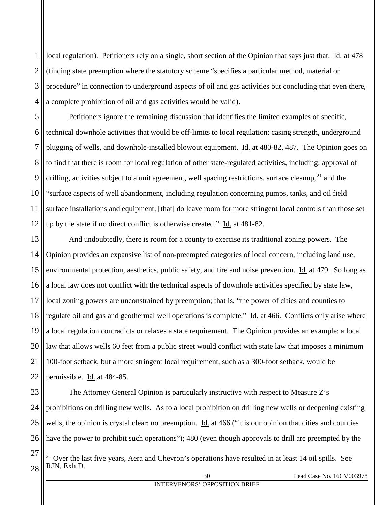1 2 3 4 local regulation). Petitioners rely on a single, short section of the Opinion that says just that. Id. at 478 (finding state preemption where the statutory scheme "specifies a particular method, material or procedure" in connection to underground aspects of oil and gas activities but concluding that even there, a complete prohibition of oil and gas activities would be valid).

5 6 7 8 9 10 11 12 Petitioners ignore the remaining discussion that identifies the limited examples of specific, technical downhole activities that would be off-limits to local regulation: casing strength, underground plugging of wells, and downhole-installed blowout equipment. Id. at 480-82, 487. The Opinion goes on to find that there is room for local regulation of other state-regulated activities, including: approval of drilling, activities subject to a unit agreement, well spacing restrictions, surface cleanup,  $21$  and the "surface aspects of well abandonment, including regulation concerning pumps, tanks, and oil field surface installations and equipment, [that] do leave room for more stringent local controls than those set up by the state if no direct conflict is otherwise created." Id. at 481-82.

13 14 15 16 17 18 19 20 21 22 And undoubtedly, there is room for a county to exercise its traditional zoning powers. The Opinion provides an expansive list of non-preempted categories of local concern, including land use, environmental protection, aesthetics, public safety, and fire and noise prevention. Id. at 479. So long as a local law does not conflict with the technical aspects of downhole activities specified by state law, local zoning powers are unconstrained by preemption; that is, "the power of cities and counties to regulate oil and gas and geothermal well operations is complete." Id. at 466. Conflicts only arise where a local regulation contradicts or relaxes a state requirement. The Opinion provides an example: a local law that allows wells 60 feet from a public street would conflict with state law that imposes a minimum 100-foot setback, but a more stringent local requirement, such as a 300-foot setback, would be permissible. Id. at 484-85.

23 24 25 26 The Attorney General Opinion is particularly instructive with respect to Measure Z's prohibitions on drilling new wells. As to a local prohibition on drilling new wells or deepening existing wells, the opinion is crystal clear: no preemption. Id. at 466 ("it is our opinion that cities and counties have the power to prohibit such operations"); 480 (even though approvals to drill are preempted by the

<span id="page-42-0"></span><sup>27</sup> Over the last five years, Aera and Chevron's operations have resulted in at least 14 oil spills. See RJN, Exh D.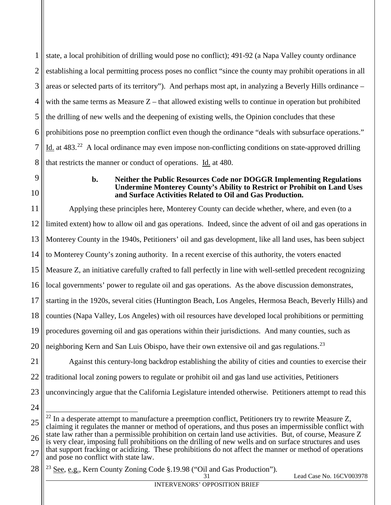1 2 3 4 5 6 7 8 state, a local prohibition of drilling would pose no conflict); 491-92 (a Napa Valley county ordinance establishing a local permitting process poses no conflict "since the county may prohibit operations in all areas or selected parts of its territory"). And perhaps most apt, in analyzing a Beverly Hills ordinance – with the same terms as Measure  $Z$  – that allowed existing wells to continue in operation but prohibited the drilling of new wells and the deepening of existing wells, the Opinion concludes that these prohibitions pose no preemption conflict even though the ordinance "deals with subsurface operations." Id. at 483.<sup>[22](#page-43-1)</sup> A local ordinance may even impose non-conflicting conditions on state-approved drilling that restricts the manner or conduct of operations. Id. at 480.

# <span id="page-43-0"></span>9 10

## **b. Neither the Public Resources Code nor DOGGR Implementing Regulations Undermine Monterey County's Ability to Restrict or Prohibit on Land Uses and Surface Activities Related to Oil and Gas Production.**

11 12 13 14 15 16 17 18 19 20 Applying these principles here, Monterey County can decide whether, where, and even (to a limited extent) how to allow oil and gas operations. Indeed, since the advent of oil and gas operations in Monterey County in the 1940s, Petitioners' oil and gas development, like all land uses, has been subject to Monterey County's zoning authority. In a recent exercise of this authority, the voters enacted Measure Z, an initiative carefully crafted to fall perfectly in line with well-settled precedent recognizing local governments' power to regulate oil and gas operations. As the above discussion demonstrates, starting in the 1920s, several cities (Huntington Beach, Los Angeles, Hermosa Beach, Beverly Hills) and counties (Napa Valley, Los Angeles) with oil resources have developed local prohibitions or permitting procedures governing oil and gas operations within their jurisdictions. And many counties, such as neighboring Kern and San Luis Obispo, have their own extensive oil and gas regulations.<sup>[23](#page-43-2)</sup>

21 22 23 Against this century-long backdrop establishing the ability of cities and counties to exercise their traditional local zoning powers to regulate or prohibit oil and gas land use activities, Petitioners unconvincingly argue that the California Legislature intended otherwise. Petitioners attempt to read this

<span id="page-43-1"></span><sup>25</sup> 26 <sup>22</sup> In a desperate attempt to manufacture a preemption conflict, Petitioners try to rewrite Measure Z. claiming it regulates the manner or method of operations, and thus poses an impermissible conflict with state law rather than a permissible prohibition on certain land use activities. But, of course, Measure Z is very clear, imposing full prohibitions on the drilling of new wells and on surface structures and uses that support fracking or acidizing. These prohibitions do not affect the manner or method of operations

<sup>27</sup> and pose no conflict with state law.

<span id="page-43-2"></span><sup>28</sup> <sup>23</sup> See, e.g., Kern County Zoning Code §.19.98 ("Oil and Gas Production").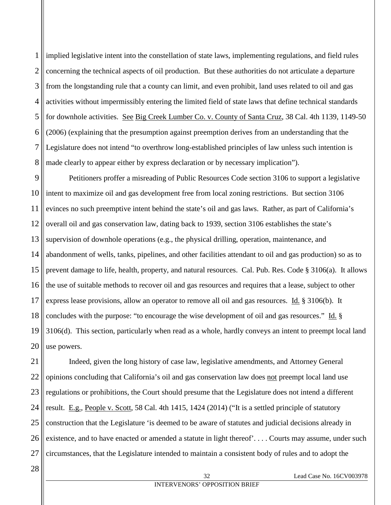1 2 3 4 5 6 7 8 implied legislative intent into the constellation of state laws, implementing regulations, and field rules concerning the technical aspects of oil production. But these authorities do not articulate a departure from the longstanding rule that a county can limit, and even prohibit, land uses related to oil and gas activities without impermissibly entering the limited field of state laws that define technical standards for downhole activities. See Big Creek Lumber Co. v. County of Santa Cruz, 38 Cal. 4th 1139, 1149-50 (2006) (explaining that the presumption against preemption derives from an understanding that the Legislature does not intend "to overthrow long-established principles of law unless such intention is made clearly to appear either by express declaration or by necessary implication").

9 10 11 12 13 14 15 16 17 18 19 20 Petitioners proffer a misreading of Public Resources Code section 3106 to support a legislative intent to maximize oil and gas development free from local zoning restrictions. But section 3106 evinces no such preemptive intent behind the state's oil and gas laws. Rather, as part of California's overall oil and gas conservation law, dating back to 1939, section 3106 establishes the state's supervision of downhole operations (e.g., the physical drilling, operation, maintenance, and abandonment of wells, tanks, pipelines, and other facilities attendant to oil and gas production) so as to prevent damage to life, health, property, and natural resources. Cal. Pub. Res. Code § 3106(a). It allows the use of suitable methods to recover oil and gas resources and requires that a lease, subject to other express lease provisions, allow an operator to remove all oil and gas resources. Id. § 3106(b). It concludes with the purpose: "to encourage the wise development of oil and gas resources." Id. § 3106(d). This section, particularly when read as a whole, hardly conveys an intent to preempt local land use powers.

<span id="page-44-0"></span>21 22 23 24 25 26 27 Indeed, given the long history of case law, legislative amendments, and Attorney General opinions concluding that California's oil and gas conservation law does not preempt local land use regulations or prohibitions, the Court should presume that the Legislature does not intend a different result. E.g., People v. Scott, 58 Cal. 4th 1415, 1424 (2014) ("It is a settled principle of statutory construction that the Legislature 'is deemed to be aware of statutes and judicial decisions already in existence, and to have enacted or amended a statute in light thereof'. . . . Courts may assume, under such circumstances, that the Legislature intended to maintain a consistent body of rules and to adopt the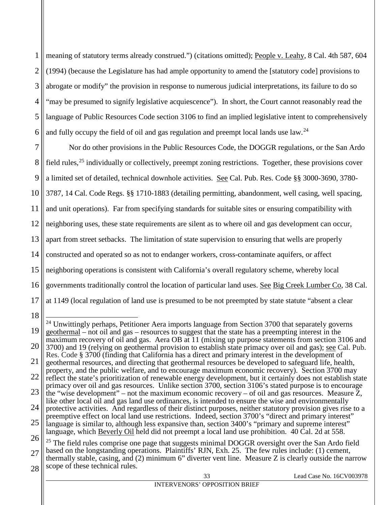<span id="page-45-0"></span>1 2 3 4 5 6 meaning of statutory terms already construed.") (citations omitted); People v. Leahy, 8 Cal. 4th 587, 604 (1994) (because the Legislature has had ample opportunity to amend the [statutory code] provisions to abrogate or modify" the provision in response to numerous judicial interpretations, its failure to do so "may be presumed to signify legislative acquiescence"). In short, the Court cannot reasonably read the language of Public Resources Code section 3106 to find an implied legislative intent to comprehensively and fully occupy the field of oil and gas regulation and preempt local lands use law.<sup>[24](#page-45-4)</sup>

<span id="page-45-3"></span><span id="page-45-1"></span>7 8 9 10 11 12 13 14 15 16 17 18 Nor do other provisions in the Public Resources Code, the DOGGR regulations, or the San Ardo field rules,<sup>[25](#page-45-5)</sup> individually or collectively, preempt zoning restrictions. Together, these provisions cover a limited set of detailed, technical downhole activities. See Cal. Pub. Res. Code §§ 3000-3690, 3780- 3787, 14 Cal. Code Regs. §§ 1710-1883 (detailing permitting, abandonment, well casing, well spacing, and unit operations). Far from specifying standards for suitable sites or ensuring compatibility with neighboring uses, these state requirements are silent as to where oil and gas development can occur, apart from street setbacks. The limitation of state supervision to ensuring that wells are properly constructed and operated so as not to endanger workers, cross-contaminate aquifers, or affect neighboring operations is consistent with California's overall regulatory scheme, whereby local governments traditionally control the location of particular land uses. See Big Creek Lumber Co, 38 Cal. at 1149 (local regulation of land use is presumed to be not preempted by state statute "absent a clear

<span id="page-45-4"></span><span id="page-45-2"></span><sup>19</sup> 20 21 22 23 24 25 <sup>24</sup> Unwittingly perhaps, Petitioner Aera imports language from Section 3700 that separately governs geothermal – not oil and gas – resources to suggest that the state has a preempting interest in the maximum recovery of oil and gas. Aera OB at 11 (mixing up purpose statements from section 3106 and 3700) and 19 (relying on geothermal provision to establish state primacy over oil and gas); see Cal. Pub. Res. Code § 3700 (finding that California has a direct and primary interest in the development of geothermal resources, and directing that geothermal resources be developed to safeguard life, health, property, and the public welfare, and to encourage maximum economic recovery). Section 3700 may reflect the state's prioritization of renewable energy development, but it certainly does not establish state primacy over oil and gas resources. Unlike section 3700, section 3106's stated purpose is to encourage the "wise development" – not the maximum economic recovery – of oil and gas resources. Measure  $\overline{Z}$ , like other local oil and gas land use ordinances, is intended to ensure the wise and environmentally protective activities. And regardless of their distinct purposes, neither statutory provision gives rise to a preemptive effect on local land use restrictions. Indeed, section 3700's "direct and primary interest" language is similar to, although less expansive than, section 3400's "primary and supreme interest" language, which Beverly Oil held did not preempt a local land use prohibition. 40 Cal. 2d at 558.

<span id="page-45-5"></span><sup>26</sup> 27 <sup>25</sup> The field rules comprise one page that suggests minimal DOGGR oversight over the San Ardo field based on the longstanding operations. Plaintiffs' RJN, Exh. 25. The few rules include: (1) cement, thermally stable, casing, and (2) minimum 6" diverter vent line. Measure Z is clearly outside the narrow scope of these technical rules.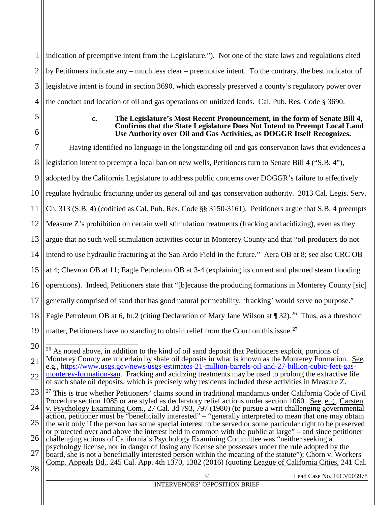1 2 3 4 indication of preemptive intent from the Legislature."). Not one of the state laws and regulations cited by Petitioners indicate any – much less clear – preemptive intent. To the contrary, the best indicator of legislative intent is found in section 3690, which expressly preserved a county's regulatory power over the conduct and location of oil and gas operations on unitized lands. Cal. Pub. Res. Code § 3690.

<span id="page-46-0"></span>5 6

## <span id="page-46-5"></span><span id="page-46-4"></span><span id="page-46-3"></span><span id="page-46-2"></span><span id="page-46-1"></span>**c. The Legislature's Most Recent Pronouncement, in the form of Senate Bill 4, Confirms that the State Legislature Does Not Intend to Preempt Local Land Use Authority over Oil and Gas Activities, as DOGGR Itself Recognizes.**

<span id="page-46-7"></span><span id="page-46-6"></span>7 8 9 10 11 12 13 14 15 16 17 18 19 20 21 22 23 24 25 26 27 28 Having identified no language in the longstanding oil and gas conservation laws that evidences a legislation intent to preempt a local ban on new wells, Petitioners turn to Senate Bill 4 ("S.B. 4"), adopted by the California Legislature to address public concerns over DOGGR's failure to effectively regulate hydraulic fracturing under its general oil and gas conservation authority. 2013 Cal. Legis. Serv. Ch. 313 (S.B. 4) (codified as Cal. Pub. Res. Code §§ 3150-3161). Petitioners argue that S.B. 4 preempts Measure Z's prohibition on certain well stimulation treatments (fracking and acidizing), even as they argue that no such well stimulation activities occur in Monterey County and that "oil producers do not intend to use hydraulic fracturing at the San Ardo Field in the future." Aera OB at 8; see also CRC OB at 4; Chevron OB at 11; Eagle Petroleum OB at 3-4 (explaining its current and planned steam flooding operations). Indeed, Petitioners state that "[b]ecause the producing formations in Monterey County [sic] generally comprised of sand that has good natural permeability, 'fracking' would serve no purpose." Eagle Petroleum OB at 6, fn.2 (citing Declaration of Mary Jane Wilson at  $\P$  32).<sup>[26](#page-46-6)</sup> Thus, as a threshold matter, Petitioners have no standing to obtain relief from the Court on this issue.<sup>[27](#page-46-7)</sup> <sup>26</sup> As noted above, in addition to the kind of oil sand deposit that Petitioners exploit, portions of Monterey County are underlain by shale oil deposits in what is known as the Monterey Formation. See, e.g., [https://www.usgs.gov/news/usgs-estimates-21-million-barrels-oil-and-27-billion-cubic-feet-gas](https://www.usgs.gov/news/usgs-estimates-21-million-barrels-oil-and-27-billion-cubic-feet-gas-monterey-formation-san)[monterey-formation-san.](https://www.usgs.gov/news/usgs-estimates-21-million-barrels-oil-and-27-billion-cubic-feet-gas-monterey-formation-san) Fracking and acidizing treatments may be used to prolong the extractive life of such shale oil deposits, which is precisely why residents included these activities in Measure Z. <sup>27</sup> This is true whether Petitioners' claims sound in traditional mandamus under California Code of Civil Procedure section 1085 or are styled as declaratory relief actions under section 1060. See, e.g., Carsten v. Psychology Examining Com., 27 Cal. 3d 793, 797 (1980) (to pursue a writ challenging governmental action, petitioner must be "beneficially interested" – "generally interpreted to mean that one may obtain the writ only if the person has some special interest to be served or some particular right to be preserved or protected over and above the interest held in common with the public at large" – and since petitioner challenging actions of California's Psychology Examining Committee was "neither seeking a psychology license, nor in danger of losing any license she possesses under the rule adopted by the board, she is not a beneficially interested person within the meaning of the statute"); Chorn v. Workers' Comp. Appeals Bd., 245 Cal. App. 4th 1370, 1382 (2016) (quoting League of California Cities, 241 Cal.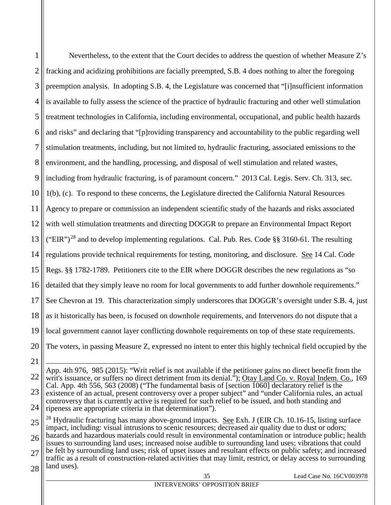1 2 3 4 5 6 7 8 9 10 11 12 13 14 15 16 17 18 19 20 Nevertheless, to the extent that the Court decides to address the question of whether Measure Z's fracking and acidizing prohibitions are facially preempted, S.B. 4 does nothing to alter the foregoing preemption analysis. In adopting S.B. 4, the Legislature was concerned that "[i]nsufficient information is available to fully assess the science of the practice of hydraulic fracturing and other well stimulation treatment technologies in California, including environmental, occupational, and public health hazards and risks" and declaring that "[p]roviding transparency and accountability to the public regarding well stimulation treatments, including, but not limited to, hydraulic fracturing, associated emissions to the environment, and the handling, processing, and disposal of well stimulation and related wastes, including from hydraulic fracturing, is of paramount concern." 2013 Cal. Legis. Serv. Ch. 313, sec. 1(b), (c). To respond to these concerns, the Legislature directed the California Natural Resources Agency to prepare or commission an independent scientific study of the hazards and risks associated with well stimulation treatments and directing DOGGR to prepare an Environmental Impact Report ("EIR")<sup>[28](#page-47-3)</sup> and to develop implementing regulations. Cal. Pub. Res. Code §§ 3160-61. The resulting regulations provide technical requirements for testing, monitoring, and disclosure. See 14 Cal. Code Regs. §§ 1782-1789. Petitioners cite to the EIR where DOGGR describes the new regulations as "so detailed that they simply leave no room for local governments to add further downhole requirements." See Chevron at 19. This characterization simply underscores that DOGGR's oversight under S.B. 4, just as it historically has been, is focused on downhole requirements, and Intervenors do not dispute that a local government cannot layer conflicting downhole requirements on top of these state requirements. The voters, in passing Measure Z, expressed no intent to enter this highly technical field occupied by the

21

<span id="page-47-2"></span><span id="page-47-1"></span><span id="page-47-0"></span> $\overline{a}$ 

<sup>22</sup> 23 24 App. 4th 976, 985 (2015): "Writ relief is not available if the petitioner gains no direct benefit from the writ's issuance, or suffers no direct detriment from its denial."); Otay Land Co. v. Royal Indem. Co., 169 Cal. App. 4th 556, 563 (2008) ("The fundamental basis of [section 1060] declaratory relief is the existence of an actual, present controversy over a proper subject" and "under California rules, an actual controversy that is currently active is required for such relief to be issued, and both standing and ripeness are appropriate criteria in that determination").

<span id="page-47-3"></span><sup>25</sup> 26 <sup>28</sup> Hydraulic fracturing has many above-ground impacts. <u>See</u> Exh. J (EIR Ch. 10.16-15, listing surface impact, including: visual intrusions to scenic resources; decreased air quality due to dust or odors; hazards and hazardous materials could result in environmental contamination or introduce public; health

<sup>27</sup> issues to surrounding land uses; increased noise audible to surrounding land uses; vibrations that could be felt by surrounding land uses; risk of upset issues and resultant effects on public safety; and increased traffic as a result of construction-related activities that may limit, restrict, or delay access to surrounding land uses).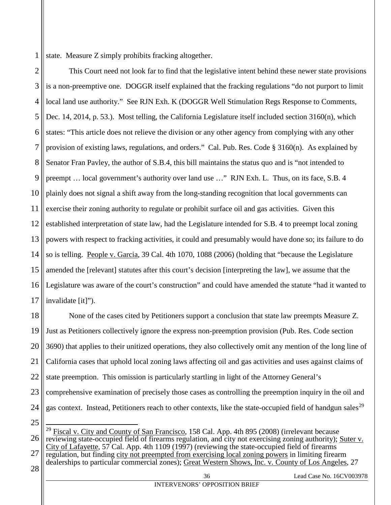1 state. Measure Z simply prohibits fracking altogether.

2 3 4 5 6 7 8 9 10 11 12 13 14 15 16 17 This Court need not look far to find that the legislative intent behind these newer state provisions is a non-preemptive one. DOGGR itself explained that the fracking regulations "do not purport to limit local land use authority." See RJN Exh. K (DOGGR Well Stimulation Regs Response to Comments, Dec. 14, 2014, p. 53.). Most telling, the California Legislature itself included section 3160(n), which states: "This article does not relieve the division or any other agency from complying with any other provision of existing laws, regulations, and orders." Cal. Pub. Res. Code § 3160(n). As explained by Senator Fran Pavley, the author of S.B.4, this bill maintains the status quo and is "not intended to preempt … local government's authority over land use …" RJN Exh. L. Thus, on its face, S.B. 4 plainly does not signal a shift away from the long-standing recognition that local governments can exercise their zoning authority to regulate or prohibit surface oil and gas activities. Given this established interpretation of state law, had the Legislature intended for S.B. 4 to preempt local zoning powers with respect to fracking activities, it could and presumably would have done so; its failure to do so is telling. People v. Garcia, 39 Cal. 4th 1070, 1088 (2006) (holding that "because the Legislature amended the [relevant] statutes after this court's decision [interpreting the law], we assume that the Legislature was aware of the court's construction" and could have amended the statute "had it wanted to invalidate [it]").

<span id="page-48-4"></span><span id="page-48-2"></span>18 19 20 21 22 23 24 25 None of the cases cited by Petitioners support a conclusion that state law preempts Measure Z. Just as Petitioners collectively ignore the express non-preemption provision (Pub. Res. Code section 3690) that applies to their unitized operations, they also collectively omit any mention of the long line of California cases that uphold local zoning laws affecting oil and gas activities and uses against claims of state preemption. This omission is particularly startling in light of the Attorney General's comprehensive examination of precisely those cases as controlling the preemption inquiry in the oil and gas context. Instead, Petitioners reach to other contexts, like the state-occupied field of handgun sales<sup>[29](#page-48-5)</sup>

<span id="page-48-3"></span><span id="page-48-1"></span><span id="page-48-0"></span>

<span id="page-48-5"></span>26 27  $29$  Fiscal v. City and County of San Francisco, 158 Cal. App. 4th 895 (2008) (irrelevant because reviewing state-occupied field of firearms regulation, and city not exercising zoning authority); Suter v. City of Lafayette, 57 Cal. App. 4th 1109 (1997) (reviewing the state-occupied field of firearms regulation, but finding city not preempted from exercising local zoning powers in limiting firearm dealerships to particular commercial zones); Great Western Shows, Inc. v. County of Los Angeles, 27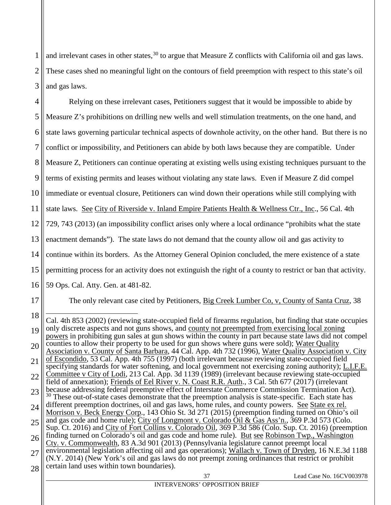1 2 3 and irrelevant cases in other states,  $30$  to argue that Measure Z conflicts with California oil and gas laws. These cases shed no meaningful light on the contours of field preemption with respect to this state's oil and gas laws.

4 5 6 7 8 9 10 11 12 13 14 15 16 Relying on these irrelevant cases, Petitioners suggest that it would be impossible to abide by Measure Z's prohibitions on drilling new wells and well stimulation treatments, on the one hand, and state laws governing particular technical aspects of downhole activity, on the other hand. But there is no conflict or impossibility, and Petitioners can abide by both laws because they are compatible. Under Measure Z, Petitioners can continue operating at existing wells using existing techniques pursuant to the terms of existing permits and leases without violating any state laws. Even if Measure Z did compel immediate or eventual closure, Petitioners can wind down their operations while still complying with state laws. See City of Riverside v. Inland Empire Patients Health & Wellness Ctr., Inc., 56 Cal. 4th 729, 743 (2013) (an impossibility conflict arises only where a local ordinance "prohibits what the state enactment demands"). The state laws do not demand that the county allow oil and gas activity to continue within its borders. As the Attorney General Opinion concluded, the mere existence of a state permitting process for an activity does not extinguish the right of a county to restrict or ban that activity. 59 Ops. Cal. Atty. Gen. at 481-82.

<span id="page-49-7"></span><span id="page-49-6"></span><span id="page-49-5"></span><span id="page-49-4"></span><span id="page-49-3"></span><span id="page-49-2"></span><span id="page-49-1"></span><span id="page-49-0"></span>The only relevant case cited by Petitioners, Big Creek Lumber Co, v, County of Santa Cruz, 38

<span id="page-49-8"></span>18 19 20 21 22 23 24 25 26 27 28 37 Lead Case No. 16CV003978  $\overline{a}$ Cal. 4th 853 (2002) (reviewing state-occupied field of firearms regulation, but finding that state occupies only discrete aspects and not guns shows, and county not preempted from exercising local zoning powers in prohibiting gun sales at gun shows within the county in part because state laws did not compel counties to allow their property to be used for gun shows where guns were sold); Water Quality Association v. County of Santa Barbara, 44 Cal. App. 4th 732 (1996), Water Quality Association v. City of Escondido, 53 Cal. App. 4th 755 (1997) (both irrelevant because reviewing state-occupied field specifying standards for water softening, and local government not exercising zoning authority); L.I.F.E. Committee v City of Lodi, 213 Cal. App. 3d 1139 (1989) (irrelevant because reviewing state-occupied field of annexation); Friends of Eel River v. N. Coast R.R. Auth., 3 Cal. 5th 677 (2017) (irrelevant because addressing federal preemptive effect of Interstate Commerce Commission Termination Act). <sup>30</sup> These out-of-state cases demonstrate that the preemption analysis is state-specific. Each state has different preemption doctrines, oil and gas laws, home rules, and county powers. See State ex rel. Morrison v. Beck Energy Corp., 143 Ohio St. 3d 271 (2015) (preemption finding turned on Ohio's oil and gas code and home rule); City of Longmont v. Colorado Oil & Gas Ass'n., 369 P.3d 573 (Colo. Sup. Ct. 2016) and City of Fort Collins v. Colorado Oil, 369 P.3d 586 (Colo. Sup. Ct. 2016) (preemption finding turned on Colorado's oil and gas code and home rule). But see Robinson Twp., Washington Cty. v. Commonwealth, 83 A.3d 901 (2013) (Pennsylvania legislature cannot preempt local environmental legislation affecting oil and gas operations); Wallach v. Town of Dryden, 16 N.E.3d 1188 (N.Y. 2014) (New York's oil and gas laws do not preempt zoning ordinances that restrict or prohibit certain land uses within town boundaries).

<sup>17</sup>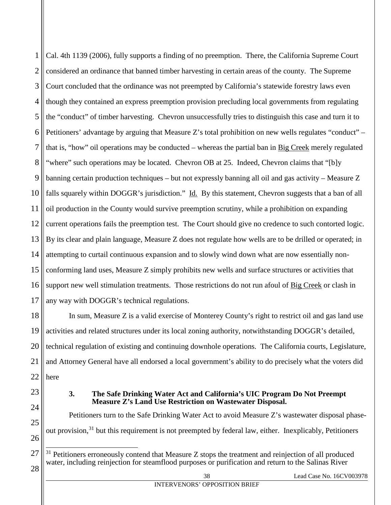1 2 3 4 5 6 7 8 9 10 11 12 13 14 15 16 17 Cal. 4th 1139 (2006), fully supports a finding of no preemption. There, the California Supreme Court considered an ordinance that banned timber harvesting in certain areas of the county. The Supreme Court concluded that the ordinance was not preempted by California's statewide forestry laws even though they contained an express preemption provision precluding local governments from regulating the "conduct" of timber harvesting. Chevron unsuccessfully tries to distinguish this case and turn it to Petitioners' advantage by arguing that Measure Z's total prohibition on new wells regulates "conduct" – that is, "how" oil operations may be conducted – whereas the partial ban in Big Creek merely regulated "where" such operations may be located. Chevron OB at 25. Indeed, Chevron claims that "[b]y banning certain production techniques – but not expressly banning all oil and gas activity – Measure Z falls squarely within DOGGR's jurisdiction." Id. By this statement, Chevron suggests that a ban of all oil production in the County would survive preemption scrutiny, while a prohibition on expanding current operations fails the preemption test. The Court should give no credence to such contorted logic. By its clear and plain language, Measure Z does not regulate how wells are to be drilled or operated; in attempting to curtail continuous expansion and to slowly wind down what are now essentially nonconforming land uses, Measure Z simply prohibits new wells and surface structures or activities that support new well stimulation treatments. Those restrictions do not run afoul of Big Creek or clash in any way with DOGGR's technical regulations.

18 19 20 21 22 In sum, Measure Z is a valid exercise of Monterey County's right to restrict oil and gas land use activities and related structures under its local zoning authority, notwithstanding DOGGR's detailed, technical regulation of existing and continuing downhole operations. The California courts, Legislature, and Attorney General have all endorsed a local government's ability to do precisely what the voters did here

<span id="page-50-0"></span>23

24

## **3. The Safe Drinking Water Act and California's UIC Program Do Not Preempt Measure Z's Land Use Restriction on Wastewater Disposal.**

25 26 Petitioners turn to the Safe Drinking Water Act to avoid Measure Z's wastewater disposal phase-out provision,<sup>[31](#page-50-1)</sup> but this requirement is not preempted by federal law, either. Inexplicably, Petitioners

<span id="page-50-1"></span>27 <sup>31</sup> Petitioners erroneously contend that Measure Z stops the treatment and reinjection of all produced water, including reinjection for steamflood purposes or purification and return to the Salinas River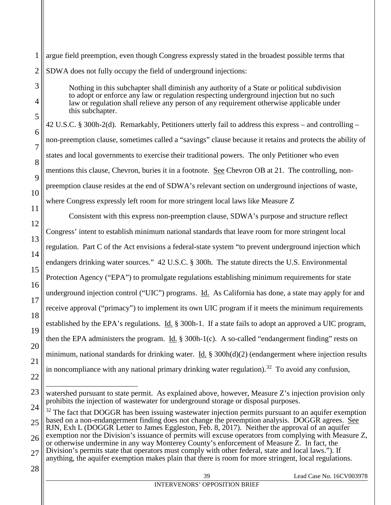1 2 argue field preemption, even though Congress expressly stated in the broadest possible terms that SDWA does not fully occupy the field of underground injections:

> Nothing in this subchapter shall diminish any authority of a State or political subdivision to adopt or enforce any law or regulation respecting underground injection but no such law or regulation shall relieve any person of any requirement otherwise applicable under this subchapter.

<span id="page-51-3"></span>42 U.S.C. § 300h-2(d). Remarkably, Petitioners utterly fail to address this express – and controlling – non-preemption clause, sometimes called a "savings" clause because it retains and protects the ability of states and local governments to exercise their traditional powers. The only Petitioner who even mentions this clause, Chevron, buries it in a footnote. See Chevron OB at 21. The controlling, nonpreemption clause resides at the end of SDWA's relevant section on underground injections of waste, where Congress expressly left room for more stringent local laws like Measure Z

<span id="page-51-0"></span>12 13 14 15 16 17 18 19 20 21 Consistent with this express non-preemption clause, SDWA's purpose and structure reflect Congress' intent to establish minimum national standards that leave room for more stringent local regulation. Part C of the Act envisions a federal-state system "to prevent underground injection which endangers drinking water sources." 42 U.S.C. § 300h. The statute directs the U.S. Environmental Protection Agency ("EPA") to promulgate regulations establishing minimum requirements for state underground injection control ("UIC") programs. Id. As California has done, a state may apply for and receive approval ("primacy") to implement its own UIC program if it meets the minimum requirements established by the EPA's regulations. Id. § 300h-1. If a state fails to adopt an approved a UIC program, then the EPA administers the program. Id.  $\S$  300h-1(c). A so-called "endangerment finding" rests on minimum, national standards for drinking water. Id.  $\S$  300h(d)(2) (endangerment where injection results in noncompliance with any national primary drinking water regulation).<sup>32</sup> To avoid any confusion,

22

<span id="page-51-2"></span><span id="page-51-1"></span> $\overline{a}$ 

3

4

5

6

7

8

9

10

11

watershed pursuant to state permit. As explained above, however, Measure Z's injection provision only prohibits the injection of wastewater for underground storage or disposal purposes.

<sup>23</sup>

<span id="page-51-4"></span><sup>24</sup> 25  $32$  The fact that DOGGR has been issuing wastewater injection permits pursuant to an aquifer exemption based on a non-endangerment finding does not change the preemption analysis. DOGGR agrees. See RJN, Exh L (DOGGR Letter to James Eggleston, Feb. 8, 2017). Neither the approval of an aquifer

<sup>26</sup> exemption nor the Division's issuance of permits will excuse operators from complying with Measure Z, or otherwise undermine in any way Monterey County's enforcement of Measure Z. In fact, the Division's permits state that operators must comply with other federal, state and local laws."). If

<sup>27</sup> anything, the aquifer exemption makes plain that there is room for more stringent, local regulations.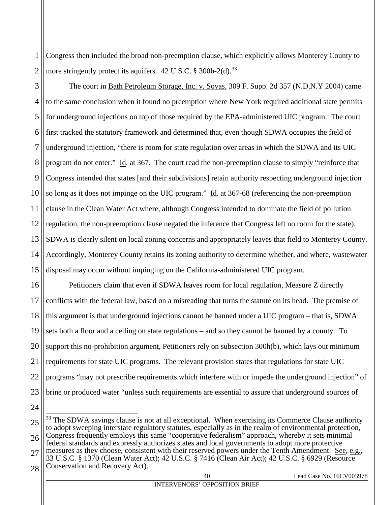<span id="page-52-0"></span>1 2 Congress then included the broad non-preemption clause, which explicitly allows Monterey County to more stringently protect its aquifers.  $42$  U.S.C. § 300h-2(d).<sup>[33](#page-52-4)</sup>

3 4 5 6 7 8 9 10 11 12 13 14 15 The court in Bath Petroleum Storage, Inc. v. Sovas, 309 F. Supp. 2d 357 (N.D.N.Y 2004) came to the same conclusion when it found no preemption where New York required additional state permits for underground injections on top of those required by the EPA-administered UIC program. The court first tracked the statutory framework and determined that, even though SDWA occupies the field of underground injection, "there is room for state regulation over areas in which the SDWA and its UIC program do not enter." Id. at 367. The court read the non-preemption clause to simply "reinforce that Congress intended that states [and their subdivisions] retain authority respecting underground injection so long as it does not impinge on the UIC program." Id. at 367-68 (referencing the non-preemption clause in the Clean Water Act where, although Congress intended to dominate the field of pollution regulation, the non-preemption clause negated the inference that Congress left no room for the state). SDWA is clearly silent on local zoning concerns and appropriately leaves that field to Monterey County. Accordingly, Monterey County retains its zoning authority to determine whether, and where, wastewater disposal may occur without impinging on the California-administered UIC program.

16 17 18 19 20 21 22 23 Petitioners claim that even if SDWA leaves room for local regulation, Measure Z directly conflicts with the federal law, based on a misreading that turns the statute on its head. The premise of this argument is that underground injections cannot be banned under a UIC program – that is, SDWA sets both a floor and a ceiling on state regulations – and so they cannot be banned by a county. To support this no-prohibition argument, Petitioners rely on subsection 300h(b), which lays out minimum requirements for state UIC programs. The relevant provision states that regulations for state UIC programs "may not prescribe requirements which interfere with or impede the underground injection" of brine or produced water "unless such requirements are essential to assure that underground sources of

24

<span id="page-52-3"></span><span id="page-52-2"></span><span id="page-52-1"></span>28 33 U.S.C. § 1370 (Clean Water Act); 42 U.S.C. § 7416 (Clean Air Act); 42 U.S.C. § 6929 (Resource Conservation and Recovery Act).

<span id="page-52-4"></span><sup>25</sup> 26 27  $33$  The SDWA savings clause is not at all exceptional. When exercising its Commerce Clause authority to adopt sweeping interstate regulatory statutes, especially as in the realm of environmental protection, Congress frequently employs this same "cooperative federalism" approach, whereby it sets minimal federal standards and expressly authorizes states and local governments to adopt more protective measures as they choose, consistent with their reserved powers under the Tenth Amendment. See, e.g.,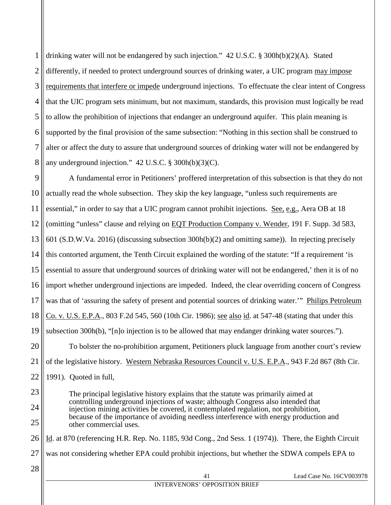1 2 3 4 5 6 7 8 drinking water will not be endangered by such injection." 42 U.S.C. § 300h(b)(2)(A). Stated differently, if needed to protect underground sources of drinking water, a UIC program may impose requirements that interfere or impede underground injections. To effectuate the clear intent of Congress that the UIC program sets minimum, but not maximum, standards, this provision must logically be read to allow the prohibition of injections that endanger an underground aquifer. This plain meaning is supported by the final provision of the same subsection: "Nothing in this section shall be construed to alter or affect the duty to assure that underground sources of drinking water will not be endangered by any underground injection." 42 U.S.C. § 300h(b)(3)(C).

<span id="page-53-0"></span>9 10 11 12 13 14 15 16 17 18 19 20 21 22 23 24 25 26 27 A fundamental error in Petitioners' proffered interpretation of this subsection is that they do not actually read the whole subsection. They skip the key language, "unless such requirements are essential," in order to say that a UIC program cannot prohibit injections. See, e.g., Aera OB at 18 (omitting "unless" clause and relying on EQT Production Company v. Wender, 191 F. Supp. 3d 583, 601 (S.D.W.Va. 2016) (discussing subsection 300h(b)(2) and omitting same)). In rejecting precisely this contorted argument, the Tenth Circuit explained the wording of the statute: "If a requirement 'is essential to assure that underground sources of drinking water will not be endangered,' then it is of no import whether underground injections are impeded. Indeed, the clear overriding concern of Congress was that of 'assuring the safety of present and potential sources of drinking water.'" Philips Petroleum Co. v. U.S. E.P.A., 803 F.2d 545, 560 (10th Cir. 1986); see also id. at 547-48 (stating that under this subsection 300h(b), "[n]o injection is to be allowed that may endanger drinking water sources."). To bolster the no-prohibition argument, Petitioners pluck language from another court's review of the legislative history. Western Nebraska Resources Council v. U.S. E.P.A., 943 F.2d 867 (8th Cir. 1991). Quoted in full, The principal legislative history explains that the statute was primarily aimed at controlling underground injections of waste; although Congress also intended that injection mining activities be covered, it contemplated regulation, not prohibition, because of the importance of avoiding needless interference with energy production and other commercial uses. Id. at 870 (referencing H.R. Rep. No. 1185, 93d Cong., 2nd Sess. 1 (1974)). There, the Eighth Circuit was not considering whether EPA could prohibit injections, but whether the SDWA compels EPA to

28

<span id="page-53-2"></span><span id="page-53-1"></span>41 Lead Case No. 16CV003978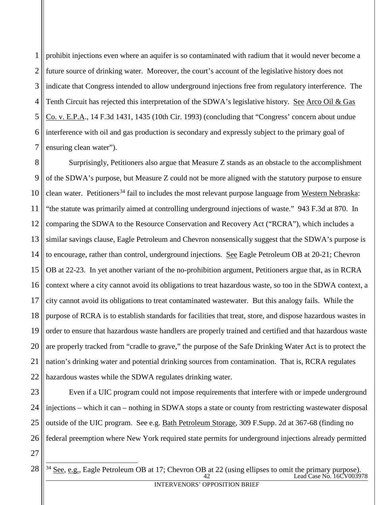<span id="page-54-0"></span>1 2 3 4 5 6 7 prohibit injections even where an aquifer is so contaminated with radium that it would never become a future source of drinking water. Moreover, the court's account of the legislative history does not indicate that Congress intended to allow underground injections free from regulatory interference. The Tenth Circuit has rejected this interpretation of the SDWA's legislative history. See Arco Oil & Gas Co. v. E.P.A., 14 F.3d 1431, 1435 (10th Cir. 1993) (concluding that "Congress' concern about undue interference with oil and gas production is secondary and expressly subject to the primary goal of ensuring clean water").

8 9 10 11 12 13 14 15 16 17 18 19 20 21 22 Surprisingly, Petitioners also argue that Measure Z stands as an obstacle to the accomplishment of the SDWA's purpose, but Measure Z could not be more aligned with the statutory purpose to ensure clean water. Petitioners<sup>[34](#page-54-1)</sup> fail to includes the most relevant purpose language from Western Nebraska: "the statute was primarily aimed at controlling underground injections of waste." 943 F.3d at 870. In comparing the SDWA to the Resource Conservation and Recovery Act ("RCRA"), which includes a similar savings clause, Eagle Petroleum and Chevron nonsensically suggest that the SDWA's purpose is to encourage, rather than control, underground injections. See Eagle Petroleum OB at 20-21; Chevron OB at 22-23. In yet another variant of the no-prohibition argument, Petitioners argue that, as in RCRA context where a city cannot avoid its obligations to treat hazardous waste, so too in the SDWA context, a city cannot avoid its obligations to treat contaminated wastewater. But this analogy fails. While the purpose of RCRA is to establish standards for facilities that treat, store, and dispose hazardous wastes in order to ensure that hazardous waste handlers are properly trained and certified and that hazardous waste are properly tracked from "cradle to grave," the purpose of the Safe Drinking Water Act is to protect the nation's drinking water and potential drinking sources from contamination. That is, RCRA regulates hazardous wastes while the SDWA regulates drinking water.

23 24 25 26 Even if a UIC program could not impose requirements that interfere with or impede underground injections – which it can – nothing in SDWA stops a state or county from restricting wastewater disposal outside of the UIC program. See e.g. Bath Petroleum Storage, 309 F.Supp. 2d at 367-68 (finding no federal preemption where New York required state permits for underground injections already permitted

27

<span id="page-54-1"></span>28 42 Lead Case No. 16CV003978  $\frac{34 \text{ See, e.g.,} }{34 \text{ See, e.g.,}}$  Eagle Petroleum OB at 17; Chevron OB at 22 (using ellipses to omit the primary purpose).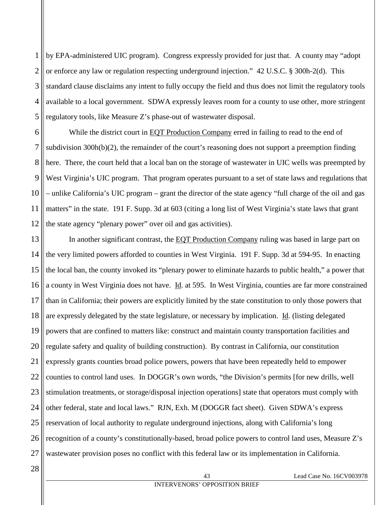1 2 3 4 5 by EPA-administered UIC program). Congress expressly provided for just that. A county may "adopt or enforce any law or regulation respecting underground injection." 42 U.S.C. § 300h-2(d). This standard clause disclaims any intent to fully occupy the field and thus does not limit the regulatory tools available to a local government. SDWA expressly leaves room for a county to use other, more stringent regulatory tools, like Measure Z's phase-out of wastewater disposal.

<span id="page-55-0"></span>6 7 8 9 10 11 12 While the district court in **EQT Production Company** erred in failing to read to the end of subdivision 300h(b)(2), the remainder of the court's reasoning does not support a preemption finding here. There, the court held that a local ban on the storage of wastewater in UIC wells was preempted by West Virginia's UIC program. That program operates pursuant to a set of state laws and regulations that – unlike California's UIC program – grant the director of the state agency "full charge of the oil and gas matters" in the state. 191 F. Supp. 3d at 603 (citing a long list of West Virginia's state laws that grant the state agency "plenary power" over oil and gas activities).

13 14 15 16 17 18 19 20 21 22 23 24 25 26 27 In another significant contrast, the EQT Production Company ruling was based in large part on the very limited powers afforded to counties in West Virginia. 191 F. Supp. 3d at 594-95. In enacting the local ban, the county invoked its "plenary power to eliminate hazards to public health," a power that a county in West Virginia does not have. Id. at 595. In West Virginia, counties are far more constrained than in California; their powers are explicitly limited by the state constitution to only those powers that are expressly delegated by the state legislature, or necessary by implication. Id. (listing delegated powers that are confined to matters like: construct and maintain county transportation facilities and regulate safety and quality of building construction). By contrast in California, our constitution expressly grants counties broad police powers, powers that have been repeatedly held to empower counties to control land uses. In DOGGR's own words, "the Division's permits [for new drills, well stimulation treatments, or storage/disposal injection operations] state that operators must comply with other federal, state and local laws." RJN, Exh. M (DOGGR fact sheet). Given SDWA's express reservation of local authority to regulate underground injections, along with California's long recognition of a county's constitutionally-based, broad police powers to control land uses, Measure Z's wastewater provision poses no conflict with this federal law or its implementation in California.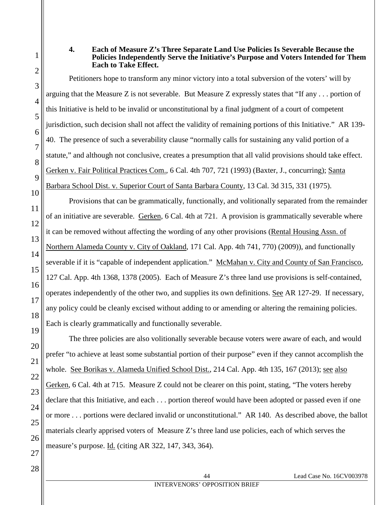## <span id="page-56-0"></span>**4. Each of Measure Z's Three Separate Land Use Policies Is Severable Because the Policies Independently Serve the Initiative's Purpose and Voters Intended for Them Each to Take Effect.**

Petitioners hope to transform any minor victory into a total subversion of the voters' will by arguing that the Measure Z is not severable. But Measure Z expressly states that "If any . . . portion of this Initiative is held to be invalid or unconstitutional by a final judgment of a court of competent jurisdiction, such decision shall not affect the validity of remaining portions of this Initiative." AR 139- 40. The presence of such a severability clause "normally calls for sustaining any valid portion of a statute," and although not conclusive, creates a presumption that all valid provisions should take effect. Gerken v. Fair Political Practices Com., 6 Cal. 4th 707, 721 (1993) (Baxter, J., concurring); Santa Barbara School Dist. v. Superior Court of Santa Barbara County, 13 Cal. 3d 315, 331 (1975).

Provisions that can be grammatically, functionally, and volitionally separated from the remainder of an initiative are severable. Gerken, 6 Cal. 4th at 721. A provision is grammatically severable where it can be removed without affecting the wording of any other provisions (Rental Housing Assn. of Northern Alameda County v. City of Oakland, 171 Cal. App. 4th 741, 770) (2009)), and functionally severable if it is "capable of independent application." McMahan v. City and County of San Francisco, 127 Cal. App. 4th 1368, 1378 (2005). Each of Measure Z's three land use provisions is self-contained, operates independently of the other two, and supplies its own definitions. See AR 127-29. If necessary, any policy could be cleanly excised without adding to or amending or altering the remaining policies. Each is clearly grammatically and functionally severable.

The three policies are also volitionally severable because voters were aware of each, and would prefer "to achieve at least some substantial portion of their purpose" even if they cannot accomplish the whole. See Borikas v. Alameda Unified School Dist., 214 Cal. App. 4th 135, 167 (2013); see also Gerken, 6 Cal. 4th at 715. Measure Z could not be clearer on this point, stating, "The voters hereby declare that this Initiative, and each . . . portion thereof would have been adopted or passed even if one or more . . . portions were declared invalid or unconstitutional." AR 140. As described above, the ballot materials clearly apprised voters of Measure Z's three land use policies, each of which serves the measure's purpose. Id. (citing AR 322, 147, 343, 364).

44 Lead Case No. 16CV003978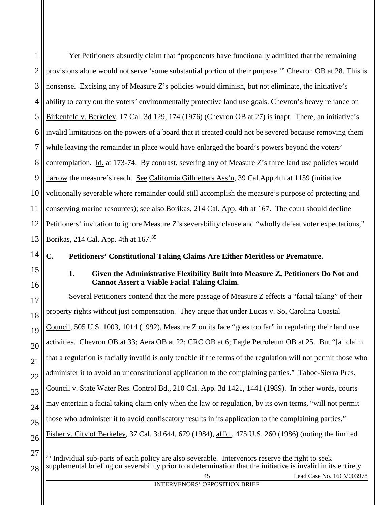1 2 3 4 5 6 7 8 9 10 11 12 13 Yet Petitioners absurdly claim that "proponents have functionally admitted that the remaining provisions alone would not serve 'some substantial portion of their purpose.'" Chevron OB at 28. This is nonsense. Excising any of Measure Z's policies would diminish, but not eliminate, the initiative's ability to carry out the voters' environmentally protective land use goals. Chevron's heavy reliance on Birkenfeld v. Berkeley, 17 Cal. 3d 129, 174 (1976) (Chevron OB at 27) is inapt. There, an initiative's invalid limitations on the powers of a board that it created could not be severed because removing them while leaving the remainder in place would have enlarged the board's powers beyond the voters' contemplation. Id. at 173-74. By contrast, severing any of Measure Z's three land use policies would narrow the measure's reach. See California Gillnetters Ass'n, 39 Cal.App.4th at 1159 (initiative volitionally severable where remainder could still accomplish the measure's purpose of protecting and conserving marine resources); <u>see also Borikas</u>, 214 Cal. App. 4th at 167. The court should decline Petitioners' invitation to ignore Measure Z's severability clause and "wholly defeat voter expectations," Borikas, 214 Cal. App. 4th at 167.<sup>[35](#page-57-5)</sup>

<span id="page-57-0"></span>**C. Petitioners' Constitutional Taking Claims Are Either Meritless or Premature.** 

<span id="page-57-1"></span>

14

15

16

## **1. Given the Administrative Flexibility Built into Measure Z, Petitioners Do Not and Cannot Assert a Viable Facial Taking Claim.**

17 18 19 20 21 22 23 24 25 26 Several Petitioners contend that the mere passage of Measure Z effects a "facial taking" of their property rights without just compensation. They argue that under Lucas v. So. Carolina Coastal Council, 505 U.S. 1003, 1014 (1992), Measure Z on its face "goes too far" in regulating their land use activities. Chevron OB at 33; Aera OB at 22; CRC OB at 6; Eagle Petroleum OB at 25. But "[a] claim that a regulation is facially invalid is only tenable if the terms of the regulation will not permit those who administer it to avoid an unconstitutional application to the complaining parties." Tahoe-Sierra Pres. Council v. State Water Res. Control Bd., 210 Cal. App. 3d 1421, 1441 (1989). In other words, courts may entertain a facial taking claim only when the law or regulation, by its own terms, "will not permit those who administer it to avoid confiscatory results in its application to the complaining parties." Fisher v. City of Berkeley, 37 Cal. 3d 644, 679 (1984), aff'd., 475 U.S. 260 (1986) (noting the limited

<span id="page-57-5"></span><span id="page-57-2"></span>27 28 <sup>35</sup> Individual sub-parts of each policy are also severable. Intervenors reserve the right to seek supplemental briefing on severability prior to a determination that the initiative is invalid in its entirety.

<span id="page-57-4"></span><span id="page-57-3"></span>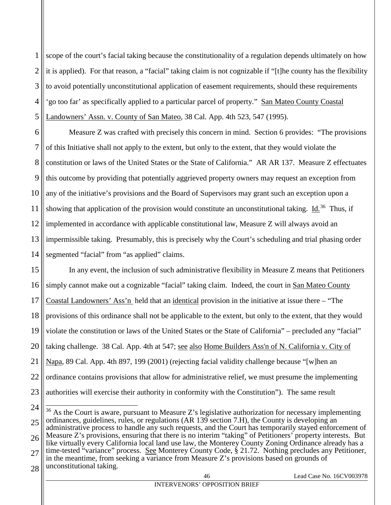1 2 3 4 5 scope of the court's facial taking because the constitutionality of a regulation depends ultimately on how it is applied). For that reason, a "facial" taking claim is not cognizable if "[t]he county has the flexibility to avoid potentially unconstitutional application of easement requirements, should these requirements 'go too far' as specifically applied to a particular parcel of property." San Mateo County Coastal Landowners' Assn. v. County of San Mateo, 38 Cal. App. 4th 523, 547 (1995).

6 7 8 9 10 11 12 13 14 Measure Z was crafted with precisely this concern in mind. Section 6 provides: "The provisions of this Initiative shall not apply to the extent, but only to the extent, that they would violate the constitution or laws of the United States or the State of California." AR AR 137. Measure Z effectuates this outcome by providing that potentially aggrieved property owners may request an exception from any of the initiative's provisions and the Board of Supervisors may grant such an exception upon a showing that application of the provision would constitute an unconstitutional taking. Id.<sup>[36](#page-58-1)</sup> Thus, if implemented in accordance with applicable constitutional law, Measure Z will always avoid an impermissible taking. Presumably, this is precisely why the Court's scheduling and trial phasing order segmented "facial" from "as applied" claims.

15 16 17 18 19 20 21 22 23 In any event, the inclusion of such administrative flexibility in Measure Z means that Petitioners simply cannot make out a cognizable "facial" taking claim. Indeed, the court in San Mateo County Coastal Landowners' Ass'n held that an identical provision in the initiative at issue there – "The provisions of this ordinance shall not be applicable to the extent, but only to the extent, that they would violate the constitution or laws of the United States or the State of California" – precluded any "facial" taking challenge. 38 Cal. App. 4th at 547; see also Home Builders Ass'n of N. California v. City of Napa, 89 Cal. App. 4th 897, 199 (2001) (rejecting facial validity challenge because "[w]hen an ordinance contains provisions that allow for administrative relief, we must presume the implementing authorities will exercise their authority in conformity with the Constitution"). The same result

28 unconstitutional taking.

<span id="page-58-1"></span><span id="page-58-0"></span><sup>24</sup> 25 <sup>36</sup> As the Court is aware, pursuant to Measure Z's legislative authorization for necessary implementing ordinances, guidelines, rules, or regulations (AR 139 section 7.H), the County is developing an administrative process to handle any such requests, and the Court has temporarily stayed enforcement of

<sup>26</sup> 27 Measure Z's provisions, ensuring that there is no interim "taking" of Petitioners' property interests. But like virtually every California local land use law, the Monterey County Zoning Ordinance already has a time-tested "variance" process. See Monterey County Code, § 21.72. Nothing precludes any Petitioner, in the meantime, from seeking a variance from Measure Z's provisions based on grounds of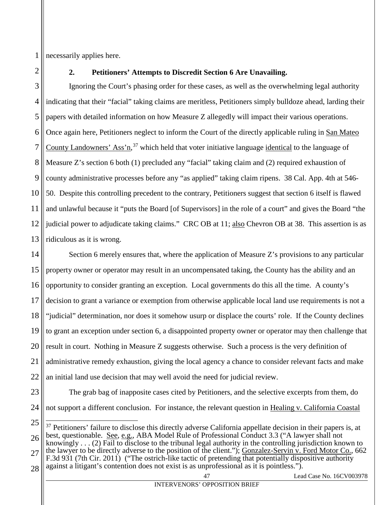1 necessarily applies here.

<span id="page-59-0"></span>2

## **2. Petitioners' Attempts to Discredit Section 6 Are Unavailing.**

3 4 5 6 7 8 9 10 11 12 13 Ignoring the Court's phasing order for these cases, as well as the overwhelming legal authority indicating that their "facial" taking claims are meritless, Petitioners simply bulldoze ahead, larding their papers with detailed information on how Measure Z allegedly will impact their various operations. Once again here, Petitioners neglect to inform the Court of the directly applicable ruling in San Mateo County Landowners' Ass'n,<sup>[37](#page-59-3)</sup> which held that voter initiative language identical to the language of Measure Z's section 6 both (1) precluded any "facial" taking claim and (2) required exhaustion of county administrative processes before any "as applied" taking claim ripens. 38 Cal. App. 4th at 546- 50. Despite this controlling precedent to the contrary, Petitioners suggest that section 6 itself is flawed and unlawful because it "puts the Board [of Supervisors] in the role of a court" and gives the Board "the judicial power to adjudicate taking claims." CRC OB at 11; also Chevron OB at 38. This assertion is as ridiculous as it is wrong.

14 15 16 17 18 19 20 21 22 Section 6 merely ensures that, where the application of Measure Z's provisions to any particular property owner or operator may result in an uncompensated taking, the County has the ability and an opportunity to consider granting an exception. Local governments do this all the time. A county's decision to grant a variance or exemption from otherwise applicable local land use requirements is not a "judicial" determination, nor does it somehow usurp or displace the courts' role. If the County declines to grant an exception under section 6, a disappointed property owner or operator may then challenge that result in court. Nothing in Measure Z suggests otherwise. Such a process is the very definition of administrative remedy exhaustion, giving the local agency a chance to consider relevant facts and make an initial land use decision that may well avoid the need for judicial review.

23 24

<span id="page-59-2"></span><span id="page-59-1"></span>The grab bag of inapposite cases cited by Petitioners, and the selective excerpts from them, do not support a different conclusion. For instance, the relevant question in Healing v. California Coastal

28 F.3d 931 (7th Cir. 2011) ("The ostrich-like tactic of pretending that potentially dispositive authority against a litigant's contention does not exist is as unprofessional as it is pointless.").

<span id="page-59-3"></span><sup>25</sup> 26 27 <sup>37</sup> Petitioners' failure to disclose this directly adverse California appellate decision in their papers is, at best, questionable. See, e.g., ABA Model Rule of Professional Conduct 3.3 ("A lawyer shall not knowingly . . . (2) Fail to disclose to the tribunal legal authority in the controlling jurisdiction known to the lawyer to be directly adverse to the position of the client."); Gonzalez-Servin v. Ford Motor Co., 662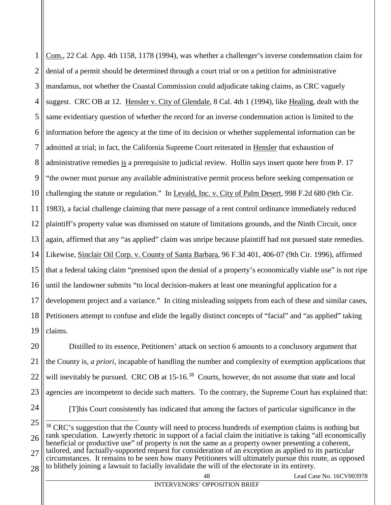<span id="page-60-1"></span><span id="page-60-0"></span>1 2 3 4 5 6 7 8 9 10 11 12 13 14 15 16 17 18 19 Com., 22 Cal. App. 4th 1158, 1178 (1994), was whether a challenger's inverse condemnation claim for denial of a permit should be determined through a court trial or on a petition for administrative mandamus, not whether the Coastal Commission could adjudicate taking claims, as CRC vaguely suggest. CRC OB at 12. Hensler v. City of Glendale, 8 Cal. 4th 1 (1994), like Healing, dealt with the same evidentiary question of whether the record for an inverse condemnation action is limited to the information before the agency at the time of its decision or whether supplemental information can be admitted at trial; in fact, the California Supreme Court reiterated in Hensler that exhaustion of administrative remedies is a prerequisite to judicial review. Hollin says insert quote here from P. 17 "the owner must pursue any available administrative permit process before seeking compensation or challenging the statute or regulation." In Levald, Inc. v. City of Palm Desert*,* 998 F.2d 680 (9th Cir. 1983), a facial challenge claiming that mere passage of a rent control ordinance immediately reduced plaintiff's property value was dismissed on statute of limitations grounds, and the Ninth Circuit, once again, affirmed that any "as applied" claim was unripe because plaintiff had not pursued state remedies. Likewise, Sinclair Oil Corp. v. County of Santa Barbara, 96 F.3d 401, 406-07 (9th Cir. 1996), affirmed that a federal taking claim "premised upon the denial of a property's economically viable use" is not ripe until the landowner submits "to local decision-makers at least one meaningful application for a development project and a variance." In citing misleading snippets from each of these and similar cases, Petitioners attempt to confuse and elide the legally distinct concepts of "facial" and "as applied" taking claims.

<span id="page-60-2"></span>20 21 22 23 24 Distilled to its essence, Petitioners' attack on section 6 amounts to a conclusory argument that the County is, *a priori*, incapable of handling the number and complexity of exemption applications that will inevitably be pursued. CRC OB at 15-16.<sup>[38](#page-60-3)</sup> Courts, however, do not assume that state and local agencies are incompetent to decide such matters. To the contrary, the Supreme Court has explained that: [T]his Court consistently has indicated that among the factors of particular significance in the

<span id="page-60-3"></span>25 26 27 <sup>38</sup> CRC's suggestion that the County will need to process hundreds of exemption claims is nothing but rank speculation. Lawyerly rhetoric in support of a facial claim the initiative is taking "all economically beneficial or productive use" of property is not the same as a property owner presenting a coherent, tailored, and factually-supported request for consideration of an exception as applied to its particular

28 circumstances. It remains to be seen how many Petitioners will ultimately pursue this route, as opposed to blithely joining a lawsuit to facially invalidate the will of the electorate in its entirety.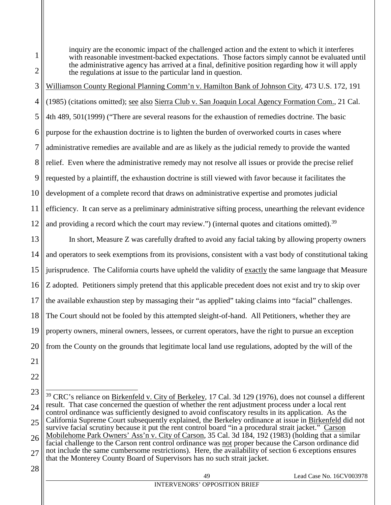<span id="page-61-2"></span>inquiry are the economic impact of the challenged action and the extent to which it interferes with reasonable investment-backed expectations. Those factors simply cannot be evaluated until the administrative agency has arrived at a final, definitive position regarding how it will apply the regulations at issue to the particular land in question.

3 4 5 6 7 8 9 10 11 12 Williamson County Regional Planning Comm'n v. Hamilton Bank of Johnson City, 473 U.S. 172, 191 (1985) (citations omitted); see also Sierra Club v. San Joaquin Local Agency Formation Com., 21 Cal. 4th 489, 501(1999) ("There are several reasons for the exhaustion of remedies doctrine. The basic purpose for the exhaustion doctrine is to lighten the burden of overworked courts in cases where administrative remedies are available and are as likely as the judicial remedy to provide the wanted relief. Even where the administrative remedy may not resolve all issues or provide the precise relief requested by a plaintiff, the exhaustion doctrine is still viewed with favor because it facilitates the development of a complete record that draws on administrative expertise and promotes judicial efficiency. It can serve as a preliminary administrative sifting process, unearthing the relevant evidence and providing a record which the court may review.") (internal quotes and citations omitted).<sup>[39](#page-61-4)</sup>

13 14 15 16 17 18 19 20 In short, Measure Z was carefully drafted to avoid any facial taking by allowing property owners and operators to seek exemptions from its provisions, consistent with a vast body of constitutional taking jurisprudence. The California courts have upheld the validity of exactly the same language that Measure Z adopted. Petitioners simply pretend that this applicable precedent does not exist and try to skip over the available exhaustion step by massaging their "as applied" taking claims into "facial" challenges. The Court should not be fooled by this attempted sleight-of-hand. All Petitioners, whether they are property owners, mineral owners, lessees, or current operators, have the right to pursue an exception from the County on the grounds that legitimate local land use regulations, adopted by the will of the

21

1

<span id="page-61-3"></span>2

22

<span id="page-61-4"></span><span id="page-61-1"></span><span id="page-61-0"></span>23 24 25 26 27 28 <sup>39</sup> CRC's reliance on **Birkenfeld v. City of Berkeley**, 17 Cal. 3d 129 (1976), does not counsel a different result. That case concerned the question of whether the rent adjustment process under a local rent control ordinance was sufficiently designed to avoid confiscatory results in its application. As the California Supreme Court subsequently explained, the Berkeley ordinance at issue in Birkenfeld did not survive facial scrutiny because it put the rent control board "in a procedural strait jacket." Carson Mobilehome Park Owners' Ass'n v. City of Carson, 35 Cal. 3d 184, 192 (1983) (holding that a similar facial challenge to the Carson rent control ordinance was not proper because the Carson ordinance did not include the same cumbersome restrictions). Here, the availability of section 6 exceptions ensures that the Monterey County Board of Supervisors has no such strait jacket.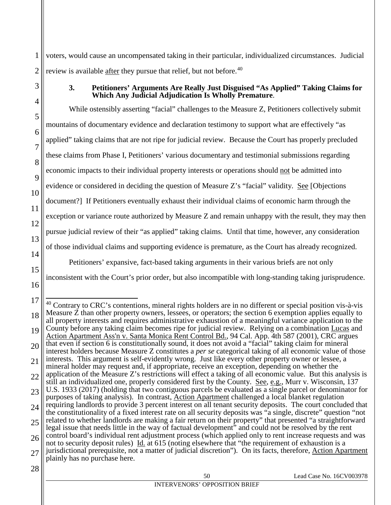1 2 voters, would cause an uncompensated taking in their particular, individualized circumstances. Judicial review is available after they pursue that relief, but not before.<sup>[40](#page-62-3)</sup>

<span id="page-62-0"></span>

3

4

15

16

## **3. Petitioners' Arguments Are Really Just Disguised "As Applied" Taking Claims for Which Any Judicial Adjudication Is Wholly Premature**.

5 6 7 8 9 10 11 12 13 14 While ostensibly asserting "facial" challenges to the Measure Z, Petitioners collectively submit mountains of documentary evidence and declaration testimony to support what are effectively "as applied" taking claims that are not ripe for judicial review. Because the Court has properly precluded these claims from Phase I, Petitioners' various documentary and testimonial submissions regarding economic impacts to their individual property interests or operations should not be admitted into evidence or considered in deciding the question of Measure Z's "facial" validity. See [Objections document?] If Petitioners eventually exhaust their individual claims of economic harm through the exception or variance route authorized by Measure Z and remain unhappy with the result, they may then pursue judicial review of their "as applied" taking claims. Until that time, however, any consideration of those individual claims and supporting evidence is premature, as the Court has already recognized. Petitioners' expansive, fact-based taking arguments in their various briefs are not only

<span id="page-62-2"></span>inconsistent with the Court's prior order, but also incompatible with long-standing taking jurisprudence.

<span id="page-62-3"></span><span id="page-62-1"></span><sup>17</sup> 18 19 20 21 22 23 24 25 26 27 <sup>40</sup> Contrary to CRC's contentions, mineral rights holders are in no different or special position vis-à-vis Measure Z than other property owners, lessees, or operators; the section 6 exemption applies equally to all property interests and requires administrative exhaustion of a meaningful variance application to the County before any taking claim becomes ripe for judicial review. Relying on a combination Lucas and Action Apartment Ass'n v. Santa Monica Rent Control Bd., 94 Cal. App. 4th 587 (2001), CRC argues that even if section 6 is constitutionally sound, it does not avoid a "facial" taking claim for mineral interest holders because Measure Z constitutes a *per se* categorical taking of all economic value of those interests. This argument is self-evidently wrong. Just like every other property owner or lessee, a mineral holder may request and, if appropriate, receive an exception, depending on whether the application of the Measure Z's restrictions will effect a taking of all economic value. But this analysis is still an individualized one, properly considered first by the County. See, e.g., Murr v. Wisconsin, 137 U.S. 1933 (2017) (holding that two contiguous parcels be evaluated as a single parcel or denominator for purposes of taking analysis). In contrast, Action Apartment challenged a local blanket regulation requiring landlords to provide 3 percent interest on all tenant security deposits. The court concluded that the constitutionality of a fixed interest rate on all security deposits was "a single, discrete" question "not related to whether landlords are making a fair return on their property" that presented "a straightforward legal issue that needs little in the way of factual development" and could not be resolved by the rent control board's individual rent adjustment process (which applied only to rent increase requests and was not to security deposit rules) Id. at 615 (noting elsewhere that "the requirement of exhaustion is a jurisdictional prerequisite, not a matter of judicial discretion"). On its facts, therefore, Action Apartment plainly has no purchase here.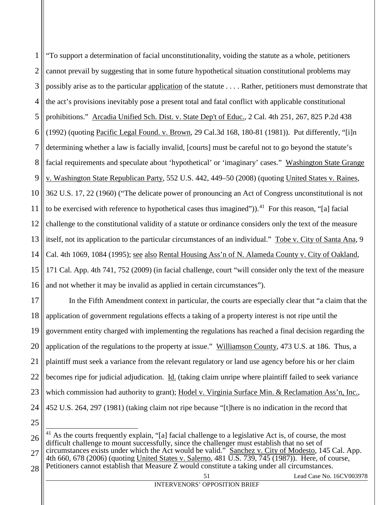<span id="page-63-3"></span><span id="page-63-0"></span>1 2 3 4 5 6 7 8 9 10 11 12 13 14 15 16 "To support a determination of facial unconstitutionality, voiding the statute as a whole, petitioners cannot prevail by suggesting that in some future hypothetical situation constitutional problems may possibly arise as to the particular application of the statute . . . . Rather, petitioners must demonstrate that the act's provisions inevitably pose a present total and fatal conflict with applicable constitutional prohibitions." Arcadia Unified Sch. Dist. v. State Dep't of Educ., 2 Cal. 4th 251, 267, 825 P.2d 438 (1992) (quoting Pacific Legal Found. v. Brown, 29 Cal.3d 168, 180-81 (1981)). Put differently, "[i]n determining whether a law is facially invalid, [courts] must be careful not to go beyond the statute's facial requirements and speculate about 'hypothetical' or 'imaginary' cases." Washington State Grange v. Washington State Republican Party, 552 U.S. 442, 449–50 (2008) (quoting United States v. Raines*,* 362 U.S. 17, 22 (1960) ("The delicate power of pronouncing an Act of Congress unconstitutional is not to be exercised with reference to hypothetical cases thus imagined")).<sup>[41](#page-63-5)</sup> For this reason, "[a] facial challenge to the constitutional validity of a statute or ordinance considers only the text of the measure itself, not its application to the particular circumstances of an individual." Tobe v. City of Santa Ana, 9 Cal. 4th 1069, 1084 (1995); see also Rental Housing Ass'n of N. Alameda County v. City of Oakland, 171 Cal. App. 4th 741, 752 (2009) (in facial challenge, court "will consider only the text of the measure and not whether it may be invalid as applied in certain circumstances").

<span id="page-63-4"></span><span id="page-63-2"></span>17 18 19 20 21 22 23 24 In the Fifth Amendment context in particular, the courts are especially clear that "a claim that the application of government regulations effects a taking of a property interest is not ripe until the government entity charged with implementing the regulations has reached a final decision regarding the application of the regulations to the property at issue." Williamson County, 473 U.S. at 186. Thus, a plaintiff must seek a variance from the relevant regulatory or land use agency before his or her claim becomes ripe for judicial adjudication. Id. (taking claim unripe where plaintiff failed to seek variance which commission had authority to grant); Hodel v. Virginia Surface Min. & Reclamation Ass'n, Inc., 452 U.S. 264, 297 (1981) (taking claim not ripe because "[t]here is no indication in the record that

25

<span id="page-63-5"></span>26 As the courts frequently explain, "[a] facial challenge to a legislative Act is, of course, the most difficult challenge to mount successfully, since the challenger must establish that no set of circumstances exists under which the Act would be valid." Sanchez v. City of Modesto, 145 Cal. App.

<span id="page-63-1"></span>27 28 4th 660, 678 (2006) (quoting United States v. Salerno, 481 U.S. 739, 745 (1987)). Here, of course, Petitioners cannot establish that Measure Z would constitute a taking under all circumstances.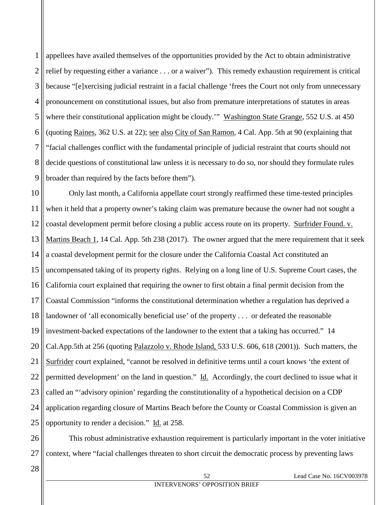1 2 3 4 5 6 7 8 9 appellees have availed themselves of the opportunities provided by the Act to obtain administrative relief by requesting either a variance . . . or a waiver"). This remedy exhaustion requirement is critical because "[e]xercising judicial restraint in a facial challenge 'frees the Court not only from unnecessary pronouncement on constitutional issues, but also from premature interpretations of statutes in areas where their constitutional application might be cloudy." Washington State Grange, 552 U.S. at 450 (quoting Raines, 362 U.S. at 22); see also City of San Ramon, 4 Cal. App. 5th at 90 (explaining that "facial challenges conflict with the fundamental principle of judicial restraint that courts should not decide questions of constitutional law unless it is necessary to do so, nor should they formulate rules broader than required by the facts before them").

<span id="page-64-0"></span>10 11 12 13 14 15 16 17 18 19 20 21 22 23 24 25 Only last month, a California appellate court strongly reaffirmed these time-tested principles when it held that a property owner's taking claim was premature because the owner had not sought a coastal development permit before closing a public access route on its property. Surfrider Found. v. Martins Beach 1, 14 Cal. App. 5th 238 (2017). The owner argued that the mere requirement that it seek a coastal development permit for the closure under the California Coastal Act constituted an uncompensated taking of its property rights. Relying on a long line of U.S. Supreme Court cases, the California court explained that requiring the owner to first obtain a final permit decision from the Coastal Commission "informs the constitutional determination whether a regulation has deprived a landowner of 'all economically beneficial use' of the property . . . or defeated the reasonable investment-backed expectations of the landowner to the extent that a taking has occurred." 14 Cal.App.5th at 256 (quoting Palazzolo v. Rhode Island, 533 U.S. 606, 618 (2001)). Such matters, the Surfrider court explained, "cannot be resolved in definitive terms until a court knows 'the extent of permitted development' on the land in question." Id. Accordingly, the court declined to issue what it called an "'advisory opinion' regarding the constitutionality of a hypothetical decision on a CDP application regarding closure of Martins Beach before the County or Coastal Commission is given an opportunity to render a decision." Id. at 258.

26 27 This robust administrative exhaustion requirement is particularly important in the voter initiative context, where "facial challenges threaten to short circuit the democratic process by preventing laws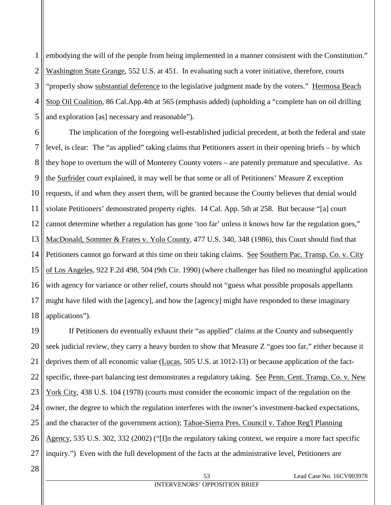1 2 3 4 5 embodying the will of the people from being implemented in a manner consistent with the Constitution." Washington State Grange, 552 U.S. at 451. In evaluating such a voter initiative, therefore, courts "properly show substantial deference to the legislative judgment made by the voters." Hermosa Beach Stop Oil Coalition, 86 Cal.App.4th at 565 (emphasis added) (upholding a "complete ban on oil drilling and exploration [as] necessary and reasonable").

<span id="page-65-4"></span>6 7 8 9 10 11 12 13 14 15 16 17 18 The implication of the foregoing well-established judicial precedent, at both the federal and state level, is clear: The "as applied" taking claims that Petitioners assert in their opening briefs – by which they hope to overturn the will of Monterey County voters – are patently premature and speculative. As the Surfrider court explained, it may well be that some or all of Petitioners' Measure Z exception requests, if and when they assert them, will be granted because the County believes that denial would violate Petitioners' demonstrated property rights. 14 Cal. App. 5th at 258. But because "[a] court cannot determine whether a regulation has gone 'too far' unless it knows how far the regulation goes," MacDonald, Sommer & Frates v. Yolo County, 477 U.S. 340, 348 (1986), this Court should find that Petitioners cannot go forward at this time on their taking claims. See Southern Pac. Transp. Co. v. City of Los Angeles, 922 F.2d 498, 504 (9th Cir. 1990) (where challenger has filed no meaningful application with agency for variance or other relief, courts should not "guess what possible proposals appellants might have filed with the [agency], and how the [agency] might have responded to these imaginary applications").

<span id="page-65-5"></span><span id="page-65-3"></span><span id="page-65-2"></span><span id="page-65-1"></span><span id="page-65-0"></span>19 20 21 22 23 24 25 26 27 If Petitioners do eventually exhaust their "as applied" claims at the County and subsequently seek judicial review, they carry a heavy burden to show that Measure Z "goes too far," either because it deprives them of all economic value (Lucas, 505 U.S. at 1012-13) or because application of the factspecific, three-part balancing test demonstrates a regulatory taking. See Penn. Cent. Transp. Co. v. New York City, 438 U.S. 104 (1978) (courts must consider the economic impact of the regulation on the owner, the degree to which the regulation interferes with the owner's investment-backed expectations, and the character of the government action); Tahoe-Sierra Pres. Council v. Tahoe Reg'l Planning Agency, 535 U.S. 302, 332 (2002) ("[I]n the regulatory taking context, we require a more fact specific inquiry.") Even with the full development of the facts at the administrative level, Petitioners are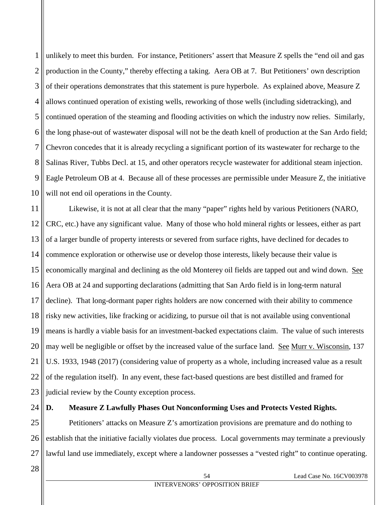1 2 3 4 5 6 7 8 9 10 unlikely to meet this burden. For instance, Petitioners' assert that Measure Z spells the "end oil and gas production in the County," thereby effecting a taking. Aera OB at 7. But Petitioners' own description of their operations demonstrates that this statement is pure hyperbole. As explained above, Measure Z allows continued operation of existing wells, reworking of those wells (including sidetracking), and continued operation of the steaming and flooding activities on which the industry now relies. Similarly, the long phase-out of wastewater disposal will not be the death knell of production at the San Ardo field; Chevron concedes that it is already recycling a significant portion of its wastewater for recharge to the Salinas River, Tubbs Decl. at 15, and other operators recycle wastewater for additional steam injection. Eagle Petroleum OB at 4. Because all of these processes are permissible under Measure Z, the initiative will not end oil operations in the County.

11 12 13 14 15 16 17 18 19 20 21 22 23 Likewise, it is not at all clear that the many "paper" rights held by various Petitioners (NARO, CRC, etc.) have any significant value. Many of those who hold mineral rights or lessees, either as part of a larger bundle of property interests or severed from surface rights, have declined for decades to commence exploration or otherwise use or develop those interests, likely because their value is economically marginal and declining as the old Monterey oil fields are tapped out and wind down. See Aera OB at 24 and supporting declarations (admitting that San Ardo field is in long-term natural decline). That long-dormant paper rights holders are now concerned with their ability to commence risky new activities, like fracking or acidizing, to pursue oil that is not available using conventional means is hardly a viable basis for an investment-backed expectations claim. The value of such interests may well be negligible or offset by the increased value of the surface land. See Murr v. Wisconsin, 137 U.S. 1933, 1948 (2017) (considering value of property as a whole, including increased value as a result of the regulation itself). In any event, these fact-based questions are best distilled and framed for judicial review by the County exception process.

24

## <span id="page-66-0"></span>**D. Measure Z Lawfully Phases Out Nonconforming Uses and Protects Vested Rights.**

25 26 27 Petitioners' attacks on Measure Z's amortization provisions are premature and do nothing to establish that the initiative facially violates due process. Local governments may terminate a previously lawful land use immediately, except where a landowner possesses a "vested right" to continue operating.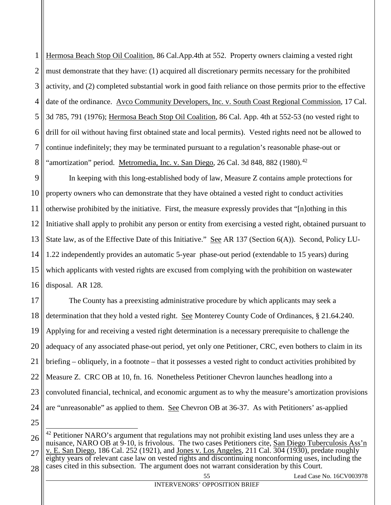<span id="page-67-0"></span>1 2 3 4 5 6 7 8 Hermosa Beach Stop Oil Coalition, 86 Cal.App.4th at 552. Property owners claiming a vested right must demonstrate that they have: (1) acquired all discretionary permits necessary for the prohibited activity, and (2) completed substantial work in good faith reliance on those permits prior to the effective date of the ordinance. Avco Community Developers, Inc. v. South Coast Regional Commission, 17 Cal. 3d 785, 791 (1976); Hermosa Beach Stop Oil Coalition, 86 Cal. App. 4th at 552-53 (no vested right to drill for oil without having first obtained state and local permits). Vested rights need not be allowed to continue indefinitely; they may be terminated pursuant to a regulation's reasonable phase-out or "amortization" period. Metromedia, Inc. v. San Diego, 26 Cal. 3d 848, 882 (1980).<sup>42</sup>

<span id="page-67-2"></span>9 10 11 12 13 14 15 16 In keeping with this long-established body of law, Measure Z contains ample protections for property owners who can demonstrate that they have obtained a vested right to conduct activities otherwise prohibited by the initiative. First, the measure expressly provides that "[n]othing in this Initiative shall apply to prohibit any person or entity from exercising a vested right, obtained pursuant to State law, as of the Effective Date of this Initiative." See AR 137 (Section 6(A)). Second, Policy LU-1.22 independently provides an automatic 5-year phase-out period (extendable to 15 years) during which applicants with vested rights are excused from complying with the prohibition on wastewater disposal. AR 128.

17 18 19 20 21 22 23 24 25 The County has a preexisting administrative procedure by which applicants may seek a determination that they hold a vested right. See Monterey County Code of Ordinances, § 21.64.240. Applying for and receiving a vested right determination is a necessary prerequisite to challenge the adequacy of any associated phase-out period, yet only one Petitioner, CRC, even bothers to claim in its briefing – obliquely, in a footnote – that it possesses a vested right to conduct activities prohibited by Measure Z. CRC OB at 10, fn. 16. Nonetheless Petitioner Chevron launches headlong into a convoluted financial, technical, and economic argument as to why the measure's amortization provisions are "unreasonable" as applied to them. See Chevron OB at 36-37. As with Petitioners' as-applied

<span id="page-67-4"></span>

<span id="page-67-3"></span><span id="page-67-1"></span><sup>26</sup> 27  $42$  Petitioner NARO's argument that regulations may not prohibit existing land uses unless they are a nuisance, NARO OB at 9-10, is frivolous. The two cases Petitioners cite, San Diego Tuberculosis Ass'n v. E. San Diego, 186 Cal. 252 (1921), and Jones v. Los Angeles, 211 Cal. 304 (1930), predate roughly eighty years of relevant case law on vested rights and discontinuing nonconforming uses, including the cases cited in this subsection. The argument does not warrant consideration by this Court.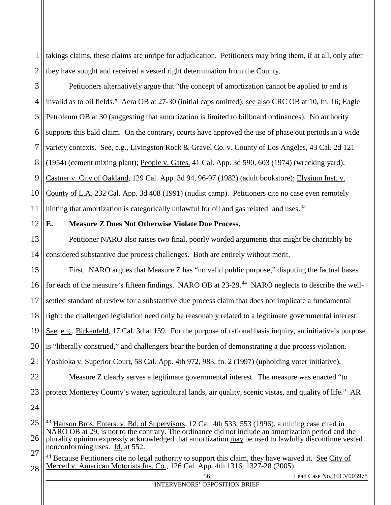1 2 takings claims, these claims are unripe for adjudication. Petitioners may bring them, if at all, only after they have sought and received a vested right determination from the County.

<span id="page-68-6"></span>3 4 5 6 7 8 9 10 11 Petitioners alternatively argue that "the concept of amortization cannot be applied to and is invalid as to oil fields." Aera OB at 27-30 (initial caps omitted); see also CRC OB at 10, fn. 16; Eagle Petroleum OB at 30 (suggesting that amortization is limited to billboard ordinances). No authority supports this bald claim. On the contrary, courts have approved the use of phase out periods in a wide variety contexts. See, e.g., Livingston Rock & Gravel Co. v. County of Los Angeles, 43 Cal. 2d 121 (1954) (cement mixing plant); People v. Gates, 41 Cal. App. 3d 590, 603 (1974) (wrecking yard); Castner v. City of Oakland, 129 Cal. App. 3d 94, 96-97 (1982) (adult bookstore); Elysium Inst. v. County of L.A. 232 Cal. App. 3d 408 (1991) (nudist camp). Petitioners cite no case even remotely hinting that amortization is categorically unlawful for oil and gas related land uses. $43$ 

12

## <span id="page-68-7"></span><span id="page-68-4"></span><span id="page-68-2"></span><span id="page-68-0"></span>**E. Measure Z Does Not Otherwise Violate Due Process.**

13 14 Petitioner NARO also raises two final, poorly worded arguments that might be charitably be considered substantive due process challenges. Both are entirely without merit.

<span id="page-68-8"></span><span id="page-68-1"></span>15 16 17 18 19 20 21 22 23 24 25 26 First, NARO argues that Measure Z has "no valid public purpose," disputing the factual bases for each of the measure's fifteen findings. NARO OB at 23-29.<sup>[44](#page-68-10)</sup> NARO neglects to describe the wellsettled standard of review for a substantive due process claim that does not implicate a fundamental right: the challenged legislation need only be reasonably related to a legitimate governmental interest. See, e.g., Birkenfeld, 17 Cal. 3d at 159. For the purpose of rational basis inquiry, an initiative's purpose is "liberally construed," and challengers bear the burden of demonstrating a due process violation. Yoshioka v. Superior Court, 58 Cal. App. 4th 972, 983, fn. 2 (1997) (upholding voter initiative). Measure Z clearly serves a legitimate governmental interest. The measure was enacted "to protect Monterey County's water, agricultural lands, air quality, scenic vistas, and quality of life." AR Hanson Bros. Enters. v. Bd. of Supervisors, 12 Cal. 4th 533, 553 (1996), a mining case cited in NARO OB at 29, is not to the contrary. The ordinance did not include an amortization period and the plurality opinion expressly acknowledged that amortization may be used to lawfully discontinue vested nonconforming uses. Id. at 552.

<span id="page-68-10"></span><span id="page-68-9"></span><span id="page-68-5"></span><span id="page-68-3"></span>27 Because Petitioners cite no legal authority to support this claim, they have waived it. See City of Merced v. American Motorists Ins. Co., 126 Cal. App. 4th 1316, 1327-28 (2005).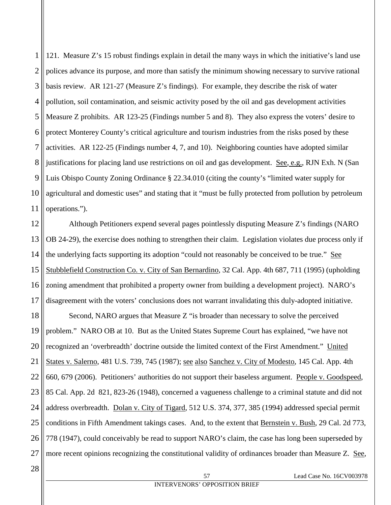1 2 3 4 5 6 7 8 9 10 11 121. Measure Z's 15 robust findings explain in detail the many ways in which the initiative's land use polices advance its purpose, and more than satisfy the minimum showing necessary to survive rational basis review. AR 121-27 (Measure Z's findings). For example, they describe the risk of water pollution, soil contamination, and seismic activity posed by the oil and gas development activities Measure Z prohibits. AR 123-25 (Findings number 5 and 8). They also express the voters' desire to protect Monterey County's critical agriculture and tourism industries from the risks posed by these activities. AR 122-25 (Findings number 4, 7, and 10). Neighboring counties have adopted similar justifications for placing land use restrictions on oil and gas development. See*,* e.g., RJN Exh. N (San Luis Obispo County Zoning Ordinance § 22.34.010 (citing the county's "limited water supply for agricultural and domestic uses" and stating that it "must be fully protected from pollution by petroleum operations.").

<span id="page-69-6"></span><span id="page-69-4"></span>12 13 14 15 16 17 Although Petitioners expend several pages pointlessly disputing Measure Z's findings (NARO OB 24-29), the exercise does nothing to strengthen their claim. Legislation violates due process only if the underlying facts supporting its adoption "could not reasonably be conceived to be true." See Stubblefield Construction Co. v. City of San Bernardino, 32 Cal. App. 4th 687, 711 (1995) (upholding zoning amendment that prohibited a property owner from building a development project). NARO's disagreement with the voters' conclusions does not warrant invalidating this duly-adopted initiative.

<span id="page-69-5"></span><span id="page-69-3"></span><span id="page-69-2"></span><span id="page-69-1"></span><span id="page-69-0"></span>18 19 20 21 22 23 24 25 26 27 Second, NARO argues that Measure Z "is broader than necessary to solve the perceived problem." NARO OB at 10. But as the United States Supreme Court has explained, "we have not recognized an 'overbreadth' doctrine outside the limited context of the First Amendment." United States v. Salerno, 481 U.S. 739, 745 (1987); see also Sanchez v. City of Modesto, 145 Cal. App. 4th 660, 679 (2006). Petitioners' authorities do not support their baseless argument. People v. Goodspeed, 85 Cal. App. 2d 821, 823-26 (1948), concerned a vagueness challenge to a criminal statute and did not address overbreadth. Dolan v. City of Tigard, 512 U.S. 374, 377, 385 (1994) addressed special permit conditions in Fifth Amendment takings cases. And, to the extent that Bernstein v. Bush, 29 Cal. 2d 773, 778 (1947), could conceivably be read to support NARO's claim, the case has long been superseded by more recent opinions recognizing the constitutional validity of ordinances broader than Measure Z. See,